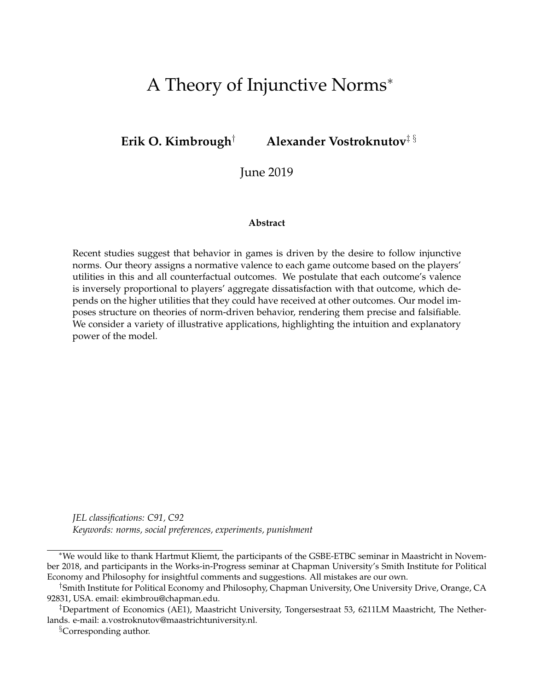# A Theory of Injunctive Norms<sup>∗</sup>

**Erik O. Kimbrough**† **Alexander Vostroknutov**‡ §

June 2019

#### **Abstract**

Recent studies suggest that behavior in games is driven by the desire to follow injunctive norms. Our theory assigns a normative valence to each game outcome based on the players' utilities in this and all counterfactual outcomes. We postulate that each outcome's valence is inversely proportional to players' aggregate dissatisfaction with that outcome, which depends on the higher utilities that they could have received at other outcomes. Our model imposes structure on theories of norm-driven behavior, rendering them precise and falsifiable. We consider a variety of illustrative applications, highlighting the intuition and explanatory power of the model.

*JEL classifications: C91, C92 Keywords: norms, social preferences, experiments, punishment*

<sup>§</sup>Corresponding author.

<sup>∗</sup>We would like to thank Hartmut Kliemt, the participants of the GSBE-ETBC seminar in Maastricht in November 2018, and participants in the Works-in-Progress seminar at Chapman University's Smith Institute for Political Economy and Philosophy for insightful comments and suggestions. All mistakes are our own.

<sup>†</sup>Smith Institute for Political Economy and Philosophy, Chapman University, One University Drive, Orange, CA 92831, USA. email: ekimbrou@chapman.edu.

<sup>‡</sup>Department of Economics (AE1), Maastricht University, Tongersestraat 53, 6211LM Maastricht, The Netherlands. e-mail: a.vostroknutov@maastrichtuniversity.nl.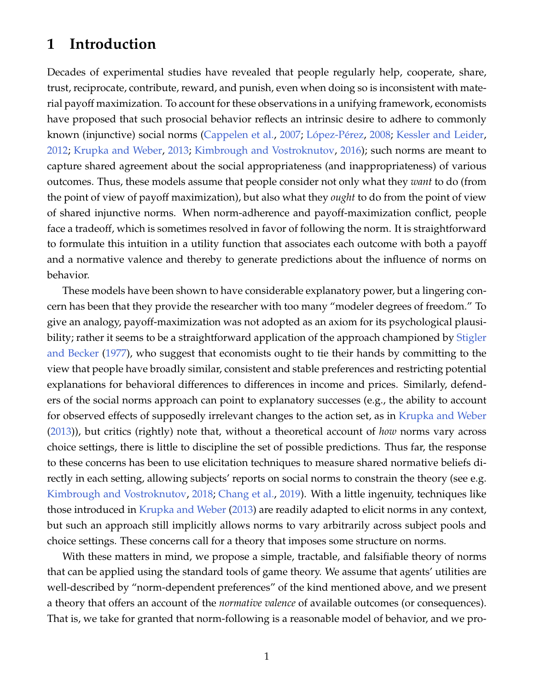## **1 Introduction**

Decades of experimental studies have revealed that people regularly help, cooperate, share, trust, reciprocate, contribute, reward, and punish, even when doing so is inconsistent with material payoff maximization. To account for these observations in a unifying framework, economists have proposed that such prosocial behavior reflects an intrinsic desire to adhere to commonly known (injunctive) social norms [\(Cappelen et al.,](#page-36-0) [2007;](#page-36-0) López-Pérez, [2008;](#page-38-0) [Kessler and Leider,](#page-38-1) [2012;](#page-38-1) [Krupka and Weber,](#page-38-2) [2013;](#page-38-2) [Kimbrough and Vostroknutov,](#page-38-3) [2016\)](#page-38-3); such norms are meant to capture shared agreement about the social appropriateness (and inappropriateness) of various outcomes. Thus, these models assume that people consider not only what they *want* to do (from the point of view of payoff maximization), but also what they *ought* to do from the point of view of shared injunctive norms. When norm-adherence and payoff-maximization conflict, people face a tradeoff, which is sometimes resolved in favor of following the norm. It is straightforward to formulate this intuition in a utility function that associates each outcome with both a payoff and a normative valence and thereby to generate predictions about the influence of norms on behavior.

These models have been shown to have considerable explanatory power, but a lingering concern has been that they provide the researcher with too many "modeler degrees of freedom." To give an analogy, payoff-maximization was not adopted as an axiom for its psychological plausibility; rather it seems to be a straightforward application of the approach championed by [Stigler](#page-39-0) [and Becker](#page-39-0) [\(1977\)](#page-39-0), who suggest that economists ought to tie their hands by committing to the view that people have broadly similar, consistent and stable preferences and restricting potential explanations for behavioral differences to differences in income and prices. Similarly, defenders of the social norms approach can point to explanatory successes (e.g., the ability to account for observed effects of supposedly irrelevant changes to the action set, as in [Krupka and Weber](#page-38-2) [\(2013\)](#page-38-2)), but critics (rightly) note that, without a theoretical account of *how* norms vary across choice settings, there is little to discipline the set of possible predictions. Thus far, the response to these concerns has been to use elicitation techniques to measure shared normative beliefs directly in each setting, allowing subjects' reports on social norms to constrain the theory (see e.g. [Kimbrough and Vostroknutov,](#page-38-4) [2018;](#page-38-4) [Chang et al.,](#page-36-1) [2019\)](#page-36-1). With a little ingenuity, techniques like those introduced in [Krupka and Weber](#page-38-2) [\(2013\)](#page-38-2) are readily adapted to elicit norms in any context, but such an approach still implicitly allows norms to vary arbitrarily across subject pools and choice settings. These concerns call for a theory that imposes some structure on norms.

With these matters in mind, we propose a simple, tractable, and falsifiable theory of norms that can be applied using the standard tools of game theory. We assume that agents' utilities are well-described by "norm-dependent preferences" of the kind mentioned above, and we present a theory that offers an account of the *normative valence* of available outcomes (or consequences). That is, we take for granted that norm-following is a reasonable model of behavior, and we pro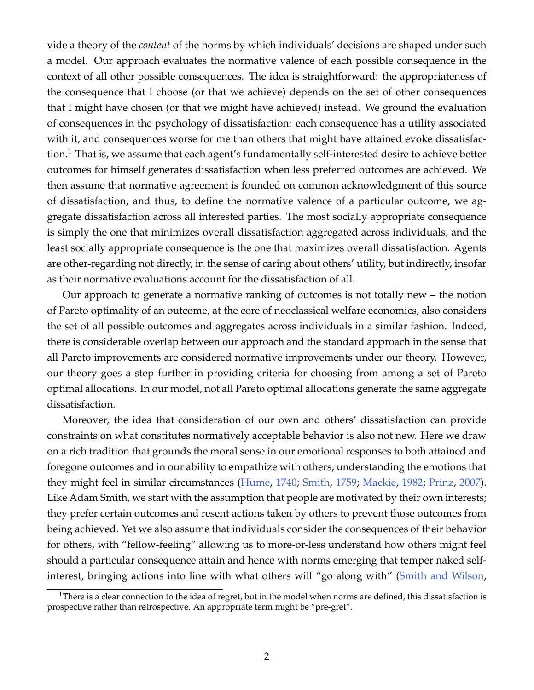vide a theory of the *content* of the norms by which individuals' decisions are shaped under such a model. Our approach evaluates the normative valence of each possible consequence in the context of all other possible consequences. The idea is straightforward: the appropriateness of the consequence that I choose (or that we achieve) depends on the set of other consequences that I might have chosen (or that we might have achieved) instead. We ground the evaluation of consequences in the psychology of dissatisfaction: each consequence has a utility associated with it, and consequences worse for me than others that might have attained evoke dissatisfac-tion.<sup>[1](#page-2-0)</sup> That is, we assume that each agent's fundamentally self-interested desire to achieve better outcomes for himself generates dissatisfaction when less preferred outcomes are achieved. We then assume that normative agreement is founded on common acknowledgment of this source of dissatisfaction, and thus, to define the normative valence of a particular outcome, we aggregate dissatisfaction across all interested parties. The most socially appropriate consequence is simply the one that minimizes overall dissatisfaction aggregated across individuals, and the least socially appropriate consequence is the one that maximizes overall dissatisfaction. Agents are other-regarding not directly, in the sense of caring about others' utility, but indirectly, insofar as their normative evaluations account for the dissatisfaction of all.

Our approach to generate a normative ranking of outcomes is not totally new – the notion of Pareto optimality of an outcome, at the core of neoclassical welfare economics, also considers the set of all possible outcomes and aggregates across individuals in a similar fashion. Indeed, there is considerable overlap between our approach and the standard approach in the sense that all Pareto improvements are considered normative improvements under our theory. However, our theory goes a step further in providing criteria for choosing from among a set of Pareto optimal allocations. In our model, not all Pareto optimal allocations generate the same aggregate dissatisfaction.

Moreover, the idea that consideration of our own and others' dissatisfaction can provide constraints on what constitutes normatively acceptable behavior is also not new. Here we draw on a rich tradition that grounds the moral sense in our emotional responses to both attained and foregone outcomes and in our ability to empathize with others, understanding the emotions that they might feel in similar circumstances [\(Hume,](#page-38-5) [1740;](#page-38-5) [Smith,](#page-39-1) [1759;](#page-39-1) [Mackie,](#page-38-6) [1982;](#page-38-6) [Prinz,](#page-39-2) [2007\)](#page-39-2). Like Adam Smith, we start with the assumption that people are motivated by their own interests; they prefer certain outcomes and resent actions taken by others to prevent those outcomes from being achieved. Yet we also assume that individuals consider the consequences of their behavior for others, with "fellow-feeling" allowing us to more-or-less understand how others might feel should a particular consequence attain and hence with norms emerging that temper naked selfinterest, bringing actions into line with what others will "go along with" [\(Smith and Wilson,](#page-39-3)

<span id="page-2-0"></span><sup>&</sup>lt;sup>1</sup>There is a clear connection to the idea of regret, but in the model when norms are defined, this dissatisfaction is prospective rather than retrospective. An appropriate term might be "pre-gret".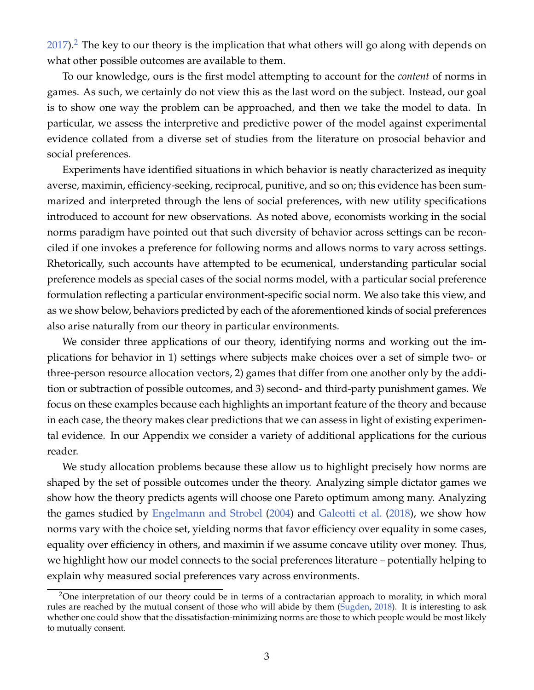$2017$  $2017$ ).<sup>2</sup> The key to our theory is the implication that what others will go along with depends on what other possible outcomes are available to them.

To our knowledge, ours is the first model attempting to account for the *content* of norms in games. As such, we certainly do not view this as the last word on the subject. Instead, our goal is to show one way the problem can be approached, and then we take the model to data. In particular, we assess the interpretive and predictive power of the model against experimental evidence collated from a diverse set of studies from the literature on prosocial behavior and social preferences.

Experiments have identified situations in which behavior is neatly characterized as inequity averse, maximin, efficiency-seeking, reciprocal, punitive, and so on; this evidence has been summarized and interpreted through the lens of social preferences, with new utility specifications introduced to account for new observations. As noted above, economists working in the social norms paradigm have pointed out that such diversity of behavior across settings can be reconciled if one invokes a preference for following norms and allows norms to vary across settings. Rhetorically, such accounts have attempted to be ecumenical, understanding particular social preference models as special cases of the social norms model, with a particular social preference formulation reflecting a particular environment-specific social norm. We also take this view, and as we show below, behaviors predicted by each of the aforementioned kinds of social preferences also arise naturally from our theory in particular environments.

We consider three applications of our theory, identifying norms and working out the implications for behavior in 1) settings where subjects make choices over a set of simple two- or three-person resource allocation vectors, 2) games that differ from one another only by the addition or subtraction of possible outcomes, and 3) second- and third-party punishment games. We focus on these examples because each highlights an important feature of the theory and because in each case, the theory makes clear predictions that we can assess in light of existing experimental evidence. In our Appendix we consider a variety of additional applications for the curious reader.

We study allocation problems because these allow us to highlight precisely how norms are shaped by the set of possible outcomes under the theory. Analyzing simple dictator games we show how the theory predicts agents will choose one Pareto optimum among many. Analyzing the games studied by [Engelmann and Strobel](#page-37-0) [\(2004\)](#page-37-0) and [Galeotti et al.](#page-37-1) [\(2018\)](#page-37-1), we show how norms vary with the choice set, yielding norms that favor efficiency over equality in some cases, equality over efficiency in others, and maximin if we assume concave utility over money. Thus, we highlight how our model connects to the social preferences literature – potentially helping to explain why measured social preferences vary across environments.

<span id="page-3-0"></span><sup>&</sup>lt;sup>2</sup>One interpretation of our theory could be in terms of a contractarian approach to morality, in which moral rules are reached by the mutual consent of those who will abide by them [\(Sugden,](#page-39-4) [2018\)](#page-39-4). It is interesting to ask whether one could show that the dissatisfaction-minimizing norms are those to which people would be most likely to mutually consent.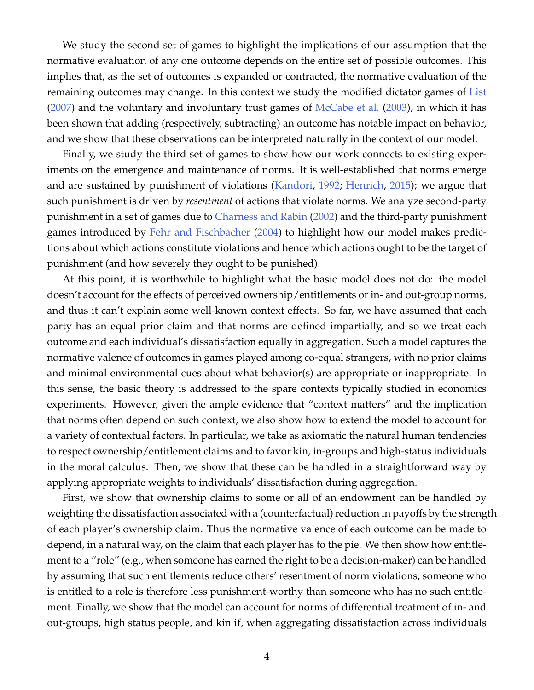We study the second set of games to highlight the implications of our assumption that the normative evaluation of any one outcome depends on the entire set of possible outcomes. This implies that, as the set of outcomes is expanded or contracted, the normative evaluation of the remaining outcomes may change. In this context we study the modified dictator games of [List](#page-38-7) [\(2007\)](#page-38-7) and the voluntary and involuntary trust games of [McCabe et al.](#page-38-8) [\(2003\)](#page-38-8), in which it has been shown that adding (respectively, subtracting) an outcome has notable impact on behavior, and we show that these observations can be interpreted naturally in the context of our model.

Finally, we study the third set of games to show how our work connects to existing experiments on the emergence and maintenance of norms. It is well-established that norms emerge and are sustained by punishment of violations [\(Kandori,](#page-38-9) [1992;](#page-38-9) [Henrich,](#page-37-2) [2015\)](#page-37-2); we argue that such punishment is driven by *resentment* of actions that violate norms. We analyze second-party punishment in a set of games due to [Charness and Rabin](#page-36-2) [\(2002\)](#page-36-2) and the third-party punishment games introduced by [Fehr and Fischbacher](#page-37-3) [\(2004\)](#page-37-3) to highlight how our model makes predictions about which actions constitute violations and hence which actions ought to be the target of punishment (and how severely they ought to be punished).

At this point, it is worthwhile to highlight what the basic model does not do: the model doesn't account for the effects of perceived ownership/entitlements or in- and out-group norms, and thus it can't explain some well-known context effects. So far, we have assumed that each party has an equal prior claim and that norms are defined impartially, and so we treat each outcome and each individual's dissatisfaction equally in aggregation. Such a model captures the normative valence of outcomes in games played among co-equal strangers, with no prior claims and minimal environmental cues about what behavior(s) are appropriate or inappropriate. In this sense, the basic theory is addressed to the spare contexts typically studied in economics experiments. However, given the ample evidence that "context matters" and the implication that norms often depend on such context, we also show how to extend the model to account for a variety of contextual factors. In particular, we take as axiomatic the natural human tendencies to respect ownership/entitlement claims and to favor kin, in-groups and high-status individuals in the moral calculus. Then, we show that these can be handled in a straightforward way by applying appropriate weights to individuals' dissatisfaction during aggregation.

First, we show that ownership claims to some or all of an endowment can be handled by weighting the dissatisfaction associated with a (counterfactual) reduction in payoffs by the strength of each player's ownership claim. Thus the normative valence of each outcome can be made to depend, in a natural way, on the claim that each player has to the pie. We then show how entitlement to a "role" (e.g., when someone has earned the right to be a decision-maker) can be handled by assuming that such entitlements reduce others' resentment of norm violations; someone who is entitled to a role is therefore less punishment-worthy than someone who has no such entitlement. Finally, we show that the model can account for norms of differential treatment of in- and out-groups, high status people, and kin if, when aggregating dissatisfaction across individuals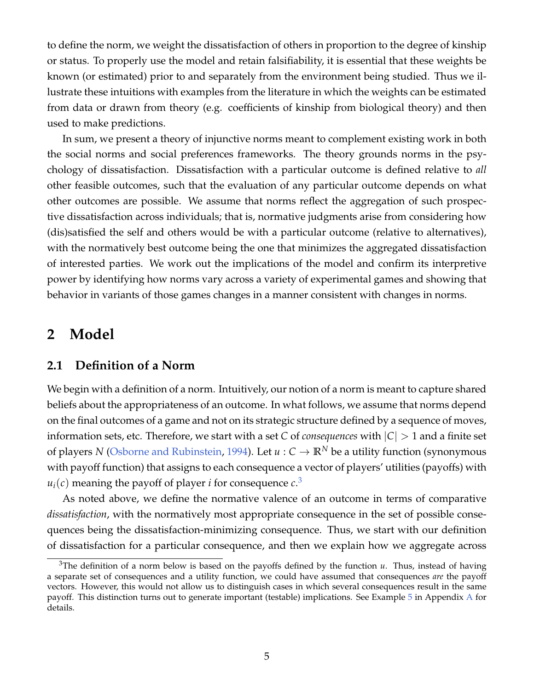to define the norm, we weight the dissatisfaction of others in proportion to the degree of kinship or status. To properly use the model and retain falsifiability, it is essential that these weights be known (or estimated) prior to and separately from the environment being studied. Thus we illustrate these intuitions with examples from the literature in which the weights can be estimated from data or drawn from theory (e.g. coefficients of kinship from biological theory) and then used to make predictions.

In sum, we present a theory of injunctive norms meant to complement existing work in both the social norms and social preferences frameworks. The theory grounds norms in the psychology of dissatisfaction. Dissatisfaction with a particular outcome is defined relative to *all* other feasible outcomes, such that the evaluation of any particular outcome depends on what other outcomes are possible. We assume that norms reflect the aggregation of such prospective dissatisfaction across individuals; that is, normative judgments arise from considering how (dis)satisfied the self and others would be with a particular outcome (relative to alternatives), with the normatively best outcome being the one that minimizes the aggregated dissatisfaction of interested parties. We work out the implications of the model and confirm its interpretive power by identifying how norms vary across a variety of experimental games and showing that behavior in variants of those games changes in a manner consistent with changes in norms.

## <span id="page-5-1"></span>**2 Model**

### <span id="page-5-2"></span>**2.1 Definition of a Norm**

We begin with a definition of a norm. Intuitively, our notion of a norm is meant to capture shared beliefs about the appropriateness of an outcome. In what follows, we assume that norms depend on the final outcomes of a game and not on its strategic structure defined by a sequence of moves, information sets, etc. Therefore, we start with a set *C* of *consequences* with  $|C| > 1$  and a finite set of players *N* [\(Osborne and Rubinstein,](#page-38-10) [1994\)](#page-38-10). Let  $u : C \to \mathbb{R}^N$  be a utility function (synonymous with payoff function) that assigns to each consequence a vector of players' utilities (payoffs) with  $u_i(c)$  meaning the payoff of player *i* for consequence  $c^3$  $c^3$ 

As noted above, we define the normative valence of an outcome in terms of comparative *dissatisfaction*, with the normatively most appropriate consequence in the set of possible consequences being the dissatisfaction-minimizing consequence. Thus, we start with our definition of dissatisfaction for a particular consequence, and then we explain how we aggregate across

<span id="page-5-0"></span><sup>&</sup>lt;sup>3</sup>The definition of a norm below is based on the payoffs defined by the function  $u$ . Thus, instead of having a separate set of consequences and a utility function, we could have assumed that consequences *are* the payoff vectors. However, this would not allow us to distinguish cases in which several consequences result in the same payoff. This distinction turns out to generate important (testable) implications. See Example [5](#page-41-0) in Appendix [A](#page-40-0) for details.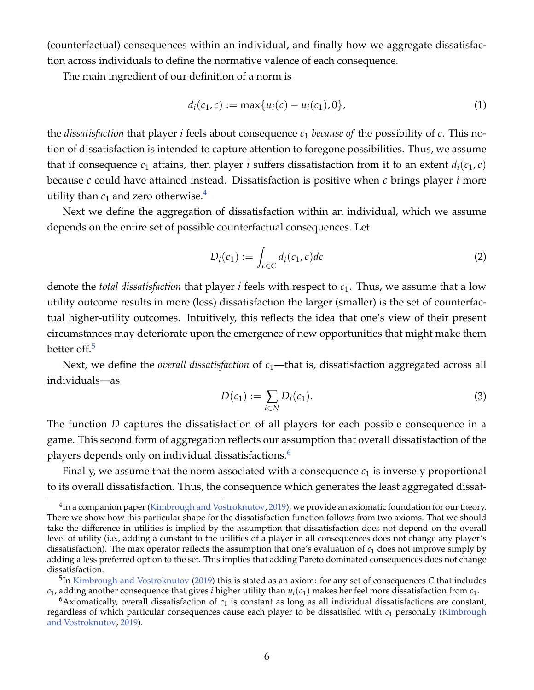(counterfactual) consequences within an individual, and finally how we aggregate dissatisfaction across individuals to define the normative valence of each consequence.

The main ingredient of our definition of a norm is

$$
d_i(c_1, c) := \max\{u_i(c) - u_i(c_1), 0\},\tag{1}
$$

the *dissatisfaction* that player *i* feels about consequence *c*<sup>1</sup> *because of* the possibility of *c*. This notion of dissatisfaction is intended to capture attention to foregone possibilities. Thus, we assume that if consequence  $c_1$  attains, then player *i* suffers dissatisfaction from it to an extent  $d_i(c_1, c)$ because *c* could have attained instead. Dissatisfaction is positive when *c* brings player *i* more utility than  $c_1$  and zero otherwise.<sup>[4](#page-6-0)</sup>

Next we define the aggregation of dissatisfaction within an individual, which we assume depends on the entire set of possible counterfactual consequences. Let

<span id="page-6-3"></span>
$$
D_i(c_1) := \int_{c \in C} d_i(c_1, c) dc \tag{2}
$$

denote the *total dissatisfaction* that player *i* feels with respect to *c*1. Thus, we assume that a low utility outcome results in more (less) dissatisfaction the larger (smaller) is the set of counterfactual higher-utility outcomes. Intuitively, this reflects the idea that one's view of their present circumstances may deteriorate upon the emergence of new opportunities that might make them better off.<sup>[5](#page-6-1)</sup>

Next, we define the *overall dissatisfaction* of  $c_1$ —that is, dissatisfaction aggregated across all individuals—as

$$
D(c_1) := \sum_{i \in N} D_i(c_1).
$$
 (3)

The function *D* captures the dissatisfaction of all players for each possible consequence in a game. This second form of aggregation reflects our assumption that overall dissatisfaction of the players depends only on individual dissatisfactions.[6](#page-6-2)

Finally, we assume that the norm associated with a consequence  $c_1$  is inversely proportional to its overall dissatisfaction. Thus, the consequence which generates the least aggregated dissat-

<span id="page-6-0"></span> $^4$ In a companion paper [\(Kimbrough and Vostroknutov,](#page-38-11) [2019\)](#page-38-11), we provide an axiomatic foundation for our theory. There we show how this particular shape for the dissatisfaction function follows from two axioms. That we should take the difference in utilities is implied by the assumption that dissatisfaction does not depend on the overall level of utility (i.e., adding a constant to the utilities of a player in all consequences does not change any player's dissatisfaction). The max operator reflects the assumption that one's evaluation of *c*<sup>1</sup> does not improve simply by adding a less preferred option to the set. This implies that adding Pareto dominated consequences does not change dissatisfaction.

<span id="page-6-1"></span><sup>5</sup> In [Kimbrough and Vostroknutov](#page-38-11) [\(2019\)](#page-38-11) this is stated as an axiom: for any set of consequences *C* that includes  $c_1$ , adding another consequence that gives *i* higher utility than  $u_i(c_1)$  makes her feel more dissatisfaction from  $c_1$ .

<span id="page-6-2"></span> $6$ Axiomatically, overall dissatisfaction of  $c<sub>1</sub>$  is constant as long as all individual dissatisfactions are constant, regardless of which particular consequences cause each player to be dissatisfied with *c*<sup>1</sup> personally [\(Kimbrough](#page-38-11) [and Vostroknutov,](#page-38-11) [2019\)](#page-38-11).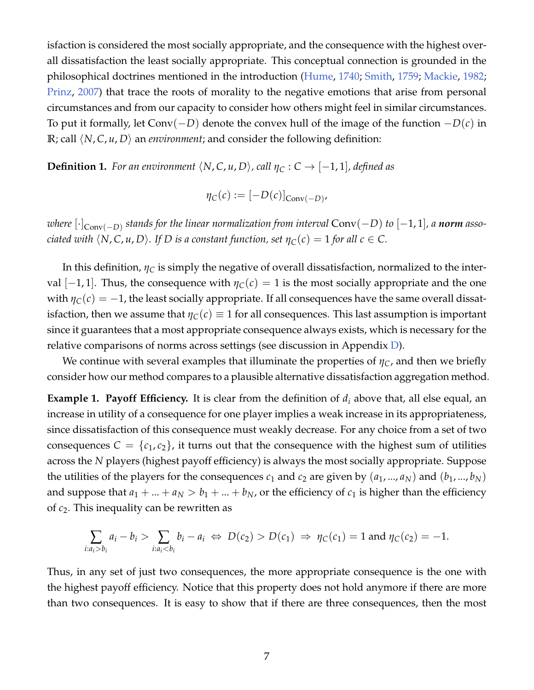isfaction is considered the most socially appropriate, and the consequence with the highest overall dissatisfaction the least socially appropriate. This conceptual connection is grounded in the philosophical doctrines mentioned in the introduction [\(Hume,](#page-38-5) [1740;](#page-38-5) [Smith,](#page-39-1) [1759;](#page-39-1) [Mackie,](#page-38-6) [1982;](#page-38-6) [Prinz,](#page-39-2) [2007\)](#page-39-2) that trace the roots of morality to the negative emotions that arise from personal circumstances and from our capacity to consider how others might feel in similar circumstances. To put it formally, let Conv(−*D*) denote the convex hull of the image of the function −*D*(*c*) in **R**; call  $\langle N, C, u, D \rangle$  an *environment*; and consider the following definition:

**Definition 1.** For an environment  $\langle N, C, u, D \rangle$ , call  $\eta_C : C \to [-1, 1]$ , defined as

$$
\eta_C(c) := [-D(c)]_{Conv(-D)}
$$

*where* [·]Conv(−*D*) *stands for the linear normalization from interval* Conv(−*D*) *to* [−1, 1]*, a norm associated with*  $\langle N, C, u, D \rangle$ . If D is a constant function, set  $\eta_C(c) = 1$  for all  $c \in C$ .

In this definition,  $\eta_C$  is simply the negative of overall dissatisfaction, normalized to the interval [-1, 1]. Thus, the consequence with  $\eta_C(c) = 1$  is the most socially appropriate and the one with  $\eta_C(c) = -1$ , the least socially appropriate. If all consequences have the same overall dissatisfaction, then we assume that  $\eta_C(c) \equiv 1$  for all consequences. This last assumption is important since it guarantees that a most appropriate consequence always exists, which is necessary for the relative comparisons of norms across settings (see discussion in Appendix [D\)](#page-48-0).

We continue with several examples that illuminate the properties of  $\eta_C$ , and then we briefly consider how our method compares to a plausible alternative dissatisfaction aggregation method.

<span id="page-7-0"></span>**Example 1. Payoff Efficiency.** It is clear from the definition of  $d_i$  above that, all else equal, an increase in utility of a consequence for one player implies a weak increase in its appropriateness, since dissatisfaction of this consequence must weakly decrease. For any choice from a set of two consequences  $C = \{c_1, c_2\}$ , it turns out that the consequence with the highest sum of utilities across the *N* players (highest payoff efficiency) is always the most socially appropriate. Suppose the utilities of the players for the consequences  $c_1$  and  $c_2$  are given by  $(a_1, ..., a_N)$  and  $(b_1, ..., b_N)$ and suppose that  $a_1 + ... + a_N > b_1 + ... + b_N$ , or the efficiency of  $c_1$  is higher than the efficiency of *c*2. This inequality can be rewritten as

$$
\sum_{i:a_i>b_i} a_i - b_i > \sum_{i:a_i D(c_1) \Rightarrow \eta_C(c_1) = 1 \text{ and } \eta_C(c_2) = -1.
$$

Thus, in any set of just two consequences, the more appropriate consequence is the one with the highest payoff efficiency. Notice that this property does not hold anymore if there are more than two consequences. It is easy to show that if there are three consequences, then the most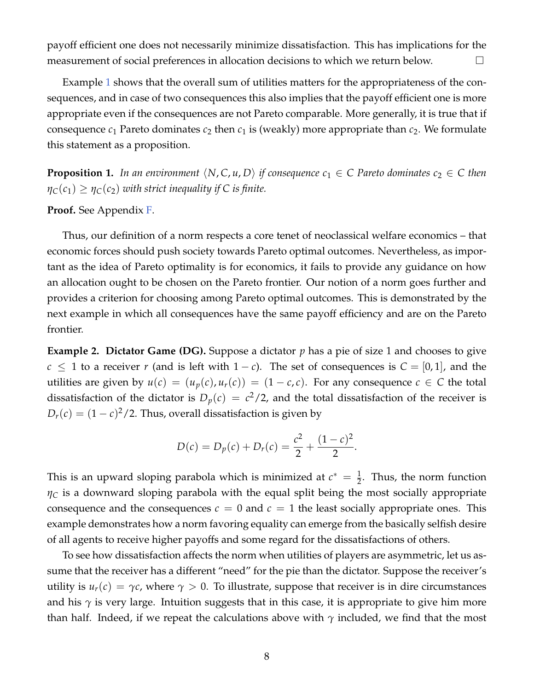payoff efficient one does not necessarily minimize dissatisfaction. This has implications for the measurement of social preferences in allocation decisions to which we return below.

Example [1](#page-7-0) shows that the overall sum of utilities matters for the appropriateness of the consequences, and in case of two consequences this also implies that the payoff efficient one is more appropriate even if the consequences are not Pareto comparable. More generally, it is true that if consequence  $c_1$  Pareto dominates  $c_2$  then  $c_1$  is (weakly) more appropriate than  $c_2$ . We formulate this statement as a proposition.

<span id="page-8-0"></span>**Proposition 1.** In an environment  $\langle N, C, u, D \rangle$  if consequence  $c_1 \in C$  Pareto dominates  $c_2 \in C$  then  $\eta_C(c_1) \geq \eta_C(c_2)$  *with strict inequality if C is finite.* 

**Proof.** See Appendix [F.](#page-52-0)

Thus, our definition of a norm respects a core tenet of neoclassical welfare economics – that economic forces should push society towards Pareto optimal outcomes. Nevertheless, as important as the idea of Pareto optimality is for economics, it fails to provide any guidance on how an allocation ought to be chosen on the Pareto frontier. Our notion of a norm goes further and provides a criterion for choosing among Pareto optimal outcomes. This is demonstrated by the next example in which all consequences have the same payoff efficiency and are on the Pareto frontier.

<span id="page-8-1"></span>**Example 2. Dictator Game (DG).** Suppose a dictator p has a pie of size 1 and chooses to give *c* ≤ 1 to a receiver *r* (and is left with 1 – *c*). The set of consequences is  $C = [0, 1]$ , and the utilities are given by  $u(c) = (u_p(c), u_r(c)) = (1 - c, c)$ . For any consequence  $c \in C$  the total dissatisfaction of the dictator is  $D_p(c) = c^2/2$ , and the total dissatisfaction of the receiver is  $D_r(c) = (1-c)^2/2$ . Thus, overall dissatisfaction is given by

$$
D(c) = D_p(c) + D_r(c) = \frac{c^2}{2} + \frac{(1-c)^2}{2}.
$$

This is an upward sloping parabola which is minimized at  $c^* = \frac{1}{2}$ . Thus, the norm function  $\eta_C$  is a downward sloping parabola with the equal split being the most socially appropriate consequence and the consequences  $c = 0$  and  $c = 1$  the least socially appropriate ones. This example demonstrates how a norm favoring equality can emerge from the basically selfish desire of all agents to receive higher payoffs and some regard for the dissatisfactions of others.

To see how dissatisfaction affects the norm when utilities of players are asymmetric, let us assume that the receiver has a different "need" for the pie than the dictator. Suppose the receiver's utility is  $u_r(c) = \gamma c$ , where  $\gamma > 0$ . To illustrate, suppose that receiver is in dire circumstances and his  $\gamma$  is very large. Intuition suggests that in this case, it is appropriate to give him more than half. Indeed, if we repeat the calculations above with *γ* included, we find that the most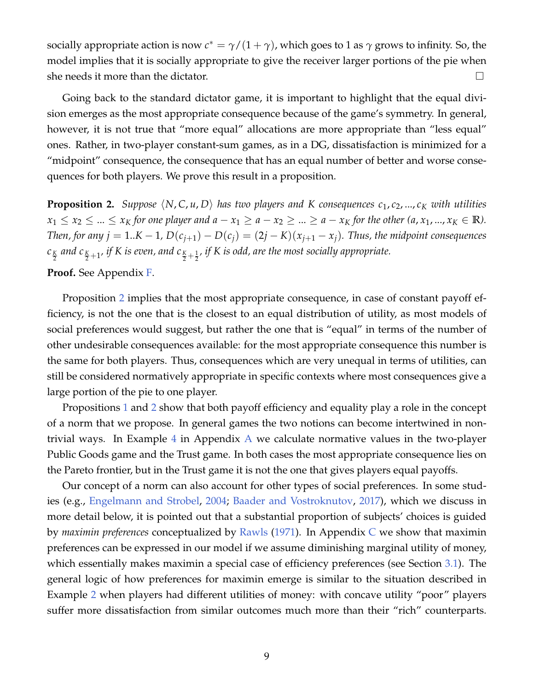socially appropriate action is now  $c^* = \gamma/(1+\gamma)$ , which goes to 1 as  $\gamma$  grows to infinity. So, the model implies that it is socially appropriate to give the receiver larger portions of the pie when she needs it more than the dictator.  $\Box$ 

Going back to the standard dictator game, it is important to highlight that the equal division emerges as the most appropriate consequence because of the game's symmetry. In general, however, it is not true that "more equal" allocations are more appropriate than "less equal" ones. Rather, in two-player constant-sum games, as in a DG, dissatisfaction is minimized for a "midpoint" consequence, the consequence that has an equal number of better and worse consequences for both players. We prove this result in a proposition.

<span id="page-9-0"></span>**Proposition 2.** *Suppose*  $\langle N, C, u, D \rangle$  *has two players and K consequences*  $c_1, c_2, ..., c_K$  *with utilities*  $x_1 \leq x_2 \leq ... \leq x_K$  for one player and  $a - x_1 \geq a - x_2 \geq ... \geq a - x_K$  for the other  $(a, x_1, ..., x_K \in \mathbb{R})$ . *Then, for any j* = 1..*K* − 1*,*  $D(c_{j+1}) - D(c_j) = (2j - K)(x_{j+1} - x_j)$ *. Thus, the midpoint consequences*  $c_{\frac{K}{2}}$  and  $c_{\frac{K}{2}+1}$ , if K is even, and  $c_{\frac{K}{2}+\frac{1}{2}}$ , if K is odd, are the most socially appropriate.

#### **Proof.** See Appendix [F.](#page-52-0)

Proposition [2](#page-9-0) implies that the most appropriate consequence, in case of constant payoff efficiency, is not the one that is the closest to an equal distribution of utility, as most models of social preferences would suggest, but rather the one that is "equal" in terms of the number of other undesirable consequences available: for the most appropriate consequence this number is the same for both players. Thus, consequences which are very unequal in terms of utilities, can still be considered normatively appropriate in specific contexts where most consequences give a large portion of the pie to one player.

Propositions [1](#page-8-0) and [2](#page-9-0) show that both payoff efficiency and equality play a role in the concept of a norm that we propose. In general games the two notions can become intertwined in nontrivial ways. In Example [4](#page-40-1) in Appendix [A](#page-40-0) we calculate normative values in the two-player Public Goods game and the Trust game. In both cases the most appropriate consequence lies on the Pareto frontier, but in the Trust game it is not the one that gives players equal payoffs.

Our concept of a norm can also account for other types of social preferences. In some studies (e.g., [Engelmann and Strobel,](#page-37-0) [2004;](#page-37-0) [Baader and Vostroknutov,](#page-36-3) [2017\)](#page-36-3), which we discuss in more detail below, it is pointed out that a substantial proportion of subjects' choices is guided by *maximin preferences* conceptualized by [Rawls](#page-39-5) [\(1971\)](#page-39-5). In Appendix [C](#page-46-0) we show that maximin preferences can be expressed in our model if we assume diminishing marginal utility of money, which essentially makes maximin a special case of efficiency preferences (see Section [3.1\)](#page-16-0). The general logic of how preferences for maximin emerge is similar to the situation described in Example [2](#page-8-1) when players had different utilities of money: with concave utility "poor" players suffer more dissatisfaction from similar outcomes much more than their "rich" counterparts.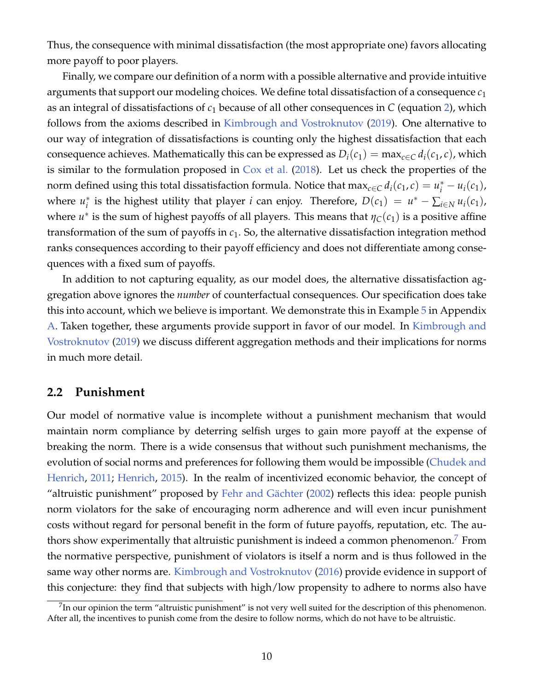Thus, the consequence with minimal dissatisfaction (the most appropriate one) favors allocating more payoff to poor players.

Finally, we compare our definition of a norm with a possible alternative and provide intuitive arguments that support our modeling choices. We define total dissatisfaction of a consequence *c*<sup>1</sup> as an integral of dissatisfactions of *c*<sup>1</sup> because of all other consequences in *C* (equation [2\)](#page-6-3), which follows from the axioms described in [Kimbrough and Vostroknutov](#page-38-11) [\(2019\)](#page-38-11). One alternative to our way of integration of dissatisfactions is counting only the highest dissatisfaction that each consequence achieves. Mathematically this can be expressed as  $D_i(c_1) = \max_{c \in C} d_i(c_1, c)$ , which is similar to the formulation proposed in [Cox et al.](#page-37-4) [\(2018\)](#page-37-4). Let us check the properties of the norm defined using this total dissatisfaction formula. Notice that  $\max_{c \in C} d_i(c_1, c) = u_i^* - u_i(c_1)$ , where  $u_i^*$ <sup>\*</sup><sub>*i*</sub> is the highest utility that player *i* can enjoy. Therefore,  $D(c_1) = u^* - \sum_{i \in N} u_i(c_1)$ , where  $u^*$  is the sum of highest payoffs of all players. This means that  $\eta_C(c_1)$  is a positive affine transformation of the sum of payoffs in *c*1. So, the alternative dissatisfaction integration method ranks consequences according to their payoff efficiency and does not differentiate among consequences with a fixed sum of payoffs.

In addition to not capturing equality, as our model does, the alternative dissatisfaction aggregation above ignores the *number* of counterfactual consequences. Our specification does take this into account, which we believe is important. We demonstrate this in Example [5](#page-41-0) in Appendix [A.](#page-40-0) Taken together, these arguments provide support in favor of our model. In [Kimbrough and](#page-38-11) [Vostroknutov](#page-38-11) [\(2019\)](#page-38-11) we discuss different aggregation methods and their implications for norms in much more detail.

### <span id="page-10-1"></span>**2.2 Punishment**

Our model of normative value is incomplete without a punishment mechanism that would maintain norm compliance by deterring selfish urges to gain more payoff at the expense of breaking the norm. There is a wide consensus that without such punishment mechanisms, the evolution of social norms and preferences for following them would be impossible [\(Chudek and](#page-37-5) [Henrich,](#page-37-5) [2011;](#page-37-5) [Henrich,](#page-37-2) [2015\)](#page-37-2). In the realm of incentivized economic behavior, the concept of "altruistic punishment" proposed by Fehr and Gächter  $(2002)$  reflects this idea: people punish norm violators for the sake of encouraging norm adherence and will even incur punishment costs without regard for personal benefit in the form of future payoffs, reputation, etc. The au-thors show experimentally that altruistic punishment is indeed a common phenomenon.<sup>[7](#page-10-0)</sup> From the normative perspective, punishment of violators is itself a norm and is thus followed in the same way other norms are. [Kimbrough and Vostroknutov](#page-38-3) [\(2016\)](#page-38-3) provide evidence in support of this conjecture: they find that subjects with high/low propensity to adhere to norms also have

<span id="page-10-0"></span> $^{7}$ In our opinion the term "altruistic punishment" is not very well suited for the description of this phenomenon. After all, the incentives to punish come from the desire to follow norms, which do not have to be altruistic.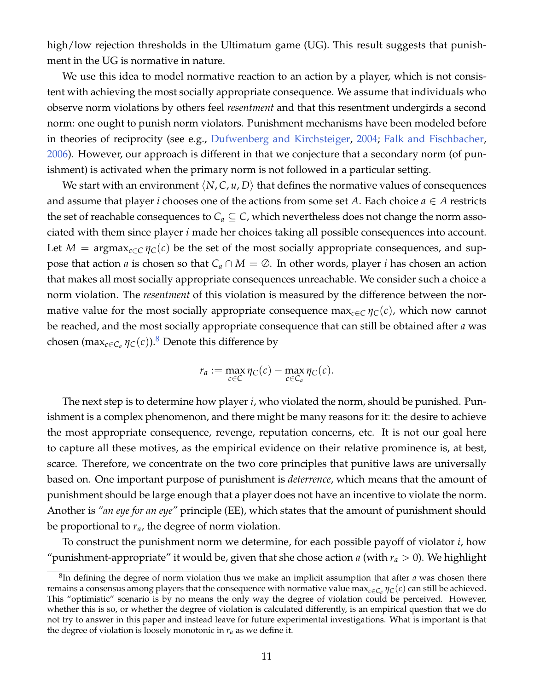high/low rejection thresholds in the Ultimatum game (UG). This result suggests that punishment in the UG is normative in nature.

We use this idea to model normative reaction to an action by a player, which is not consistent with achieving the most socially appropriate consequence. We assume that individuals who observe norm violations by others feel *resentment* and that this resentment undergirds a second norm: one ought to punish norm violators. Punishment mechanisms have been modeled before in theories of reciprocity (see e.g., [Dufwenberg and Kirchsteiger,](#page-37-7) [2004;](#page-37-7) [Falk and Fischbacher,](#page-37-8) [2006\)](#page-37-8). However, our approach is different in that we conjecture that a secondary norm (of punishment) is activated when the primary norm is not followed in a particular setting.

We start with an environment  $\langle N, C, u, D \rangle$  that defines the normative values of consequences and assume that player *i* chooses one of the actions from some set *A*. Each choice  $a \in A$  restricts the set of reachable consequences to  $C_a \subseteq C$ , which nevertheless does not change the norm associated with them since player *i* made her choices taking all possible consequences into account. Let  $M = \text{argmax}_{c \in C} \eta_C(c)$  be the set of the most socially appropriate consequences, and suppose that action *a* is chosen so that  $C_a \cap M = \emptyset$ . In other words, player *i* has chosen an action that makes all most socially appropriate consequences unreachable. We consider such a choice a norm violation. The *resentment* of this violation is measured by the difference between the normative value for the most socially appropriate consequence max<sub>*c*∈*C*  $\eta_c(c)$ , which now cannot</sub> be reached, and the most socially appropriate consequence that can still be obtained after *a* was chosen (max $_{c\in C_a}$   $\eta_C(c)$ ).<sup>[8](#page-11-0)</sup> Denote this difference by

$$
r_a := \max_{c \in C} \eta_C(c) - \max_{c \in C_a} \eta_C(c).
$$

The next step is to determine how player *i*, who violated the norm, should be punished. Punishment is a complex phenomenon, and there might be many reasons for it: the desire to achieve the most appropriate consequence, revenge, reputation concerns, etc. It is not our goal here to capture all these motives, as the empirical evidence on their relative prominence is, at best, scarce. Therefore, we concentrate on the two core principles that punitive laws are universally based on. One important purpose of punishment is *deterrence*, which means that the amount of punishment should be large enough that a player does not have an incentive to violate the norm. Another is *"an eye for an eye"* principle (EE), which states that the amount of punishment should be proportional to *ra*, the degree of norm violation.

To construct the punishment norm we determine, for each possible payoff of violator *i*, how "punishment-appropriate" it would be, given that she chose action *a* (with  $r_a > 0$ ). We highlight

<span id="page-11-0"></span><sup>8</sup> In defining the degree of norm violation thus we make an implicit assumption that after *a* was chosen there remains a consensus among players that the consequence with normative value max $_{c\in C_a}\eta_C(c)$  can still be achieved. This "optimistic" scenario is by no means the only way the degree of violation could be perceived. However, whether this is so, or whether the degree of violation is calculated differently, is an empirical question that we do not try to answer in this paper and instead leave for future experimental investigations. What is important is that the degree of violation is loosely monotonic in *r<sup>a</sup>* as we define it.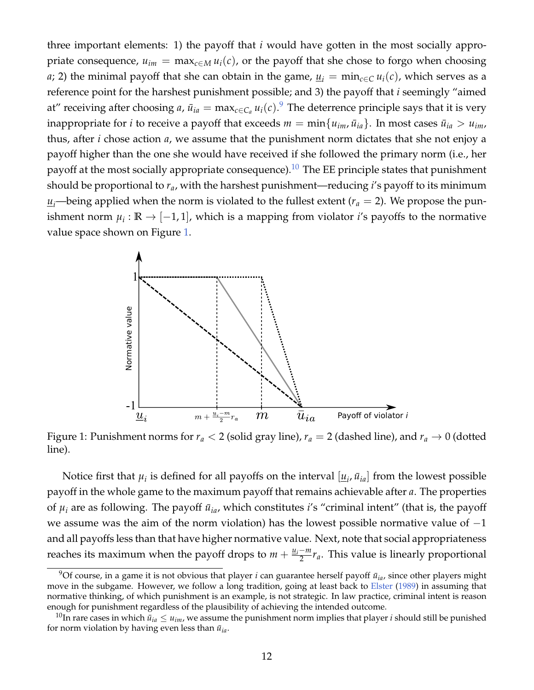three important elements: 1) the payoff that *i* would have gotten in the most socially appropriate consequence,  $u_{im} = \max_{c \in M} u_i(c)$ , or the payoff that she chose to forgo when choosing *a*; 2) the minimal payoff that she can obtain in the game,  $u_i = \min_{c \in C} u_i(c)$ , which serves as a reference point for the harshest punishment possible; and 3) the payoff that *i* seemingly "aimed at" receiving after choosing *a*,  $\bar{u}_{ia} = \max_{c \in C_a} u_i(c).$ <sup>[9](#page-12-0)</sup> The deterrence principle says that it is very inappropriate for *i* to receive a payoff that exceeds  $m = \min\{u_{im}, \bar{u}_{ia}\}$ . In most cases  $\bar{u}_{ia} > u_{im}$ , thus, after *i* chose action *a*, we assume that the punishment norm dictates that she not enjoy a payoff higher than the one she would have received if she followed the primary norm (i.e., her payoff at the most socially appropriate consequence).<sup>[10](#page-12-1)</sup> The EE principle states that punishment should be proportional to *ra*, with the harshest punishment—reducing *i*'s payoff to its minimum  $u_i$ —being applied when the norm is violated to the fullest extent ( $r_a = 2$ ). We propose the punishment norm  $\mu_i : \mathbb{R} \to [-1,1]$ , which is a mapping from violator *i'*s payoffs to the normative value space shown on Figure [1.](#page-12-2)



<span id="page-12-2"></span>Figure 1: Punishment norms for  $r_a < 2$  (solid gray line),  $r_a = 2$  (dashed line), and  $r_a \rightarrow 0$  (dotted line).

Notice first that  $\mu_i$  is defined for all payoffs on the interval  $[\underline{u}_i, \bar{u}_{ia}]$  from the lowest possible payoff in the whole game to the maximum payoff that remains achievable after *a*. The properties of  $\mu_i$  are as following. The payoff  $\bar{u}_{ia}$ , which constitutes *i*'s "criminal intent" (that is, the payoff we assume was the aim of the norm violation) has the lowest possible normative value of  $-1$ and all payoffs less than that have higher normative value. Next, note that social appropriateness reaches its maximum when the payoff drops to  $m + \frac{u_i - m}{2}$  $\frac{-m}{2}r_a$ . This value is linearly proportional

<span id="page-12-0"></span> $9$ Of course, in a game it is not obvious that player *i* can guarantee herself payoff  $\bar{u}_{ia}$ , since other players might move in the subgame. However, we follow a long tradition, going at least back to [Elster](#page-37-9) [\(1989\)](#page-37-9) in assuming that normative thinking, of which punishment is an example, is not strategic. In law practice, criminal intent is reason enough for punishment regardless of the plausibility of achieving the intended outcome.

<span id="page-12-1"></span><sup>&</sup>lt;sup>10</sup>In rare cases in which  $\bar{u}_{ia} \leq u_{im}$ , we assume the punishment norm implies that player *i* should still be punished for norm violation by having even less than  $\bar{u}_{ia}$ .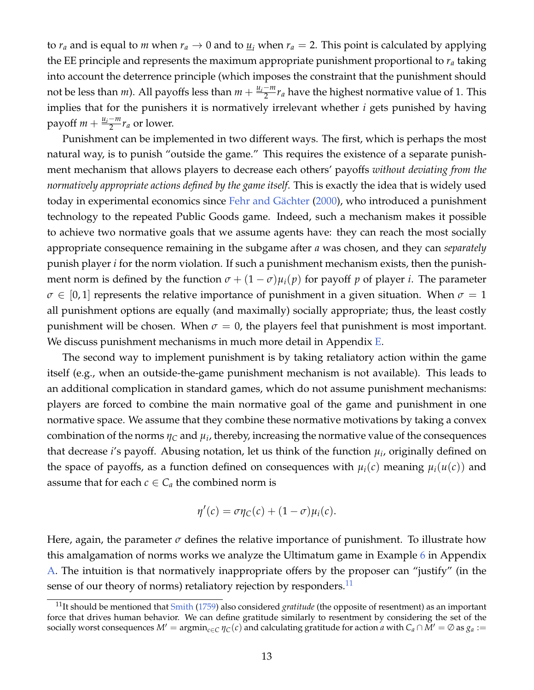to  $r_a$  and is equal to *m* when  $r_a \rightarrow 0$  and to  $u_i$  when  $r_a = 2$ . This point is calculated by applying the EE principle and represents the maximum appropriate punishment proportional to *r<sup>a</sup>* taking into account the deterrence principle (which imposes the constraint that the punishment should not be less than *m*). All payoffs less than  $m + \frac{u_i - m}{2}$  $\frac{-m}{2}r_a$  have the highest normative value of 1. This implies that for the punishers it is normatively irrelevant whether *i* gets punished by having  $p$ ayoff *m* +  $\frac{\mu_i - m}{2}$  $\frac{-m}{2}r_a$  or lower.

Punishment can be implemented in two different ways. The first, which is perhaps the most natural way, is to punish "outside the game." This requires the existence of a separate punishment mechanism that allows players to decrease each others' payoffs *without deviating from the normatively appropriate actions defined by the game itself*. This is exactly the idea that is widely used today in experimental economics since Fehr and Gächter [\(2000\)](#page-37-10), who introduced a punishment technology to the repeated Public Goods game. Indeed, such a mechanism makes it possible to achieve two normative goals that we assume agents have: they can reach the most socially appropriate consequence remaining in the subgame after *a* was chosen, and they can *separately* punish player *i* for the norm violation. If such a punishment mechanism exists, then the punishment norm is defined by the function  $\sigma + (1 - \sigma) \mu_i(p)$  for payoff p of player *i*. The parameter  $\sigma \in [0,1]$  represents the relative importance of punishment in a given situation. When  $\sigma = 1$ all punishment options are equally (and maximally) socially appropriate; thus, the least costly punishment will be chosen. When  $\sigma = 0$ , the players feel that punishment is most important. We discuss punishment mechanisms in much more detail in Appendix [E.](#page-49-0)

The second way to implement punishment is by taking retaliatory action within the game itself (e.g., when an outside-the-game punishment mechanism is not available). This leads to an additional complication in standard games, which do not assume punishment mechanisms: players are forced to combine the main normative goal of the game and punishment in one normative space. We assume that they combine these normative motivations by taking a convex combination of the norms  $\eta_C$  and  $\mu_i$ , thereby, increasing the normative value of the consequences that decrease *i*'s payoff. Abusing notation, let us think of the function *µ<sup>i</sup>* , originally defined on the space of payoffs, as a function defined on consequences with  $\mu_i(c)$  meaning  $\mu_i(u(c))$  and assume that for each  $c \in C_a$  the combined norm is

$$
\eta'(c) = \sigma \eta_C(c) + (1 - \sigma)\mu_i(c).
$$

Here, again, the parameter  $\sigma$  defines the relative importance of punishment. To illustrate how this amalgamation of norms works we analyze the Ultimatum game in Example [6](#page-42-0) in Appendix [A.](#page-40-0) The intuition is that normatively inappropriate offers by the proposer can "justify" (in the sense of our theory of norms) retaliatory rejection by responders.<sup>[11](#page-13-0)</sup>

<span id="page-13-0"></span><sup>11</sup>It should be mentioned that [Smith](#page-39-1) [\(1759\)](#page-39-1) also considered *gratitude* (the opposite of resentment) as an important force that drives human behavior. We can define gratitude similarly to resentment by considering the set of the socially worst consequences  $M' = \text{argmin}_{c \in C} \eta_C(c)$  and calculating gratitude for action *a* with  $C_a \cap M' = \emptyset$  as  $g_a :=$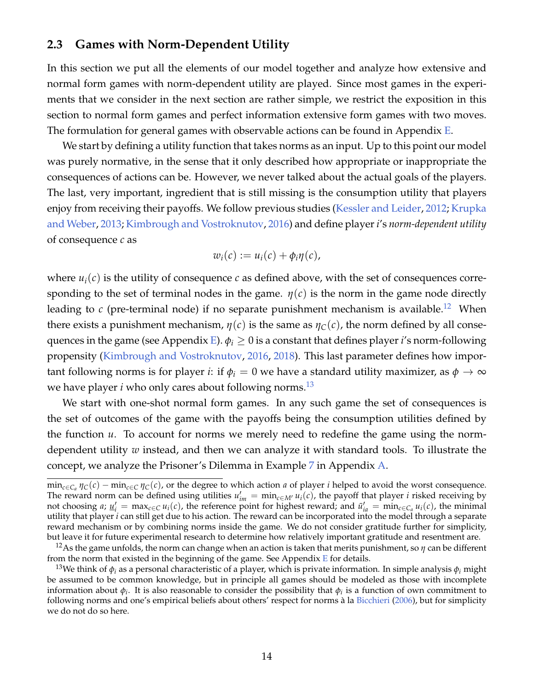### <span id="page-14-2"></span>**2.3 Games with Norm-Dependent Utility**

In this section we put all the elements of our model together and analyze how extensive and normal form games with norm-dependent utility are played. Since most games in the experiments that we consider in the next section are rather simple, we restrict the exposition in this section to normal form games and perfect information extensive form games with two moves. The formulation for general games with observable actions can be found in Appendix [E.](#page-49-0)

We start by defining a utility function that takes norms as an input. Up to this point our model was purely normative, in the sense that it only described how appropriate or inappropriate the consequences of actions can be. However, we never talked about the actual goals of the players. The last, very important, ingredient that is still missing is the consumption utility that players enjoy from receiving their payoffs. We follow previous studies [\(Kessler and Leider,](#page-38-1) [2012;](#page-38-1) [Krupka](#page-38-2) [and Weber,](#page-38-2) [2013;](#page-38-2) [Kimbrough and Vostroknutov,](#page-38-3) [2016\)](#page-38-3) and define player *i*'s *norm-dependent utility* of consequence *c* as

$$
w_i(c) := u_i(c) + \phi_i \eta(c),
$$

where  $u_i(c)$  is the utility of consequence *c* as defined above, with the set of consequences corresponding to the set of terminal nodes in the game.  $\eta(c)$  is the norm in the game node directly leading to  $c$  (pre-terminal node) if no separate punishment mechanism is available.<sup>[12](#page-14-0)</sup> When there exists a punishment mechanism,  $\eta(c)$  is the same as  $\eta_C(c)$ , the norm defined by all conse-quences in the game (see Appendix [E\)](#page-49-0).  $\phi_i \geq 0$  is a constant that defines player *i*'s norm-following propensity [\(Kimbrough and Vostroknutov,](#page-38-3) [2016,](#page-38-3) [2018\)](#page-38-4). This last parameter defines how important following norms is for player *i*: if  $\phi$ <sup>*i*</sup> = 0 we have a standard utility maximizer, as  $\phi \rightarrow \infty$ we have player *i* who only cares about following norms.<sup>[13](#page-14-1)</sup>

We start with one-shot normal form games. In any such game the set of consequences is the set of outcomes of the game with the payoffs being the consumption utilities defined by the function *u*. To account for norms we merely need to redefine the game using the normdependent utility *w* instead, and then we can analyze it with standard tools. To illustrate the concept, we analyze the Prisoner's Dilemma in Example [7](#page-43-0) in Appendix [A.](#page-40-0)

min*c*∈*C<sup>a</sup> ηC*(*c*) − min*c*∈*<sup>C</sup> ηC*(*c*), or the degree to which action *a* of player *i* helped to avoid the worst consequence. The reward norm can be defined using utilities  $u'_{im} = \min_{c \in M'} u_i(c)$ , the payoff that player *i* risked receiving by not choosing a;  $\underline{u}'_i = \max_{c \in C} u_i(c)$ , the reference point for highest reward; and  $\overline{u}'_{ia} = \min_{c \in C_a} u_i(c)$ , the minimal utility that player *i* can still get due to his action. The reward can be incorporated into the model through a separate reward mechanism or by combining norms inside the game. We do not consider gratitude further for simplicity, but leave it for future experimental research to determine how relatively important gratitude and resentment are.

<span id="page-14-0"></span><sup>&</sup>lt;sup>12</sup>As the game unfolds, the norm can change when an action is taken that merits punishment, so  $\eta$  can be different from the norm that existed in the beginning of the game. See Appendix  $E$  for details.

<span id="page-14-1"></span><sup>13</sup>We think of *φ<sup>i</sup>* as a personal characteristic of a player, which is private information. In simple analysis *φ<sup>i</sup>* might be assumed to be common knowledge, but in principle all games should be modeled as those with incomplete information about  $\phi_i$ . It is also reasonable to consider the possibility that  $\phi_i$  is a function of own commitment to following norms and one's empirical beliefs about others' respect for norms à la [Bicchieri](#page-36-4) [\(2006\)](#page-36-4), but for simplicity we do not do so here.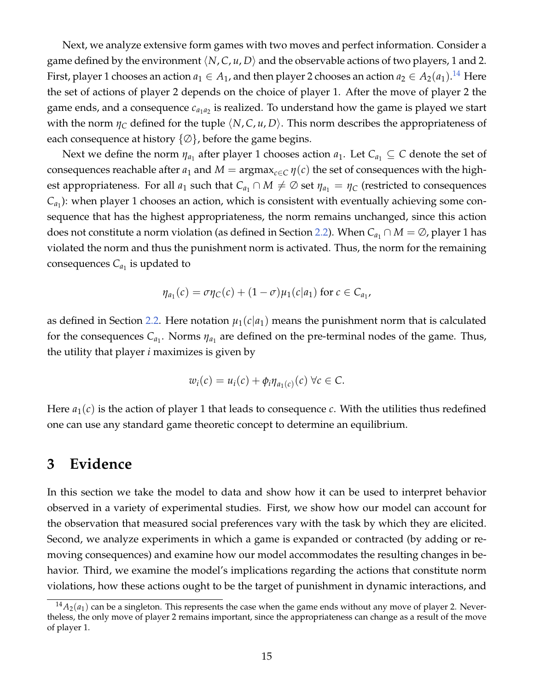Next, we analyze extensive form games with two moves and perfect information. Consider a game defined by the environment  $\langle N, C, u, D \rangle$  and the observable actions of two players, 1 and 2. First, player 1 chooses an action  $a_1 \in A_1$ , and then player 2 chooses an action  $a_2 \in A_2(a_1).^{14}$  $a_2 \in A_2(a_1).^{14}$  $a_2 \in A_2(a_1).^{14}$  Here the set of actions of player 2 depends on the choice of player 1. After the move of player 2 the game ends, and a consequence  $c_{a_1 a_2}$  is realized. To understand how the game is played we start with the norm  $\eta_C$  defined for the tuple  $\langle N, C, u, D \rangle$ . This norm describes the appropriateness of each consequence at history  $\{\emptyset\}$ , before the game begins.

Next we define the norm  $\eta_{a_1}$  after player 1 chooses action  $a_1$ . Let  $C_{a_1} \subseteq C$  denote the set of consequences reachable after  $a_1$  and  $M = \text{argmax}_{c \in C} \eta(c)$  the set of consequences with the highest appropriateness. For all  $a_1$  such that  $C_{a_1} \cap M \neq \emptyset$  set  $\eta_{a_1} = \eta_C$  (restricted to consequences  $C_{a_1}$ ): when player 1 chooses an action, which is consistent with eventually achieving some consequence that has the highest appropriateness, the norm remains unchanged, since this action does not constitute a norm violation (as defined in Section [2.2\)](#page-10-1). When  $C_{a_1} \cap M = \emptyset$ , player 1 has violated the norm and thus the punishment norm is activated. Thus, the norm for the remaining consequences  $\mathcal{C}_{a_1}$  is updated to

$$
\eta_{a_1}(c) = \sigma \eta_C(c) + (1 - \sigma) \mu_1(c|a_1) \text{ for } c \in C_{a_1},
$$

as defined in Section [2.2.](#page-10-1) Here notation  $\mu_1(c|a_1)$  means the punishment norm that is calculated for the consequences  $C_{a_1}$ . Norms  $\eta_{a_1}$  are defined on the pre-terminal nodes of the game. Thus, the utility that player *i* maximizes is given by

$$
w_i(c) = u_i(c) + \phi_i \eta_{a_1(c)}(c) \ \forall c \in C.
$$

Here  $a_1(c)$  is the action of player 1 that leads to consequence *c*. With the utilities thus redefined one can use any standard game theoretic concept to determine an equilibrium.

## **3 Evidence**

In this section we take the model to data and show how it can be used to interpret behavior observed in a variety of experimental studies. First, we show how our model can account for the observation that measured social preferences vary with the task by which they are elicited. Second, we analyze experiments in which a game is expanded or contracted (by adding or removing consequences) and examine how our model accommodates the resulting changes in behavior. Third, we examine the model's implications regarding the actions that constitute norm violations, how these actions ought to be the target of punishment in dynamic interactions, and

<span id="page-15-0"></span> $14A_2(a_1)$  can be a singleton. This represents the case when the game ends without any move of player 2. Nevertheless, the only move of player 2 remains important, since the appropriateness can change as a result of the move of player 1.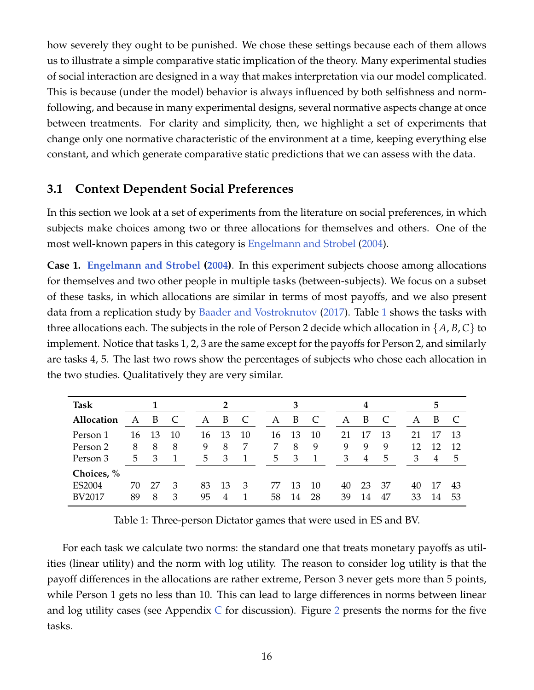how severely they ought to be punished. We chose these settings because each of them allows us to illustrate a simple comparative static implication of the theory. Many experimental studies of social interaction are designed in a way that makes interpretation via our model complicated. This is because (under the model) behavior is always influenced by both selfishness and normfollowing, and because in many experimental designs, several normative aspects change at once between treatments. For clarity and simplicity, then, we highlight a set of experiments that change only one normative characteristic of the environment at a time, keeping everything else constant, and which generate comparative static predictions that we can assess with the data.

### <span id="page-16-0"></span>**3.1 Context Dependent Social Preferences**

In this section we look at a set of experiments from the literature on social preferences, in which subjects make choices among two or three allocations for themselves and others. One of the most well-known papers in this category is [Engelmann and Strobel](#page-37-0) [\(2004\)](#page-37-0).

<span id="page-16-2"></span>**Case 1. [Engelmann and Strobel](#page-37-0) [\(2004\)](#page-37-0)**. In this experiment subjects choose among allocations for themselves and two other people in multiple tasks (between-subjects). We focus on a subset of these tasks, in which allocations are similar in terms of most payoffs, and we also present data from a replication study by [Baader and Vostroknutov](#page-36-3) [\(2017\)](#page-36-3). Table [1](#page-16-1) shows the tasks with three allocations each. The subjects in the role of Person 2 decide which allocation in  $\{A, B, C\}$  to implement. Notice that tasks 1, 2, 3 are the same except for the payoffs for Person 2, and similarly are tasks 4, 5. The last two rows show the percentages of subjects who chose each allocation in the two studies. Qualitatively they are very similar.

| Task          |    |    |    | $\overline{2}$ |    |    | 3  |    |              | 4  |    |    | 5  |    |    |
|---------------|----|----|----|----------------|----|----|----|----|--------------|----|----|----|----|----|----|
| Allocation    | A  | B  | C  | A              | B  |    | A  | B  | C            | А  | B  | C  | A  | B  |    |
| Person 1      | 16 | 13 | 10 | 16             | 13 | 10 | 16 | 13 | 10           | 21 | 17 | 13 | 21 |    | 13 |
| Person 2      | 8  | 8  | 8  | 9              | 8  |    |    | 8  | 9            | 9  | 9  | 9  | 12 | 12 | 12 |
| Person 3      | 5  | 3  |    | 5              | 3  |    | 5  | 3  | $\mathbf{1}$ | 3  | 4  | 5  | 3  | 4  | 5  |
| Choices, %    |    |    |    |                |    |    |    |    |              |    |    |    |    |    |    |
| ES2004        | 70 | 27 | 3  | 83             | 13 | 3  | 77 | 13 | 10           | 40 | 23 | 37 | 40 | 17 | 43 |
| <b>BV2017</b> | 89 | 8  | 3  | 95             | 4  |    | 58 | 14 | 28           | 39 | 14 | 47 | 33 | 14 | 53 |

<span id="page-16-1"></span>Table 1: Three-person Dictator games that were used in ES and BV.

For each task we calculate two norms: the standard one that treats monetary payoffs as utilities (linear utility) and the norm with log utility. The reason to consider log utility is that the payoff differences in the allocations are rather extreme, Person 3 never gets more than 5 points, while Person 1 gets no less than 10. This can lead to large differences in norms between linear and log utility cases (see Appendix  $C$  for discussion). Figure [2](#page-17-0) presents the norms for the five tasks.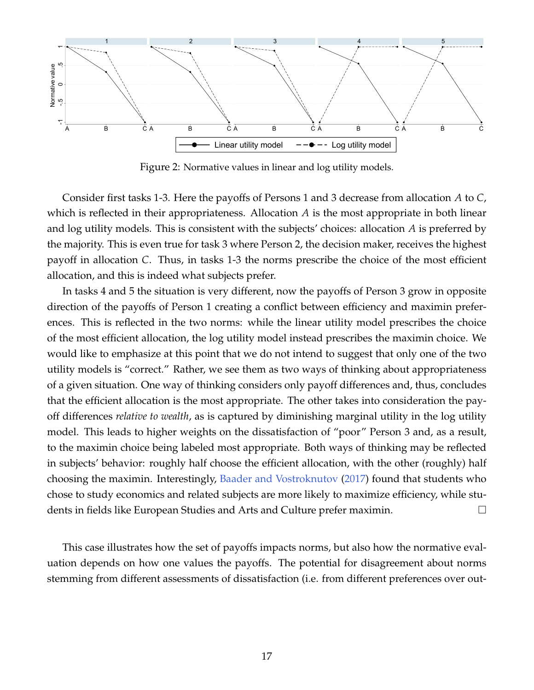

<span id="page-17-0"></span>Figure 2: Normative values in linear and log utility models.

Consider first tasks 1-3. Here the payoffs of Persons 1 and 3 decrease from allocation *A* to *C*, which is reflected in their appropriateness. Allocation *A* is the most appropriate in both linear and log utility models. This is consistent with the subjects' choices: allocation *A* is preferred by the majority. This is even true for task 3 where Person 2, the decision maker, receives the highest payoff in allocation *C*. Thus, in tasks 1-3 the norms prescribe the choice of the most efficient allocation, and this is indeed what subjects prefer.

In tasks 4 and 5 the situation is very different, now the payoffs of Person 3 grow in opposite direction of the payoffs of Person 1 creating a conflict between efficiency and maximin preferences. This is reflected in the two norms: while the linear utility model prescribes the choice of the most efficient allocation, the log utility model instead prescribes the maximin choice. We would like to emphasize at this point that we do not intend to suggest that only one of the two utility models is "correct." Rather, we see them as two ways of thinking about appropriateness of a given situation. One way of thinking considers only payoff differences and, thus, concludes that the efficient allocation is the most appropriate. The other takes into consideration the payoff differences *relative to wealth*, as is captured by diminishing marginal utility in the log utility model. This leads to higher weights on the dissatisfaction of "poor" Person 3 and, as a result, to the maximin choice being labeled most appropriate. Both ways of thinking may be reflected in subjects' behavior: roughly half choose the efficient allocation, with the other (roughly) half choosing the maximin. Interestingly, [Baader and Vostroknutov](#page-36-3) [\(2017\)](#page-36-3) found that students who chose to study economics and related subjects are more likely to maximize efficiency, while students in fields like European Studies and Arts and Culture prefer maximin.

This case illustrates how the set of payoffs impacts norms, but also how the normative evaluation depends on how one values the payoffs. The potential for disagreement about norms stemming from different assessments of dissatisfaction (i.e. from different preferences over out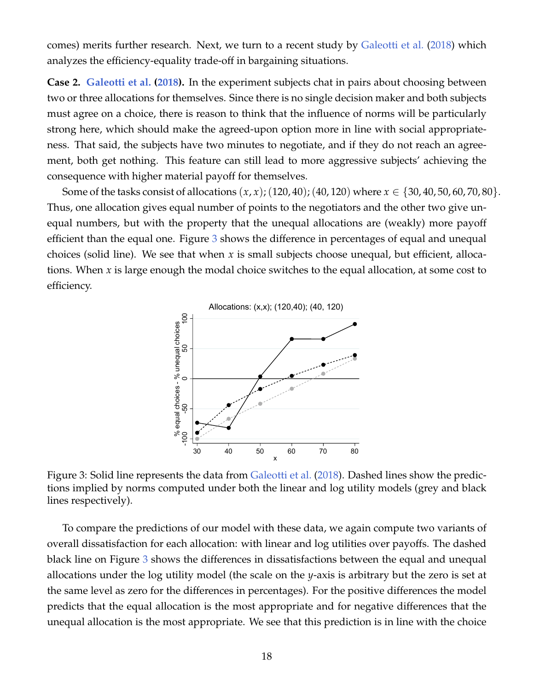comes) merits further research. Next, we turn to a recent study by [Galeotti et al.](#page-37-1) [\(2018\)](#page-37-1) which analyzes the efficiency-equality trade-off in bargaining situations.

**Case 2. [Galeotti et al.](#page-37-1) [\(2018\)](#page-37-1).** In the experiment subjects chat in pairs about choosing between two or three allocations for themselves. Since there is no single decision maker and both subjects must agree on a choice, there is reason to think that the influence of norms will be particularly strong here, which should make the agreed-upon option more in line with social appropriateness. That said, the subjects have two minutes to negotiate, and if they do not reach an agreement, both get nothing. This feature can still lead to more aggressive subjects' achieving the consequence with higher material payoff for themselves.

Some of the tasks consist of allocations  $(x, x)$ ; (120, 40); (40, 120) where  $x \in \{30, 40, 50, 60, 70, 80\}$ . Thus, one allocation gives equal number of points to the negotiators and the other two give unequal numbers, but with the property that the unequal allocations are (weakly) more payoff efficient than the equal one. Figure [3](#page-18-0) shows the difference in percentages of equal and unequal choices (solid line). We see that when *x* is small subjects choose unequal, but efficient, allocations. When *x* is large enough the modal choice switches to the equal allocation, at some cost to efficiency.



<span id="page-18-0"></span>Figure 3: Solid line represents the data from [Galeotti et al.](#page-37-1) [\(2018\)](#page-37-1). Dashed lines show the predictions implied by norms computed under both the linear and log utility models (grey and black lines respectively).

To compare the predictions of our model with these data, we again compute two variants of overall dissatisfaction for each allocation: with linear and log utilities over payoffs. The dashed black line on Figure [3](#page-18-0) shows the differences in dissatisfactions between the equal and unequal allocations under the log utility model (the scale on the *y*-axis is arbitrary but the zero is set at the same level as zero for the differences in percentages). For the positive differences the model predicts that the equal allocation is the most appropriate and for negative differences that the unequal allocation is the most appropriate. We see that this prediction is in line with the choice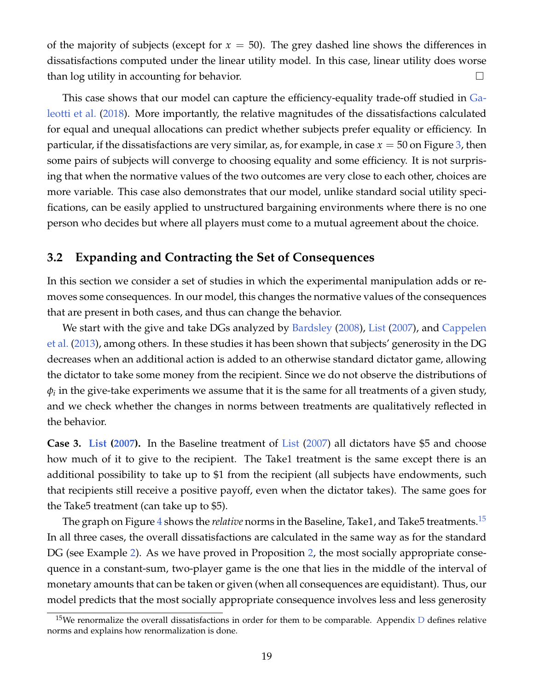of the majority of subjects (except for  $x = 50$ ). The grey dashed line shows the differences in dissatisfactions computed under the linear utility model. In this case, linear utility does worse than log utility in accounting for behavior.

This case shows that our model can capture the efficiency-equality trade-off studied in [Ga](#page-37-1)[leotti et al.](#page-37-1) [\(2018\)](#page-37-1). More importantly, the relative magnitudes of the dissatisfactions calculated for equal and unequal allocations can predict whether subjects prefer equality or efficiency. In particular, if the dissatisfactions are very similar, as, for example, in case *x* = 50 on Figure [3,](#page-18-0) then some pairs of subjects will converge to choosing equality and some efficiency. It is not surprising that when the normative values of the two outcomes are very close to each other, choices are more variable. This case also demonstrates that our model, unlike standard social utility specifications, can be easily applied to unstructured bargaining environments where there is no one person who decides but where all players must come to a mutual agreement about the choice.

### **3.2 Expanding and Contracting the Set of Consequences**

In this section we consider a set of studies in which the experimental manipulation adds or removes some consequences. In our model, this changes the normative values of the consequences that are present in both cases, and thus can change the behavior.

We start with the give and take DGs analyzed by [Bardsley](#page-36-5) [\(2008\)](#page-36-5), [List](#page-38-7) [\(2007\)](#page-38-7), and [Cappelen](#page-36-6) [et al.](#page-36-6) [\(2013\)](#page-36-6), among others. In these studies it has been shown that subjects' generosity in the DG decreases when an additional action is added to an otherwise standard dictator game, allowing the dictator to take some money from the recipient. Since we do not observe the distributions of  $\phi_i$  in the give-take experiments we assume that it is the same for all treatments of a given study, and we check whether the changes in norms between treatments are qualitatively reflected in the behavior.

<span id="page-19-1"></span>**Case 3. [List](#page-38-7) [\(2007\)](#page-38-7).** In the Baseline treatment of [List](#page-38-7) [\(2007\)](#page-38-7) all dictators have \$5 and choose how much of it to give to the recipient. The Take1 treatment is the same except there is an additional possibility to take up to \$1 from the recipient (all subjects have endowments, such that recipients still receive a positive payoff, even when the dictator takes). The same goes for the Take5 treatment (can take up to \$5).

The graph on Figure [4](#page-20-0) shows the *relative* norms in the Baseline, Take1, and Take5 treatments.[15](#page-19-0) In all three cases, the overall dissatisfactions are calculated in the same way as for the standard DG (see Example [2\)](#page-8-1). As we have proved in Proposition [2,](#page-9-0) the most socially appropriate consequence in a constant-sum, two-player game is the one that lies in the middle of the interval of monetary amounts that can be taken or given (when all consequences are equidistant). Thus, our model predicts that the most socially appropriate consequence involves less and less generosity

<span id="page-19-0"></span><sup>&</sup>lt;sup>15</sup>We renormalize the overall dissatisfactions in order for them to be comparable. Appendix  $D$  defines relative norms and explains how renormalization is done.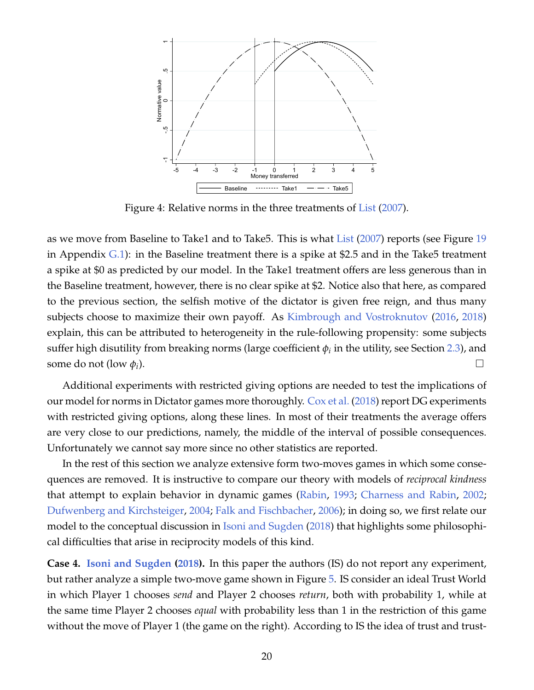

<span id="page-20-0"></span>Figure 4: Relative norms in the three treatments of [List](#page-38-7) [\(2007\)](#page-38-7).

as we move from Baseline to Take1 and to Take5. This is what [List](#page-38-7) [\(2007\)](#page-38-7) reports (see Figure [19](#page-53-0) in Appendix [G.1\)](#page-53-1): in the Baseline treatment there is a spike at \$2.5 and in the Take5 treatment a spike at \$0 as predicted by our model. In the Take1 treatment offers are less generous than in the Baseline treatment, however, there is no clear spike at \$2. Notice also that here, as compared to the previous section, the selfish motive of the dictator is given free reign, and thus many subjects choose to maximize their own payoff. As [Kimbrough and Vostroknutov](#page-38-3) [\(2016,](#page-38-3) [2018\)](#page-38-4) explain, this can be attributed to heterogeneity in the rule-following propensity: some subjects suffer high disutility from breaking norms (large coefficient  $\phi_i$  in the utility, see Section [2.3\)](#page-14-2), and some do not (low  $\phi_i$ ). ).

Additional experiments with restricted giving options are needed to test the implications of our model for norms in Dictator games more thoroughly. [Cox et al.](#page-37-4) [\(2018\)](#page-37-4) report DG experiments with restricted giving options, along these lines. In most of their treatments the average offers are very close to our predictions, namely, the middle of the interval of possible consequences. Unfortunately we cannot say more since no other statistics are reported.

In the rest of this section we analyze extensive form two-moves games in which some consequences are removed. It is instructive to compare our theory with models of *reciprocal kindness* that attempt to explain behavior in dynamic games [\(Rabin,](#page-39-6) [1993;](#page-39-6) [Charness and Rabin,](#page-36-2) [2002;](#page-36-2) [Dufwenberg and Kirchsteiger,](#page-37-7) [2004;](#page-37-7) [Falk and Fischbacher,](#page-37-8) [2006\)](#page-37-8); in doing so, we first relate our model to the conceptual discussion in [Isoni and Sugden](#page-38-12) [\(2018\)](#page-38-12) that highlights some philosophical difficulties that arise in reciprocity models of this kind.

**Case 4. [Isoni and Sugden](#page-38-12) [\(2018\)](#page-38-12).** In this paper the authors (IS) do not report any experiment, but rather analyze a simple two-move game shown in Figure [5.](#page-21-0) IS consider an ideal Trust World in which Player 1 chooses *send* and Player 2 chooses *return*, both with probability 1, while at the same time Player 2 chooses *equal* with probability less than 1 in the restriction of this game without the move of Player 1 (the game on the right). According to IS the idea of trust and trust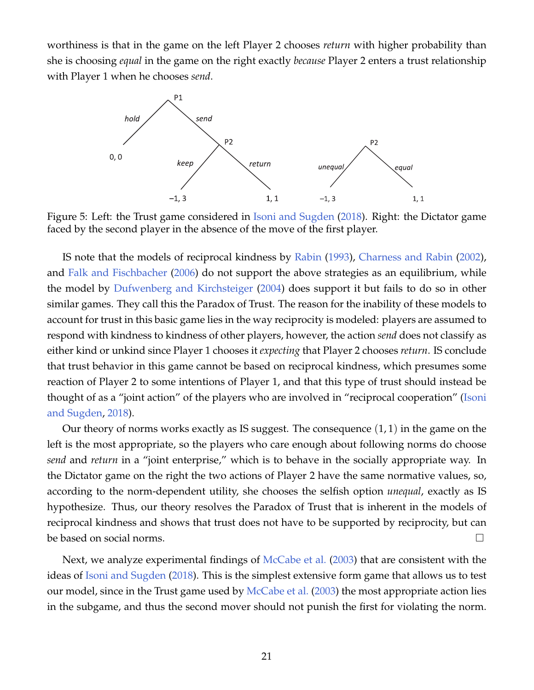worthiness is that in the game on the left Player 2 chooses *return* with higher probability than she is choosing *equal* in the game on the right exactly *because* Player 2 enters a trust relationship with Player 1 when he chooses *send*.



<span id="page-21-0"></span>Figure 5: Left: the Trust game considered in [Isoni and Sugden](#page-38-12) [\(2018\)](#page-38-12). Right: the Dictator game faced by the second player in the absence of the move of the first player.

IS note that the models of reciprocal kindness by [Rabin](#page-39-6) [\(1993\)](#page-39-6), [Charness and Rabin](#page-36-2) [\(2002\)](#page-36-2), and [Falk and Fischbacher](#page-37-8) [\(2006\)](#page-37-8) do not support the above strategies as an equilibrium, while the model by [Dufwenberg and Kirchsteiger](#page-37-7) [\(2004\)](#page-37-7) does support it but fails to do so in other similar games. They call this the Paradox of Trust. The reason for the inability of these models to account for trust in this basic game lies in the way reciprocity is modeled: players are assumed to respond with kindness to kindness of other players, however, the action *send* does not classify as either kind or unkind since Player 1 chooses it *expecting* that Player 2 chooses *return*. IS conclude that trust behavior in this game cannot be based on reciprocal kindness, which presumes some reaction of Player 2 to some intentions of Player 1, and that this type of trust should instead be thought of as a "joint action" of the players who are involved in "reciprocal cooperation" [\(Isoni](#page-38-12) [and Sugden,](#page-38-12) [2018\)](#page-38-12).

Our theory of norms works exactly as IS suggest. The consequence  $(1,1)$  in the game on the left is the most appropriate, so the players who care enough about following norms do choose *send* and *return* in a "joint enterprise," which is to behave in the socially appropriate way. In the Dictator game on the right the two actions of Player 2 have the same normative values, so, according to the norm-dependent utility, she chooses the selfish option *unequal*, exactly as IS hypothesize. Thus, our theory resolves the Paradox of Trust that is inherent in the models of reciprocal kindness and shows that trust does not have to be supported by reciprocity, but can be based on social norms.  $\Box$ 

Next, we analyze experimental findings of [McCabe et al.](#page-38-8) [\(2003\)](#page-38-8) that are consistent with the ideas of [Isoni and Sugden](#page-38-12) [\(2018\)](#page-38-12). This is the simplest extensive form game that allows us to test our model, since in the Trust game used by [McCabe et al.](#page-38-8) [\(2003\)](#page-38-8) the most appropriate action lies in the subgame, and thus the second mover should not punish the first for violating the norm.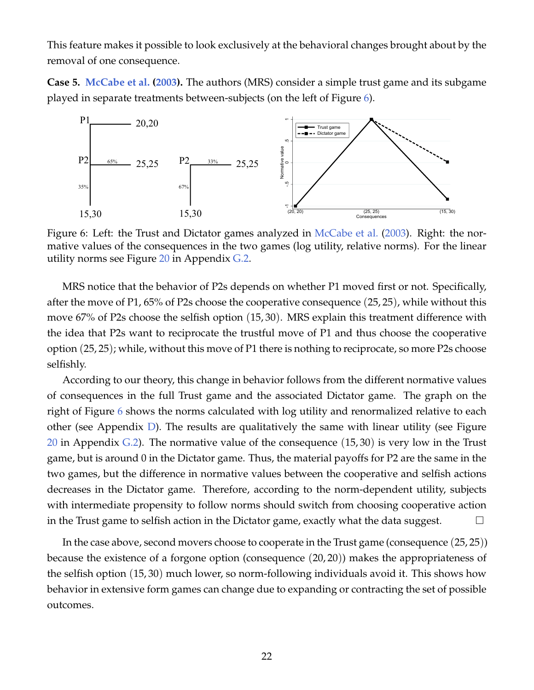This feature makes it possible to look exclusively at the behavioral changes brought about by the removal of one consequence.

<span id="page-22-1"></span>**Case 5. [McCabe et al.](#page-38-8) [\(2003\)](#page-38-8).** The authors (MRS) consider a simple trust game and its subgame played in separate treatments between-subjects (on the left of Figure [6\)](#page-22-0).



<span id="page-22-0"></span>Figure 6: Left: the Trust and Dictator games analyzed in [McCabe et al.](#page-38-8) [\(2003\)](#page-38-8). Right: the normative values of the consequences in the two games (log utility, relative norms). For the linear utility norms see Figure [20](#page-53-2) in Appendix [G.2.](#page-53-3)

MRS notice that the behavior of P2s depends on whether P1 moved first or not. Specifically, after the move of P1, 65% of P2s choose the cooperative consequence (25, 25), while without this move 67% of P2s choose the selfish option (15, 30). MRS explain this treatment difference with the idea that P2s want to reciprocate the trustful move of P1 and thus choose the cooperative option (25, 25); while, without this move of P1 there is nothing to reciprocate, so more P2s choose selfishly.

According to our theory, this change in behavior follows from the different normative values of consequences in the full Trust game and the associated Dictator game. The graph on the right of Figure [6](#page-22-0) shows the norms calculated with log utility and renormalized relative to each other (see Appendix [D\)](#page-48-0). The results are qualitatively the same with linear utility (see Figure [20](#page-53-2) in Appendix [G.2\)](#page-53-3). The normative value of the consequence  $(15, 30)$  is very low in the Trust game, but is around 0 in the Dictator game. Thus, the material payoffs for P2 are the same in the two games, but the difference in normative values between the cooperative and selfish actions decreases in the Dictator game. Therefore, according to the norm-dependent utility, subjects with intermediate propensity to follow norms should switch from choosing cooperative action in the Trust game to selfish action in the Dictator game, exactly what the data suggest.  $\Box$ 

In the case above, second movers choose to cooperate in the Trust game (consequence (25, 25)) because the existence of a forgone option (consequence (20, 20)) makes the appropriateness of the selfish option (15, 30) much lower, so norm-following individuals avoid it. This shows how behavior in extensive form games can change due to expanding or contracting the set of possible outcomes.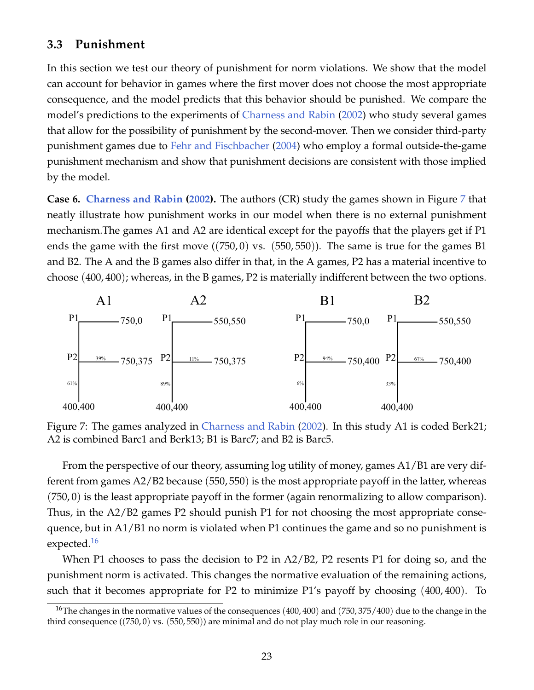### **3.3 Punishment**

In this section we test our theory of punishment for norm violations. We show that the model can account for behavior in games where the first mover does not choose the most appropriate consequence, and the model predicts that this behavior should be punished. We compare the model's predictions to the experiments of [Charness and Rabin](#page-36-2) [\(2002\)](#page-36-2) who study several games that allow for the possibility of punishment by the second-mover. Then we consider third-party punishment games due to [Fehr and Fischbacher](#page-37-3) [\(2004\)](#page-37-3) who employ a formal outside-the-game punishment mechanism and show that punishment decisions are consistent with those implied by the model.

<span id="page-23-2"></span>**Case 6. [Charness and Rabin](#page-36-2) [\(2002\)](#page-36-2).** The authors (CR) study the games shown in Figure [7](#page-23-0) that neatly illustrate how punishment works in our model when there is no external punishment mechanism.The games A1 and A2 are identical except for the payoffs that the players get if P1 ends the game with the first move ((750, 0) vs. (550, 550)). The same is true for the games B1 and B2. The A and the B games also differ in that, in the A games, P2 has a material incentive to choose (400, 400); whereas, in the B games, P2 is materially indifferent between the two options.



<span id="page-23-0"></span>Figure 7: The games analyzed in [Charness and Rabin](#page-36-2) [\(2002\)](#page-36-2). In this study A1 is coded Berk21; A2 is combined Barc1 and Berk13; B1 is Barc7; and B2 is Barc5.

From the perspective of our theory, assuming log utility of money, games A1/B1 are very different from games A2/B2 because (550, 550) is the most appropriate payoff in the latter, whereas (750, 0) is the least appropriate payoff in the former (again renormalizing to allow comparison). Thus, in the A2/B2 games P2 should punish P1 for not choosing the most appropriate consequence, but in A1/B1 no norm is violated when P1 continues the game and so no punishment is expected.<sup>[16](#page-23-1)</sup>

When P1 chooses to pass the decision to P2 in A2/B2, P2 resents P1 for doing so, and the punishment norm is activated. This changes the normative evaluation of the remaining actions, such that it becomes appropriate for P2 to minimize P1's payoff by choosing (400, 400). To

<span id="page-23-1"></span><sup>&</sup>lt;sup>16</sup>The changes in the normative values of the consequences  $(400, 400)$  and  $(750, 375/400)$  due to the change in the third consequence ((750, 0) vs. (550, 550)) are minimal and do not play much role in our reasoning.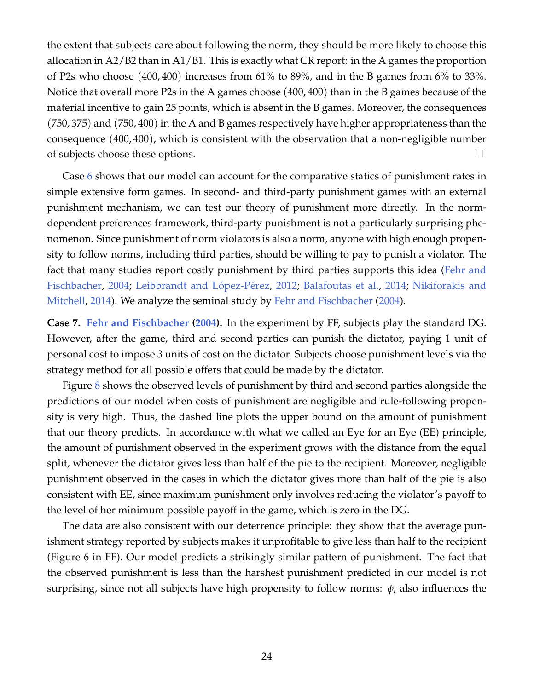the extent that subjects care about following the norm, they should be more likely to choose this allocation in A2/B2 than in A1/B1. This is exactly what CR report: in the A games the proportion of P2s who choose (400, 400) increases from 61% to 89%, and in the B games from 6% to 33%. Notice that overall more P2s in the A games choose (400, 400) than in the B games because of the material incentive to gain 25 points, which is absent in the B games. Moreover, the consequences (750, 375) and (750, 400) in the A and B games respectively have higher appropriateness than the consequence (400, 400), which is consistent with the observation that a non-negligible number of subjects choose these options.

Case [6](#page-23-2) shows that our model can account for the comparative statics of punishment rates in simple extensive form games. In second- and third-party punishment games with an external punishment mechanism, we can test our theory of punishment more directly. In the normdependent preferences framework, third-party punishment is not a particularly surprising phenomenon. Since punishment of norm violators is also a norm, anyone with high enough propensity to follow norms, including third parties, should be willing to pay to punish a violator. The fact that many studies report costly punishment by third parties supports this idea [\(Fehr and](#page-37-3) [Fischbacher,](#page-37-3) [2004;](#page-37-3) Leibbrandt and López-Pérez, [2012;](#page-38-13) [Balafoutas et al.,](#page-36-7) [2014;](#page-36-7) [Nikiforakis and](#page-38-14) [Mitchell,](#page-38-14) [2014\)](#page-38-14). We analyze the seminal study by [Fehr and Fischbacher](#page-37-3) [\(2004\)](#page-37-3).

**Case 7. [Fehr and Fischbacher](#page-37-3) [\(2004\)](#page-37-3).** In the experiment by FF, subjects play the standard DG. However, after the game, third and second parties can punish the dictator, paying 1 unit of personal cost to impose 3 units of cost on the dictator. Subjects choose punishment levels via the strategy method for all possible offers that could be made by the dictator.

Figure [8](#page-25-0) shows the observed levels of punishment by third and second parties alongside the predictions of our model when costs of punishment are negligible and rule-following propensity is very high. Thus, the dashed line plots the upper bound on the amount of punishment that our theory predicts. In accordance with what we called an Eye for an Eye (EE) principle, the amount of punishment observed in the experiment grows with the distance from the equal split, whenever the dictator gives less than half of the pie to the recipient. Moreover, negligible punishment observed in the cases in which the dictator gives more than half of the pie is also consistent with EE, since maximum punishment only involves reducing the violator's payoff to the level of her minimum possible payoff in the game, which is zero in the DG.

The data are also consistent with our deterrence principle: they show that the average punishment strategy reported by subjects makes it unprofitable to give less than half to the recipient (Figure 6 in FF). Our model predicts a strikingly similar pattern of punishment. The fact that the observed punishment is less than the harshest punishment predicted in our model is not surprising, since not all subjects have high propensity to follow norms: *φ<sup>i</sup>* also influences the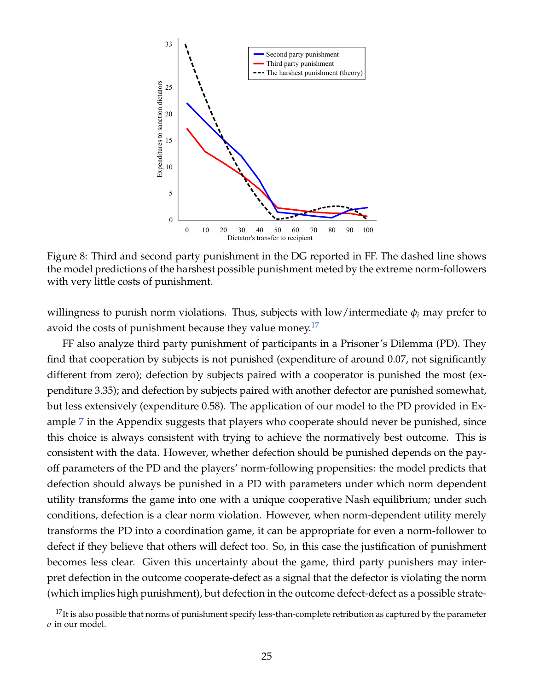

<span id="page-25-0"></span>Figure 8: Third and second party punishment in the DG reported in FF. The dashed line shows the model predictions of the harshest possible punishment meted by the extreme norm-followers with very little costs of punishment.

willingness to punish norm violations. Thus, subjects with low/intermediate *φ<sup>i</sup>* may prefer to avoid the costs of punishment because they value money.<sup>[17](#page-25-1)</sup>

FF also analyze third party punishment of participants in a Prisoner's Dilemma (PD). They find that cooperation by subjects is not punished (expenditure of around 0.07, not significantly different from zero); defection by subjects paired with a cooperator is punished the most (expenditure 3.35); and defection by subjects paired with another defector are punished somewhat, but less extensively (expenditure 0.58). The application of our model to the PD provided in Example [7](#page-43-0) in the Appendix suggests that players who cooperate should never be punished, since this choice is always consistent with trying to achieve the normatively best outcome. This is consistent with the data. However, whether defection should be punished depends on the payoff parameters of the PD and the players' norm-following propensities: the model predicts that defection should always be punished in a PD with parameters under which norm dependent utility transforms the game into one with a unique cooperative Nash equilibrium; under such conditions, defection is a clear norm violation. However, when norm-dependent utility merely transforms the PD into a coordination game, it can be appropriate for even a norm-follower to defect if they believe that others will defect too. So, in this case the justification of punishment becomes less clear. Given this uncertainty about the game, third party punishers may interpret defection in the outcome cooperate-defect as a signal that the defector is violating the norm (which implies high punishment), but defection in the outcome defect-defect as a possible strate-

<span id="page-25-1"></span> $17$ It is also possible that norms of punishment specify less-than-complete retribution as captured by the parameter *σ* in our model.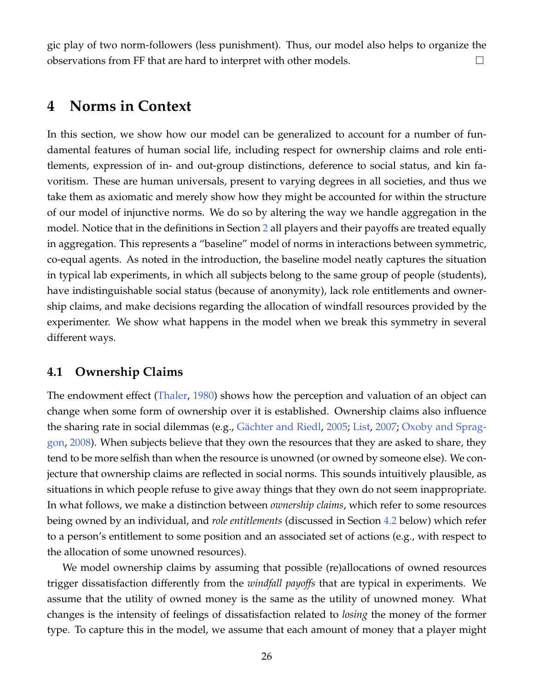gic play of two norm-followers (less punishment). Thus, our model also helps to organize the observations from FF that are hard to interpret with other models.  $\Box$ 

### **4 Norms in Context**

In this section, we show how our model can be generalized to account for a number of fundamental features of human social life, including respect for ownership claims and role entitlements, expression of in- and out-group distinctions, deference to social status, and kin favoritism. These are human universals, present to varying degrees in all societies, and thus we take them as axiomatic and merely show how they might be accounted for within the structure of our model of injunctive norms. We do so by altering the way we handle aggregation in the model. Notice that in the definitions in Section [2](#page-5-1) all players and their payoffs are treated equally in aggregation. This represents a "baseline" model of norms in interactions between symmetric, co-equal agents. As noted in the introduction, the baseline model neatly captures the situation in typical lab experiments, in which all subjects belong to the same group of people (students), have indistinguishable social status (because of anonymity), lack role entitlements and ownership claims, and make decisions regarding the allocation of windfall resources provided by the experimenter. We show what happens in the model when we break this symmetry in several different ways.

### **4.1 Ownership Claims**

The endowment effect [\(Thaler,](#page-39-7) [1980\)](#page-39-7) shows how the perception and valuation of an object can change when some form of ownership over it is established. Ownership claims also influence the sharing rate in social dilemmas (e.g., Gächter and Riedl, [2005;](#page-37-11) [List,](#page-38-7) [2007;](#page-38-7) [Oxoby and Sprag](#page-39-8)[gon,](#page-39-8) [2008\)](#page-39-8). When subjects believe that they own the resources that they are asked to share, they tend to be more selfish than when the resource is unowned (or owned by someone else). We conjecture that ownership claims are reflected in social norms. This sounds intuitively plausible, as situations in which people refuse to give away things that they own do not seem inappropriate. In what follows, we make a distinction between *ownership claims*, which refer to some resources being owned by an individual, and *role entitlements* (discussed in Section [4.2](#page-29-0) below) which refer to a person's entitlement to some position and an associated set of actions (e.g., with respect to the allocation of some unowned resources).

We model ownership claims by assuming that possible (re)allocations of owned resources trigger dissatisfaction differently from the *windfall payoffs* that are typical in experiments. We assume that the utility of owned money is the same as the utility of unowned money. What changes is the intensity of feelings of dissatisfaction related to *losing* the money of the former type. To capture this in the model, we assume that each amount of money that a player might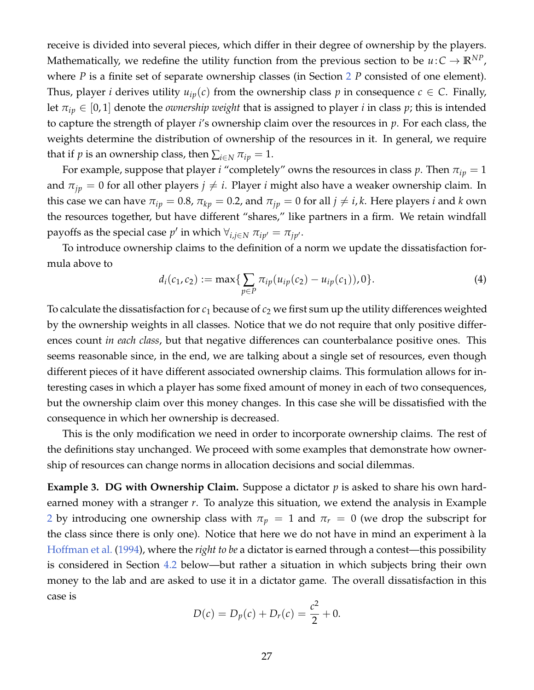receive is divided into several pieces, which differ in their degree of ownership by the players. Mathematically, we redefine the utility function from the previous section to be  $u\!:\!C\to\mathbb{R}^{NP}$ , where *P* is a finite set of separate ownership classes (in Section [2](#page-5-1) *P* consisted of one element). Thus, player *i* derives utility  $u_{ip}(c)$  from the ownership class p in consequence  $c \in C$ . Finally, let  $\pi_{ip} \in [0,1]$  denote the *ownership weight* that is assigned to player *i* in class *p*; this is intended to capture the strength of player *i*'s ownership claim over the resources in *p*. For each class, the weights determine the distribution of ownership of the resources in it. In general, we require that if *p* is an ownership class, then  $\sum_{i \in N} \pi_{ip} = 1$ .

For example, suppose that player *i* "completely" owns the resources in class  $p$ . Then  $\pi_{ip} = 1$ and  $\pi_{ip} = 0$  for all other players  $j \neq i$ . Player *i* might also have a weaker ownership claim. In this case we can have  $\pi_{ip} = 0.8$ ,  $\pi_{kp} = 0.2$ , and  $\pi_{jp} = 0$  for all  $j \neq i, k$ . Here players *i* and *k* own the resources together, but have different "shares," like partners in a firm. We retain windfall payoffs as the special case  $p'$  in which  $\forall_{i,j \in N} \pi_{ip'} = \pi_{jp'}.$ 

To introduce ownership claims to the definition of a norm we update the dissatisfaction formula above to

$$
d_i(c_1, c_2) := \max\{\sum_{p \in P} \pi_{ip}(u_{ip}(c_2) - u_{ip}(c_1)), 0\}.
$$
 (4)

To calculate the dissatisfaction for  $c_1$  because of  $c_2$  we first sum up the utility differences weighted by the ownership weights in all classes. Notice that we do not require that only positive differences count *in each class*, but that negative differences can counterbalance positive ones. This seems reasonable since, in the end, we are talking about a single set of resources, even though different pieces of it have different associated ownership claims. This formulation allows for interesting cases in which a player has some fixed amount of money in each of two consequences, but the ownership claim over this money changes. In this case she will be dissatisfied with the consequence in which her ownership is decreased.

This is the only modification we need in order to incorporate ownership claims. The rest of the definitions stay unchanged. We proceed with some examples that demonstrate how ownership of resources can change norms in allocation decisions and social dilemmas.

<span id="page-27-0"></span>**Example 3. DG with Ownership Claim.** Suppose a dictator *p* is asked to share his own hardearned money with a stranger *r*. To analyze this situation, we extend the analysis in Example [2](#page-8-1) by introducing one ownership class with  $\pi_p = 1$  and  $\pi_r = 0$  (we drop the subscript for the class since there is only one). Notice that here we do not have in mind an experiment à la [Hoffman et al.](#page-37-12) [\(1994\)](#page-37-12), where the *right to be* a dictator is earned through a contest—this possibility is considered in Section [4.2](#page-29-0) below—but rather a situation in which subjects bring their own money to the lab and are asked to use it in a dictator game. The overall dissatisfaction in this case is

$$
D(c) = D_p(c) + D_r(c) = \frac{c^2}{2} + 0.
$$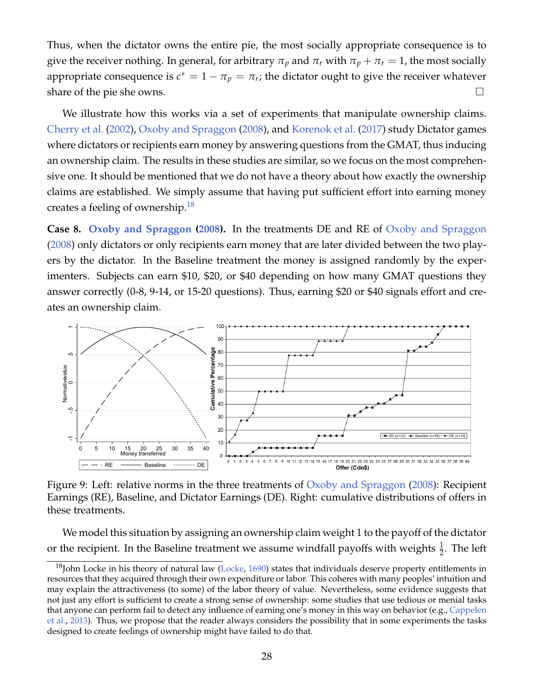Thus, when the dictator owns the entire pie, the most socially appropriate consequence is to give the receiver nothing. In general, for arbitrary  $\pi_p$  and  $\pi_r$  with  $\pi_p + \pi_r = 1$ , the most socially appropriate consequence is  $c^* = 1 - \pi_p = \pi_r$ ; the dictator ought to give the receiver whatever share of the pie she owns.  $\Box$ 

We illustrate how this works via a set of experiments that manipulate ownership claims. [Cherry et al.](#page-36-8) [\(2002\)](#page-36-8), [Oxoby and Spraggon](#page-39-8) [\(2008\)](#page-39-8), and [Korenok et al.](#page-38-15) [\(2017\)](#page-38-15) study Dictator games where dictators or recipients earn money by answering questions from the GMAT, thus inducing an ownership claim. The results in these studies are similar, so we focus on the most comprehensive one. It should be mentioned that we do not have a theory about how exactly the ownership claims are established. We simply assume that having put sufficient effort into earning money creates a feeling of ownership.<sup>[18](#page-28-0)</sup>

<span id="page-28-2"></span>**Case 8. [Oxoby and Spraggon](#page-39-8) [\(2008\)](#page-39-8).** In the treatments DE and RE of [Oxoby and Spraggon](#page-39-8) [\(2008\)](#page-39-8) only dictators or only recipients earn money that are later divided between the two players by the dictator. In the Baseline treatment the money is assigned randomly by the experimenters. Subjects can earn \$10, \$20, or \$40 depending on how many GMAT questions they answer correctly (0-8, 9-14, or 15-20 questions). Thus, earning \$20 or \$40 signals effort and creates an ownership claim.



<span id="page-28-1"></span>Figure 9: Left: relative norms in the three treatments of [Oxoby and Spraggon](#page-39-8) [\(2008\)](#page-39-8): Recipient Earnings (RE), Baseline, and Dictator Earnings (DE). Right: cumulative distributions of offers in these treatments.

We model this situation by assigning an ownership claim weight 1 to the payoff of the dictator or the recipient. In the Baseline treatment we assume windfall payoffs with weights  $\frac{1}{2}$ . The left

<span id="page-28-0"></span> $^{18}$ John Locke in his theory of natural law [\(Locke,](#page-38-16) [1690\)](#page-38-16) states that individuals deserve property entitlements in resources that they acquired through their own expenditure or labor. This coheres with many peoples' intuition and may explain the attractiveness (to some) of the labor theory of value. Nevertheless, some evidence suggests that not just any effort is sufficient to create a strong sense of ownership: some studies that use tedious or menial tasks that anyone can perform fail to detect any influence of earning one's money in this way on behavior (e.g., [Cappelen](#page-36-6) [et al.,](#page-36-6) [2013\)](#page-36-6). Thus, we propose that the reader always considers the possibility that in some experiments the tasks designed to create feelings of ownership might have failed to do that.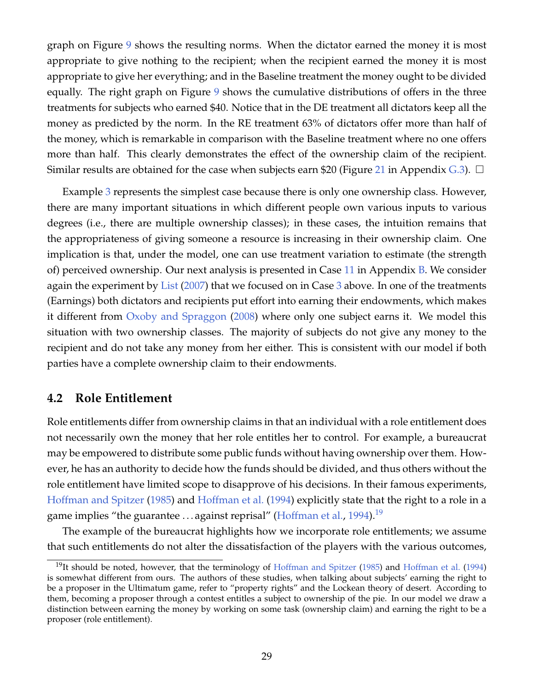graph on Figure [9](#page-28-1) shows the resulting norms. When the dictator earned the money it is most appropriate to give nothing to the recipient; when the recipient earned the money it is most appropriate to give her everything; and in the Baseline treatment the money ought to be divided equally. The right graph on Figure [9](#page-28-1) shows the cumulative distributions of offers in the three treatments for subjects who earned \$40. Notice that in the DE treatment all dictators keep all the money as predicted by the norm. In the RE treatment 63% of dictators offer more than half of the money, which is remarkable in comparison with the Baseline treatment where no one offers more than half. This clearly demonstrates the effect of the ownership claim of the recipient. Similar results are obtained for the case when subjects earn \$20 (Figure [21](#page-54-0) in Appendix [G.3\)](#page-54-1).  $\Box$ 

Example [3](#page-27-0) represents the simplest case because there is only one ownership class. However, there are many important situations in which different people own various inputs to various degrees (i.e., there are multiple ownership classes); in these cases, the intuition remains that the appropriateness of giving someone a resource is increasing in their ownership claim. One implication is that, under the model, one can use treatment variation to estimate (the strength of) perceived ownership. Our next analysis is presented in Case [11](#page-44-0) in Appendix [B.](#page-44-1) We consider again the experiment by [List](#page-38-7) [\(2007\)](#page-38-7) that we focused on in Case [3](#page-19-1) above. In one of the treatments (Earnings) both dictators and recipients put effort into earning their endowments, which makes it different from [Oxoby and Spraggon](#page-39-8) [\(2008\)](#page-39-8) where only one subject earns it. We model this situation with two ownership classes. The majority of subjects do not give any money to the recipient and do not take any money from her either. This is consistent with our model if both parties have a complete ownership claim to their endowments.

### <span id="page-29-0"></span>**4.2 Role Entitlement**

Role entitlements differ from ownership claims in that an individual with a role entitlement does not necessarily own the money that her role entitles her to control. For example, a bureaucrat may be empowered to distribute some public funds without having ownership over them. However, he has an authority to decide how the funds should be divided, and thus others without the role entitlement have limited scope to disapprove of his decisions. In their famous experiments, [Hoffman and Spitzer](#page-38-17) [\(1985\)](#page-38-17) and [Hoffman et al.](#page-37-12) [\(1994\)](#page-37-12) explicitly state that the right to a role in a game implies "the guarantee  $\ldots$  against reprisal" [\(Hoffman et al.,](#page-37-12) [1994\)](#page-37-12).<sup>[19](#page-29-1)</sup>

The example of the bureaucrat highlights how we incorporate role entitlements; we assume that such entitlements do not alter the dissatisfaction of the players with the various outcomes,

<span id="page-29-1"></span> $19$ It should be noted, however, that the terminology of [Hoffman and Spitzer](#page-38-17) [\(1985\)](#page-38-17) and [Hoffman et al.](#page-37-12) [\(1994\)](#page-37-12) is somewhat different from ours. The authors of these studies, when talking about subjects' earning the right to be a proposer in the Ultimatum game, refer to "property rights" and the Lockean theory of desert. According to them, becoming a proposer through a contest entitles a subject to ownership of the pie. In our model we draw a distinction between earning the money by working on some task (ownership claim) and earning the right to be a proposer (role entitlement).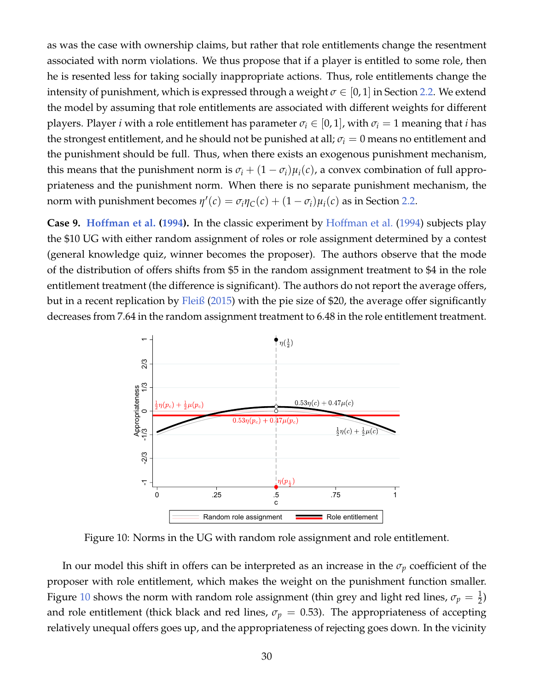as was the case with ownership claims, but rather that role entitlements change the resentment associated with norm violations. We thus propose that if a player is entitled to some role, then he is resented less for taking socially inappropriate actions. Thus, role entitlements change the intensity of punishment, which is expressed through a weight  $\sigma \in [0,1]$  in Section [2.2.](#page-10-1) We extend the model by assuming that role entitlements are associated with different weights for different players. Player *i* with a role entitlement has parameter  $\sigma_i \in (0, 1]$ , with  $\sigma_i = 1$  meaning that *i* has the strongest entitlement, and he should not be punished at all;  $\sigma_i = 0$  means no entitlement and the punishment should be full. Thus, when there exists an exogenous punishment mechanism, this means that the punishment norm is  $\sigma_i + (1 - \sigma_i)\mu_i(c)$ , a convex combination of full appropriateness and the punishment norm. When there is no separate punishment mechanism, the norm with punishment becomes  $\eta'(c) = \sigma_i \eta_C(c) + (1 - \sigma_i)\mu_i(c)$  as in Section [2.2.](#page-10-1)

**Case 9. [Hoffman et al.](#page-37-12) [\(1994\)](#page-37-12).** In the classic experiment by [Hoffman et al.](#page-37-12) [\(1994\)](#page-37-12) subjects play the \$10 UG with either random assignment of roles or role assignment determined by a contest (general knowledge quiz, winner becomes the proposer). The authors observe that the mode of the distribution of offers shifts from \$5 in the random assignment treatment to \$4 in the role entitlement treatment (the difference is significant). The authors do not report the average offers, but in a recent replication by [Fleiß](#page-37-13) [\(2015\)](#page-37-13) with the pie size of \$20, the average offer significantly decreases from 7.64 in the random assignment treatment to 6.48 in the role entitlement treatment.



<span id="page-30-0"></span>Figure 10: Norms in the UG with random role assignment and role entitlement.

In our model this shift in offers can be interpreted as an increase in the  $\sigma_p$  coefficient of the proposer with role entitlement, which makes the weight on the punishment function smaller. Figure [10](#page-30-0) shows the norm with random role assignment (thin grey and light red lines,  $\sigma_p = \frac{1}{2}$ ) and role entitlement (thick black and red lines,  $\sigma_p = 0.53$ ). The appropriateness of accepting relatively unequal offers goes up, and the appropriateness of rejecting goes down. In the vicinity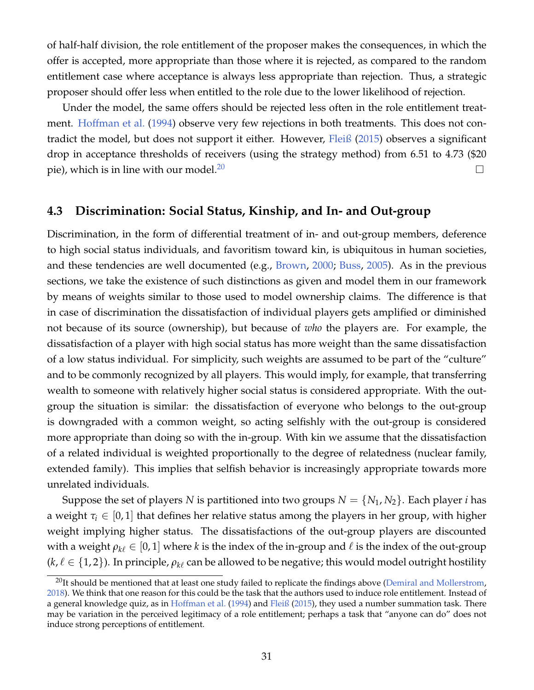of half-half division, the role entitlement of the proposer makes the consequences, in which the offer is accepted, more appropriate than those where it is rejected, as compared to the random entitlement case where acceptance is always less appropriate than rejection. Thus, a strategic proposer should offer less when entitled to the role due to the lower likelihood of rejection.

Under the model, the same offers should be rejected less often in the role entitlement treat-ment. [Hoffman et al.](#page-37-12) [\(1994\)](#page-37-12) observe very few rejections in both treatments. This does not contradict the model, but does not support it either. However, [Fleiß](#page-37-13) [\(2015\)](#page-37-13) observes a significant drop in acceptance thresholds of receivers (using the strategy method) from 6.51 to 4.73 (\$20 pie), which is in line with our model.<sup>[20](#page-31-0)</sup>  $\Box$ 

### **4.3 Discrimination: Social Status, Kinship, and In- and Out-group**

Discrimination, in the form of differential treatment of in- and out-group members, deference to high social status individuals, and favoritism toward kin, is ubiquitous in human societies, and these tendencies are well documented (e.g., [Brown,](#page-36-9) [2000;](#page-36-9) [Buss,](#page-36-10) [2005\)](#page-36-10). As in the previous sections, we take the existence of such distinctions as given and model them in our framework by means of weights similar to those used to model ownership claims. The difference is that in case of discrimination the dissatisfaction of individual players gets amplified or diminished not because of its source (ownership), but because of *who* the players are. For example, the dissatisfaction of a player with high social status has more weight than the same dissatisfaction of a low status individual. For simplicity, such weights are assumed to be part of the "culture" and to be commonly recognized by all players. This would imply, for example, that transferring wealth to someone with relatively higher social status is considered appropriate. With the outgroup the situation is similar: the dissatisfaction of everyone who belongs to the out-group is downgraded with a common weight, so acting selfishly with the out-group is considered more appropriate than doing so with the in-group. With kin we assume that the dissatisfaction of a related individual is weighted proportionally to the degree of relatedness (nuclear family, extended family). This implies that selfish behavior is increasingly appropriate towards more unrelated individuals.

Suppose the set of players *N* is partitioned into two groups  $N = \{N_1, N_2\}$ . Each player *i* has a weight  $\tau_i \in [0,1]$  that defines her relative status among the players in her group, with higher weight implying higher status. The dissatisfactions of the out-group players are discounted with a weight  $\rho_{k\ell} \in [0, 1]$  where *k* is the index of the in-group and  $\ell$  is the index of the out-group  $(k, \ell \in \{1, 2\})$ . In principle,  $\rho_{k\ell}$  can be allowed to be negative; this would model outright hostility

<span id="page-31-0"></span><sup>&</sup>lt;sup>20</sup>It should be mentioned that at least one study failed to replicate the findings above [\(Demiral and Mollerstrom,](#page-37-14) [2018\)](#page-37-14). We think that one reason for this could be the task that the authors used to induce role entitlement. Instead of a general knowledge quiz, as in [Hoffman et al.](#page-37-12) [\(1994\)](#page-37-12) and [Fleiß](#page-37-13) [\(2015\)](#page-37-13), they used a number summation task. There may be variation in the perceived legitimacy of a role entitlement; perhaps a task that "anyone can do" does not induce strong perceptions of entitlement.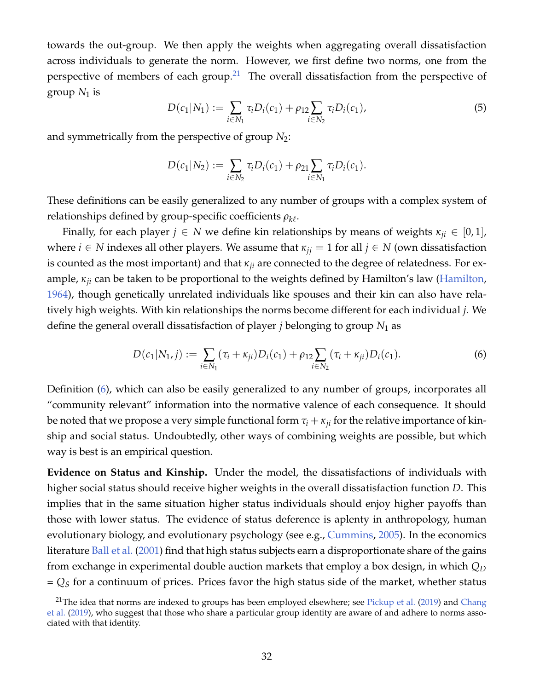towards the out-group. We then apply the weights when aggregating overall dissatisfaction across individuals to generate the norm. However, we first define two norms, one from the perspective of members of each group.<sup>[21](#page-32-0)</sup> The overall dissatisfaction from the perspective of group  $N_1$  is

$$
D(c_1|N_1) := \sum_{i \in N_1} \tau_i D_i(c_1) + \rho_{12} \sum_{i \in N_2} \tau_i D_i(c_1), \tag{5}
$$

and symmetrically from the perspective of group  $N_2$ :

$$
D(c_1|N_2) := \sum_{i \in N_2} \tau_i D_i(c_1) + \rho_{21} \sum_{i \in N_1} \tau_i D_i(c_1).
$$

These definitions can be easily generalized to any number of groups with a complex system of relationships defined by group-specific coefficients  $\rho_{k\ell}.$ 

Finally, for each player  $j \in N$  we define kin relationships by means of weights  $\kappa_{ii} \in [0,1]$ , where  $i \in N$  indexes all other players. We assume that  $\kappa_{ji} = 1$  for all  $j \in N$  (own dissatisfaction is counted as the most important) and that *κji* are connected to the degree of relatedness. For example, *κji* can be taken to be proportional to the weights defined by Hamilton's law [\(Hamilton,](#page-37-15) [1964\)](#page-37-15), though genetically unrelated individuals like spouses and their kin can also have relatively high weights. With kin relationships the norms become different for each individual *j*. We define the general overall dissatisfaction of player *j* belonging to group *N*<sup>1</sup> as

<span id="page-32-1"></span>
$$
D(c_1|N_1,j) := \sum_{i \in N_1} (\tau_i + \kappa_{ji}) D_i(c_1) + \rho_{12} \sum_{i \in N_2} (\tau_i + \kappa_{ji}) D_i(c_1).
$$
 (6)

Definition [\(6\)](#page-32-1), which can also be easily generalized to any number of groups, incorporates all "community relevant" information into the normative valence of each consequence. It should be noted that we propose a very simple functional form  $\tau_i + \kappa_{ii}$  for the relative importance of kinship and social status. Undoubtedly, other ways of combining weights are possible, but which way is best is an empirical question.

**Evidence on Status and Kinship.** Under the model, the dissatisfactions of individuals with higher social status should receive higher weights in the overall dissatisfaction function *D*. This implies that in the same situation higher status individuals should enjoy higher payoffs than those with lower status. The evidence of status deference is aplenty in anthropology, human evolutionary biology, and evolutionary psychology (see e.g., [Cummins,](#page-37-16) [2005\)](#page-37-16). In the economics literature [Ball et al.](#page-36-11) [\(2001\)](#page-36-11) find that high status subjects earn a disproportionate share of the gains from exchange in experimental double auction markets that employ a box design, in which *Q<sup>D</sup>* = *Q<sup>S</sup>* for a continuum of prices. Prices favor the high status side of the market, whether status

<span id="page-32-0"></span><sup>&</sup>lt;sup>21</sup>The idea that norms are indexed to groups has been employed elsewhere; see [Pickup et al.](#page-39-9) [\(2019\)](#page-39-9) and [Chang](#page-36-1) [et al.](#page-36-1) [\(2019\)](#page-36-1), who suggest that those who share a particular group identity are aware of and adhere to norms associated with that identity.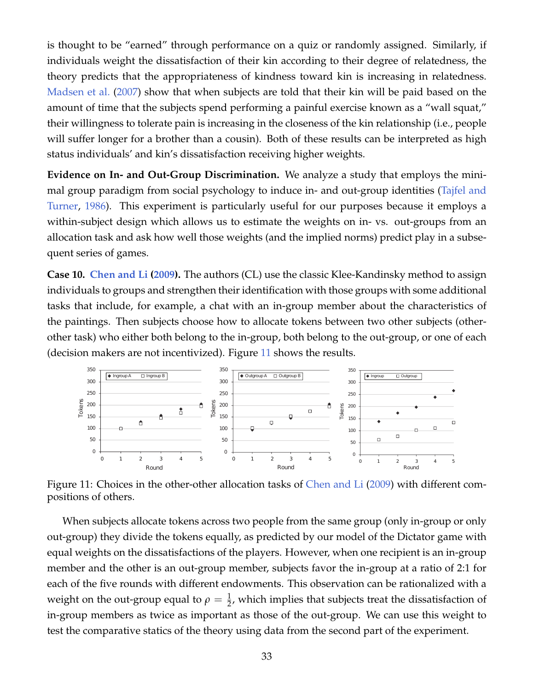is thought to be "earned" through performance on a quiz or randomly assigned. Similarly, if individuals weight the dissatisfaction of their kin according to their degree of relatedness, the theory predicts that the appropriateness of kindness toward kin is increasing in relatedness. [Madsen et al.](#page-38-18) [\(2007\)](#page-38-18) show that when subjects are told that their kin will be paid based on the amount of time that the subjects spend performing a painful exercise known as a "wall squat," their willingness to tolerate pain is increasing in the closeness of the kin relationship (i.e., people will suffer longer for a brother than a cousin). Both of these results can be interpreted as high status individuals' and kin's dissatisfaction receiving higher weights.

**Evidence on In- and Out-Group Discrimination.** We analyze a study that employs the minimal group paradigm from social psychology to induce in- and out-group identities [\(Tajfel and](#page-39-10) [Turner,](#page-39-10) [1986\)](#page-39-10). This experiment is particularly useful for our purposes because it employs a within-subject design which allows us to estimate the weights on in- vs. out-groups from an allocation task and ask how well those weights (and the implied norms) predict play in a subsequent series of games.

<span id="page-33-1"></span>**Case 10. [Chen and Li](#page-36-12) [\(2009\)](#page-36-12).** The authors (CL) use the classic Klee-Kandinsky method to assign individuals to groups and strengthen their identification with those groups with some additional tasks that include, for example, a chat with an in-group member about the characteristics of the paintings. Then subjects choose how to allocate tokens between two other subjects (otherother task) who either both belong to the in-group, both belong to the out-group, or one of each (decision makers are not incentivized). Figure [11](#page-33-0) shows the results.



<span id="page-33-0"></span>Figure 11: Choices in the other-other allocation tasks of [Chen and Li](#page-36-12) [\(2009\)](#page-36-12) with different compositions of others.

When subjects allocate tokens across two people from the same group (only in-group or only out-group) they divide the tokens equally, as predicted by our model of the Dictator game with equal weights on the dissatisfactions of the players. However, when one recipient is an in-group member and the other is an out-group member, subjects favor the in-group at a ratio of 2:1 for each of the five rounds with different endowments. This observation can be rationalized with a weight on the out-group equal to  $\rho=\frac{1}{2}$ , which implies that subjects treat the dissatisfaction of in-group members as twice as important as those of the out-group. We can use this weight to test the comparative statics of the theory using data from the second part of the experiment.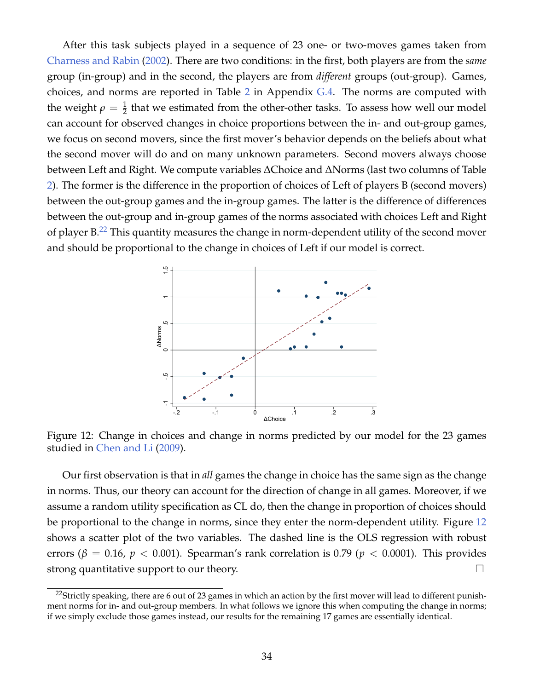After this task subjects played in a sequence of 23 one- or two-moves games taken from [Charness and Rabin](#page-36-2) [\(2002\)](#page-36-2). There are two conditions: in the first, both players are from the *same* group (in-group) and in the second, the players are from *different* groups (out-group). Games, choices, and norms are reported in Table [2](#page-55-0) in Appendix [G.4.](#page-55-1) The norms are computed with the weight  $\rho = \frac{1}{2}$  that we estimated from the other-other tasks. To assess how well our model can account for observed changes in choice proportions between the in- and out-group games, we focus on second movers, since the first mover's behavior depends on the beliefs about what the second mover will do and on many unknown parameters. Second movers always choose between Left and Right. We compute variables ∆Choice and ∆Norms (last two columns of Table [2\)](#page-55-0). The former is the difference in the proportion of choices of Left of players B (second movers) between the out-group games and the in-group games. The latter is the difference of differences between the out-group and in-group games of the norms associated with choices Left and Right of player  $B^{22}$  $B^{22}$  $B^{22}$  This quantity measures the change in norm-dependent utility of the second mover and should be proportional to the change in choices of Left if our model is correct.



<span id="page-34-1"></span>Figure 12: Change in choices and change in norms predicted by our model for the 23 games studied in [Chen and Li](#page-36-12) [\(2009\)](#page-36-12).

Our first observation is that in *all* games the change in choice has the same sign as the change in norms. Thus, our theory can account for the direction of change in all games. Moreover, if we assume a random utility specification as CL do, then the change in proportion of choices should be proportional to the change in norms, since they enter the norm-dependent utility. Figure [12](#page-34-1) shows a scatter plot of the two variables. The dashed line is the OLS regression with robust errors ( $\beta = 0.16$ ,  $p < 0.001$ ). Spearman's rank correlation is 0.79 ( $p < 0.0001$ ). This provides strong quantitative support to our theory.

<span id="page-34-0"></span><sup>&</sup>lt;sup>22</sup>Strictly speaking, there are 6 out of 23 games in which an action by the first mover will lead to different punishment norms for in- and out-group members. In what follows we ignore this when computing the change in norms; if we simply exclude those games instead, our results for the remaining 17 games are essentially identical.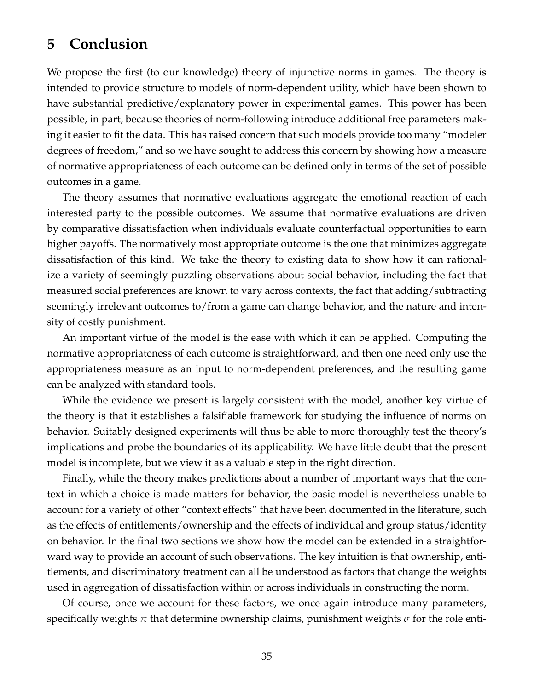## **5 Conclusion**

We propose the first (to our knowledge) theory of injunctive norms in games. The theory is intended to provide structure to models of norm-dependent utility, which have been shown to have substantial predictive/explanatory power in experimental games. This power has been possible, in part, because theories of norm-following introduce additional free parameters making it easier to fit the data. This has raised concern that such models provide too many "modeler degrees of freedom," and so we have sought to address this concern by showing how a measure of normative appropriateness of each outcome can be defined only in terms of the set of possible outcomes in a game.

The theory assumes that normative evaluations aggregate the emotional reaction of each interested party to the possible outcomes. We assume that normative evaluations are driven by comparative dissatisfaction when individuals evaluate counterfactual opportunities to earn higher payoffs. The normatively most appropriate outcome is the one that minimizes aggregate dissatisfaction of this kind. We take the theory to existing data to show how it can rationalize a variety of seemingly puzzling observations about social behavior, including the fact that measured social preferences are known to vary across contexts, the fact that adding/subtracting seemingly irrelevant outcomes to/from a game can change behavior, and the nature and intensity of costly punishment.

An important virtue of the model is the ease with which it can be applied. Computing the normative appropriateness of each outcome is straightforward, and then one need only use the appropriateness measure as an input to norm-dependent preferences, and the resulting game can be analyzed with standard tools.

While the evidence we present is largely consistent with the model, another key virtue of the theory is that it establishes a falsifiable framework for studying the influence of norms on behavior. Suitably designed experiments will thus be able to more thoroughly test the theory's implications and probe the boundaries of its applicability. We have little doubt that the present model is incomplete, but we view it as a valuable step in the right direction.

Finally, while the theory makes predictions about a number of important ways that the context in which a choice is made matters for behavior, the basic model is nevertheless unable to account for a variety of other "context effects" that have been documented in the literature, such as the effects of entitlements/ownership and the effects of individual and group status/identity on behavior. In the final two sections we show how the model can be extended in a straightforward way to provide an account of such observations. The key intuition is that ownership, entitlements, and discriminatory treatment can all be understood as factors that change the weights used in aggregation of dissatisfaction within or across individuals in constructing the norm.

Of course, once we account for these factors, we once again introduce many parameters, specifically weights  $\pi$  that determine ownership claims, punishment weights  $\sigma$  for the role enti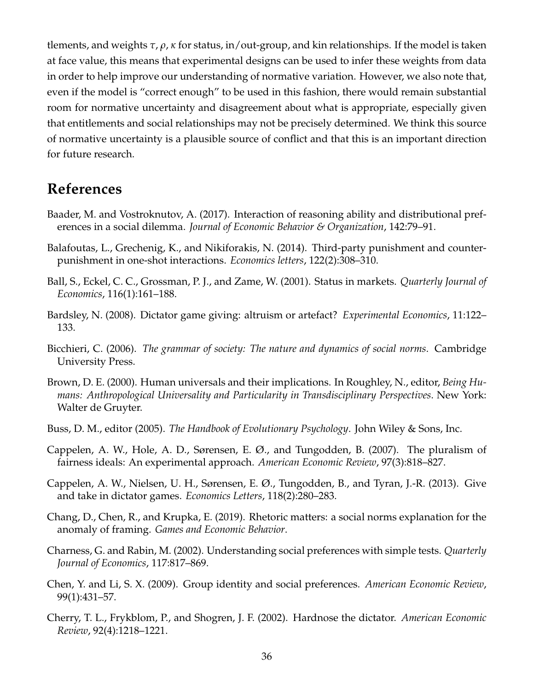tlements, and weights *τ*, *ρ*, *κ* for status, in/out-group, and kin relationships. If the model is taken at face value, this means that experimental designs can be used to infer these weights from data in order to help improve our understanding of normative variation. However, we also note that, even if the model is "correct enough" to be used in this fashion, there would remain substantial room for normative uncertainty and disagreement about what is appropriate, especially given that entitlements and social relationships may not be precisely determined. We think this source of normative uncertainty is a plausible source of conflict and that this is an important direction for future research.

## **References**

- <span id="page-36-3"></span>Baader, M. and Vostroknutov, A. (2017). Interaction of reasoning ability and distributional preferences in a social dilemma. *Journal of Economic Behavior & Organization*, 142:79–91.
- <span id="page-36-7"></span>Balafoutas, L., Grechenig, K., and Nikiforakis, N. (2014). Third-party punishment and counterpunishment in one-shot interactions. *Economics letters*, 122(2):308–310.
- <span id="page-36-11"></span>Ball, S., Eckel, C. C., Grossman, P. J., and Zame, W. (2001). Status in markets. *Quarterly Journal of Economics*, 116(1):161–188.
- <span id="page-36-5"></span>Bardsley, N. (2008). Dictator game giving: altruism or artefact? *Experimental Economics*, 11:122– 133.
- <span id="page-36-4"></span>Bicchieri, C. (2006). *The grammar of society: The nature and dynamics of social norms*. Cambridge University Press.
- <span id="page-36-9"></span>Brown, D. E. (2000). Human universals and their implications. In Roughley, N., editor, *Being Humans: Anthropological Universality and Particularity in Transdisciplinary Perspectives*. New York: Walter de Gruyter.
- <span id="page-36-10"></span>Buss, D. M., editor (2005). *The Handbook of Evolutionary Psychology*. John Wiley & Sons, Inc.
- <span id="page-36-0"></span>Cappelen, A. W., Hole, A. D., Sørensen, E. Ø., and Tungodden, B. (2007). The pluralism of fairness ideals: An experimental approach. *American Economic Review*, 97(3):818–827.
- <span id="page-36-6"></span>Cappelen, A. W., Nielsen, U. H., Sørensen, E. Ø., Tungodden, B., and Tyran, J.-R. (2013). Give and take in dictator games. *Economics Letters*, 118(2):280–283.
- <span id="page-36-1"></span>Chang, D., Chen, R., and Krupka, E. (2019). Rhetoric matters: a social norms explanation for the anomaly of framing. *Games and Economic Behavior*.
- <span id="page-36-2"></span>Charness, G. and Rabin, M. (2002). Understanding social preferences with simple tests. *Quarterly Journal of Economics*, 117:817–869.
- <span id="page-36-12"></span>Chen, Y. and Li, S. X. (2009). Group identity and social preferences. *American Economic Review*, 99(1):431–57.
- <span id="page-36-8"></span>Cherry, T. L., Frykblom, P., and Shogren, J. F. (2002). Hardnose the dictator. *American Economic Review*, 92(4):1218–1221.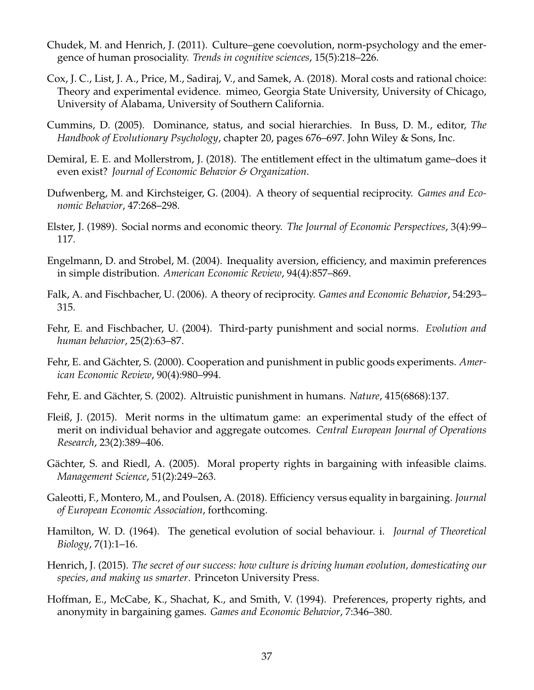- <span id="page-37-5"></span>Chudek, M. and Henrich, J. (2011). Culture–gene coevolution, norm-psychology and the emergence of human prosociality. *Trends in cognitive sciences*, 15(5):218–226.
- <span id="page-37-4"></span>Cox, J. C., List, J. A., Price, M., Sadiraj, V., and Samek, A. (2018). Moral costs and rational choice: Theory and experimental evidence. mimeo, Georgia State University, University of Chicago, University of Alabama, University of Southern California.
- <span id="page-37-16"></span>Cummins, D. (2005). Dominance, status, and social hierarchies. In Buss, D. M., editor, *The Handbook of Evolutionary Psychology*, chapter 20, pages 676–697. John Wiley & Sons, Inc.
- <span id="page-37-14"></span>Demiral, E. E. and Mollerstrom, J. (2018). The entitlement effect in the ultimatum game–does it even exist? *Journal of Economic Behavior & Organization*.
- <span id="page-37-7"></span>Dufwenberg, M. and Kirchsteiger, G. (2004). A theory of sequential reciprocity. *Games and Economic Behavior*, 47:268–298.
- <span id="page-37-9"></span>Elster, J. (1989). Social norms and economic theory. *The Journal of Economic Perspectives*, 3(4):99– 117.
- <span id="page-37-0"></span>Engelmann, D. and Strobel, M. (2004). Inequality aversion, efficiency, and maximin preferences in simple distribution. *American Economic Review*, 94(4):857–869.
- <span id="page-37-8"></span>Falk, A. and Fischbacher, U. (2006). A theory of reciprocity. *Games and Economic Behavior*, 54:293– 315.
- <span id="page-37-3"></span>Fehr, E. and Fischbacher, U. (2004). Third-party punishment and social norms. *Evolution and human behavior*, 25(2):63–87.
- <span id="page-37-10"></span>Fehr, E. and Gächter, S. (2000). Cooperation and punishment in public goods experiments. *American Economic Review*, 90(4):980–994.
- <span id="page-37-6"></span>Fehr, E. and Gächter, S. (2002). Altruistic punishment in humans. *Nature*, 415(6868):137.
- <span id="page-37-13"></span>Fleiß, J. (2015). Merit norms in the ultimatum game: an experimental study of the effect of merit on individual behavior and aggregate outcomes. *Central European Journal of Operations Research*, 23(2):389–406.
- <span id="page-37-11"></span>Gächter, S. and Riedl, A. (2005). Moral property rights in bargaining with infeasible claims. *Management Science*, 51(2):249–263.
- <span id="page-37-1"></span>Galeotti, F., Montero, M., and Poulsen, A. (2018). Efficiency versus equality in bargaining. *Journal of European Economic Association*, forthcoming.
- <span id="page-37-15"></span>Hamilton, W. D. (1964). The genetical evolution of social behaviour. i. *Journal of Theoretical Biology*, 7(1):1–16.
- <span id="page-37-2"></span>Henrich, J. (2015). *The secret of our success: how culture is driving human evolution, domesticating our species, and making us smarter*. Princeton University Press.
- <span id="page-37-12"></span>Hoffman, E., McCabe, K., Shachat, K., and Smith, V. (1994). Preferences, property rights, and anonymity in bargaining games. *Games and Economic Behavior*, 7:346–380.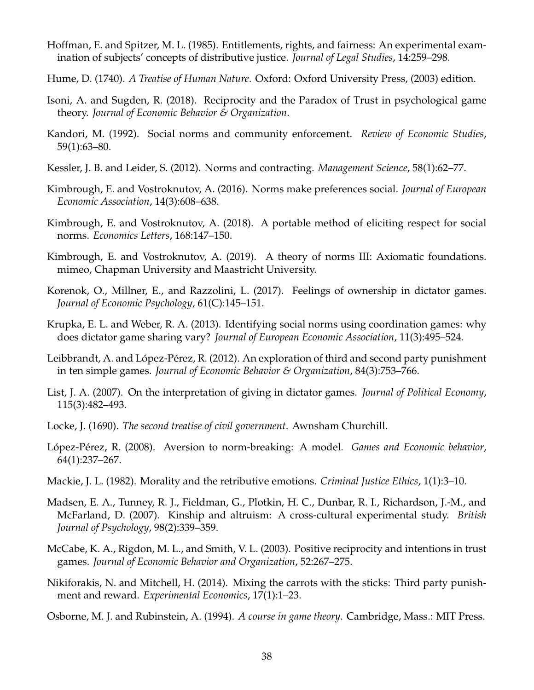- <span id="page-38-17"></span>Hoffman, E. and Spitzer, M. L. (1985). Entitlements, rights, and fairness: An experimental examination of subjects' concepts of distributive justice. *Journal of Legal Studies*, 14:259–298.
- <span id="page-38-5"></span>Hume, D. (1740). *A Treatise of Human Nature*. Oxford: Oxford University Press, (2003) edition.
- <span id="page-38-12"></span>Isoni, A. and Sugden, R. (2018). Reciprocity and the Paradox of Trust in psychological game theory. *Journal of Economic Behavior & Organization*.
- <span id="page-38-9"></span>Kandori, M. (1992). Social norms and community enforcement. *Review of Economic Studies*, 59(1):63–80.
- <span id="page-38-1"></span>Kessler, J. B. and Leider, S. (2012). Norms and contracting. *Management Science*, 58(1):62–77.
- <span id="page-38-3"></span>Kimbrough, E. and Vostroknutov, A. (2016). Norms make preferences social. *Journal of European Economic Association*, 14(3):608–638.
- <span id="page-38-4"></span>Kimbrough, E. and Vostroknutov, A. (2018). A portable method of eliciting respect for social norms. *Economics Letters*, 168:147–150.
- <span id="page-38-11"></span>Kimbrough, E. and Vostroknutov, A. (2019). A theory of norms III: Axiomatic foundations. mimeo, Chapman University and Maastricht University.
- <span id="page-38-15"></span>Korenok, O., Millner, E., and Razzolini, L. (2017). Feelings of ownership in dictator games. *Journal of Economic Psychology*, 61(C):145–151.
- <span id="page-38-2"></span>Krupka, E. L. and Weber, R. A. (2013). Identifying social norms using coordination games: why does dictator game sharing vary? *Journal of European Economic Association*, 11(3):495–524.
- <span id="page-38-13"></span>Leibbrandt, A. and López-Pérez, R. (2012). An exploration of third and second party punishment in ten simple games. *Journal of Economic Behavior & Organization*, 84(3):753–766.
- <span id="page-38-7"></span>List, J. A. (2007). On the interpretation of giving in dictator games. *Journal of Political Economy*, 115(3):482–493.
- <span id="page-38-16"></span>Locke, J. (1690). *The second treatise of civil government*. Awnsham Churchill.
- <span id="page-38-0"></span>López-Pérez, R. (2008). Aversion to norm-breaking: A model. *Games and Economic behavior*, 64(1):237–267.
- <span id="page-38-6"></span>Mackie, J. L. (1982). Morality and the retributive emotions. *Criminal Justice Ethics*, 1(1):3–10.
- <span id="page-38-18"></span>Madsen, E. A., Tunney, R. J., Fieldman, G., Plotkin, H. C., Dunbar, R. I., Richardson, J.-M., and McFarland, D. (2007). Kinship and altruism: A cross-cultural experimental study. *British Journal of Psychology*, 98(2):339–359.
- <span id="page-38-8"></span>McCabe, K. A., Rigdon, M. L., and Smith, V. L. (2003). Positive reciprocity and intentions in trust games. *Journal of Economic Behavior and Organization*, 52:267–275.
- <span id="page-38-14"></span>Nikiforakis, N. and Mitchell, H. (2014). Mixing the carrots with the sticks: Third party punishment and reward. *Experimental Economics*, 17(1):1–23.
- <span id="page-38-10"></span>Osborne, M. J. and Rubinstein, A. (1994). *A course in game theory*. Cambridge, Mass.: MIT Press.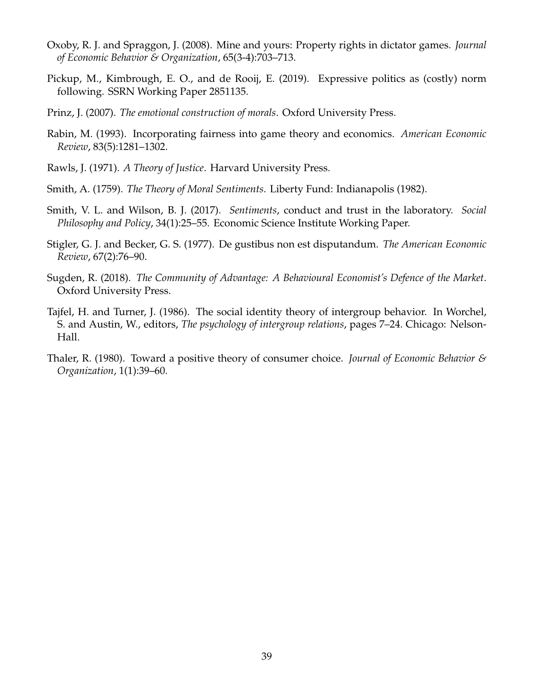- <span id="page-39-8"></span>Oxoby, R. J. and Spraggon, J. (2008). Mine and yours: Property rights in dictator games. *Journal of Economic Behavior & Organization*, 65(3-4):703–713.
- <span id="page-39-9"></span>Pickup, M., Kimbrough, E. O., and de Rooij, E. (2019). Expressive politics as (costly) norm following. SSRN Working Paper 2851135.
- <span id="page-39-2"></span>Prinz, J. (2007). *The emotional construction of morals*. Oxford University Press.
- <span id="page-39-6"></span>Rabin, M. (1993). Incorporating fairness into game theory and economics. *American Economic Review*, 83(5):1281–1302.
- <span id="page-39-5"></span>Rawls, J. (1971). *A Theory of Justice*. Harvard University Press.
- <span id="page-39-1"></span>Smith, A. (1759). *The Theory of Moral Sentiments*. Liberty Fund: Indianapolis (1982).
- <span id="page-39-3"></span>Smith, V. L. and Wilson, B. J. (2017). *Sentiments*, conduct and trust in the laboratory. *Social Philosophy and Policy*, 34(1):25–55. Economic Science Institute Working Paper.
- <span id="page-39-0"></span>Stigler, G. J. and Becker, G. S. (1977). De gustibus non est disputandum. *The American Economic Review*, 67(2):76–90.
- <span id="page-39-4"></span>Sugden, R. (2018). *The Community of Advantage: A Behavioural Economist's Defence of the Market*. Oxford University Press.
- <span id="page-39-10"></span>Tajfel, H. and Turner, J. (1986). The social identity theory of intergroup behavior. In Worchel, S. and Austin, W., editors, *The psychology of intergroup relations*, pages 7–24. Chicago: Nelson-Hall.
- <span id="page-39-7"></span>Thaler, R. (1980). Toward a positive theory of consumer choice. *Journal of Economic Behavior & Organization*, 1(1):39–60.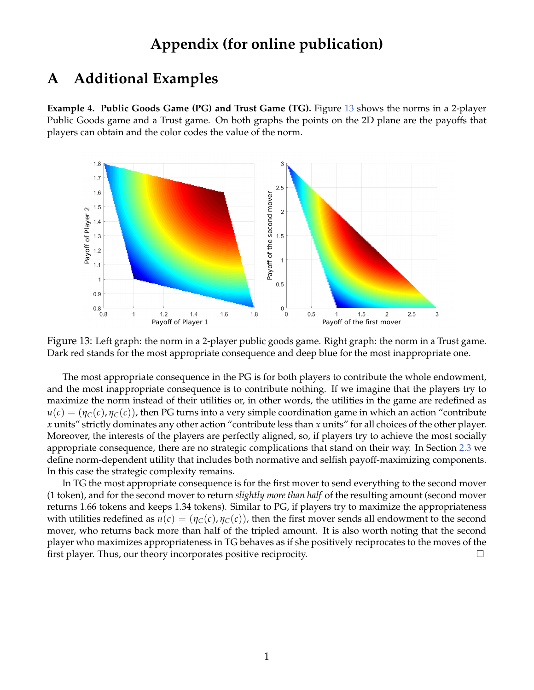## **Appendix (for online publication)**

## <span id="page-40-0"></span>**A Additional Examples**

<span id="page-40-1"></span>**Example 4. Public Goods Game (PG) and Trust Game (TG).** Figure [13](#page-40-2) shows the norms in a 2-player Public Goods game and a Trust game. On both graphs the points on the 2D plane are the payoffs that players can obtain and the color codes the value of the norm.



<span id="page-40-2"></span>Figure 13: Left graph: the norm in a 2-player public goods game. Right graph: the norm in a Trust game. Dark red stands for the most appropriate consequence and deep blue for the most inappropriate one.

The most appropriate consequence in the PG is for both players to contribute the whole endowment, and the most inappropriate consequence is to contribute nothing. If we imagine that the players try to maximize the norm instead of their utilities or, in other words, the utilities in the game are redefined as  $u(c) = (\eta_C(c), \eta_C(c))$ , then PG turns into a very simple coordination game in which an action "contribute" *x* units" strictly dominates any other action "contribute less than *x* units" for all choices of the other player. Moreover, the interests of the players are perfectly aligned, so, if players try to achieve the most socially appropriate consequence, there are no strategic complications that stand on their way. In Section [2.3](#page-14-2) we define norm-dependent utility that includes both normative and selfish payoff-maximizing components. In this case the strategic complexity remains.

In TG the most appropriate consequence is for the first mover to send everything to the second mover (1 token), and for the second mover to return *slightly more than half* of the resulting amount (second mover returns 1.66 tokens and keeps 1.34 tokens). Similar to PG, if players try to maximize the appropriateness with utilities redefined as  $u(c) = (\eta_C(c), \eta_C(c))$ , then the first mover sends all endowment to the second mover, who returns back more than half of the tripled amount. It is also worth noting that the second player who maximizes appropriateness in TG behaves as if she positively reciprocates to the moves of the first player. Thus, our theory incorporates positive reciprocity.  $\Box$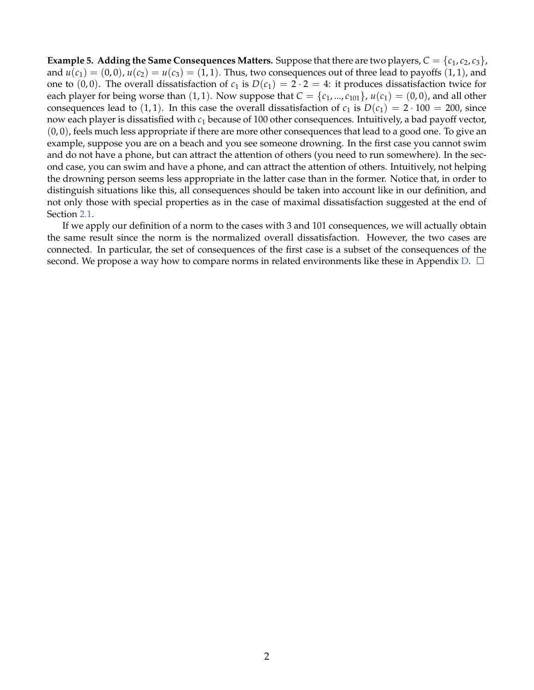<span id="page-41-0"></span>**Example 5. Adding the Same Consequences Matters.** Suppose that there are two players,  $C = \{c_1, c_2, c_3\}$ , and  $u(c_1) = (0,0), u(c_2) = u(c_3) = (1,1)$ . Thus, two consequences out of three lead to payoffs  $(1,1)$ , and one to  $(0, 0)$ . The overall dissatisfaction of  $c_1$  is  $D(c_1) = 2 \cdot 2 = 4$ : it produces dissatisfaction twice for each player for being worse than (1, 1). Now suppose that  $C = \{c_1, ..., c_{101}\}\$ ,  $u(c_1) = (0, 0)$ , and all other consequences lead to (1, 1). In this case the overall dissatisfaction of  $c_1$  is  $D(c_1) = 2 \cdot 100 = 200$ , since now each player is dissatisfied with *c*<sup>1</sup> because of 100 other consequences. Intuitively, a bad payoff vector,  $(0,0)$ , feels much less appropriate if there are more other consequences that lead to a good one. To give an example, suppose you are on a beach and you see someone drowning. In the first case you cannot swim and do not have a phone, but can attract the attention of others (you need to run somewhere). In the second case, you can swim and have a phone, and can attract the attention of others. Intuitively, not helping the drowning person seems less appropriate in the latter case than in the former. Notice that, in order to distinguish situations like this, all consequences should be taken into account like in our definition, and not only those with special properties as in the case of maximal dissatisfaction suggested at the end of Section [2.1.](#page-5-2)

If we apply our definition of a norm to the cases with 3 and 101 consequences, we will actually obtain the same result since the norm is the normalized overall dissatisfaction. However, the two cases are connected. In particular, the set of consequences of the first case is a subset of the consequences of the second. We propose a way how to compare norms in related environments like these in Appendix [D.](#page-48-0)  $\Box$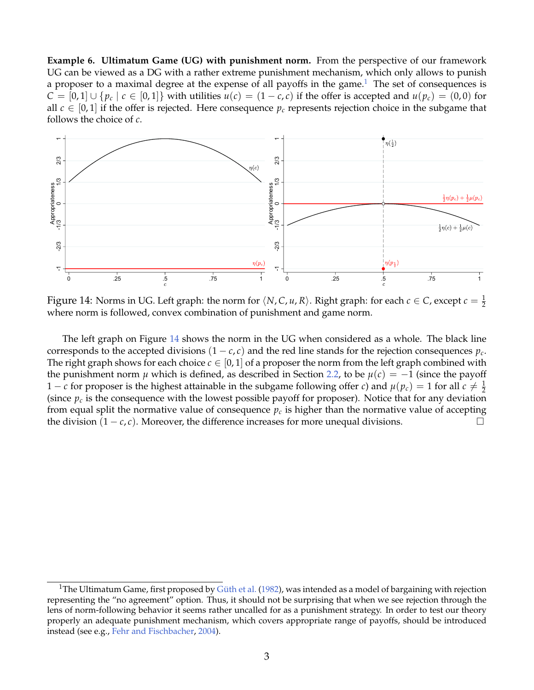<span id="page-42-0"></span>**Example 6. Ultimatum Game (UG) with punishment norm.** From the perspective of our framework UG can be viewed as a DG with a rather extreme punishment mechanism, which only allows to punish a proposer to a maximal degree at the expense of all payoffs in the game.<sup>[1](#page-42-1)</sup> The set of consequences is *C* = [0,1]∪{ $p_c$  | *c* ∈ [0,1]} with utilities *u*(*c*) = (1 − *c*, *c*) if the offer is accepted and *u*( $p_c$ ) = (0,0) for all  $c \in [0, 1]$  if the offer is rejected. Here consequence  $p_c$  represents rejection choice in the subgame that follows the choice of *c*.



<span id="page-42-2"></span>Figure 14: Norms in UG. Left graph: the norm for  $\langle N, C, u, R \rangle$ . Right graph: for each  $c \in C$ , except  $c = \frac{1}{2}$ where norm is followed, convex combination of punishment and game norm.

The left graph on Figure [14](#page-42-2) shows the norm in the UG when considered as a whole. The black line corresponds to the accepted divisions  $(1 - c, c)$  and the red line stands for the rejection consequences  $p_c$ . The right graph shows for each choice  $c \in [0,1]$  of a proposer the norm from the left graph combined with the punishment norm *µ* which is defined, as described in Section [2.2,](#page-10-1) to be  $\mu(c) = -1$  (since the payoff 1 – *c* for proposer is the highest attainable in the subgame following offer *c*) and  $\mu(p_c) = 1$  for all  $c \neq \frac{1}{2}$ (since  $p_c$  is the consequence with the lowest possible payoff for proposer). Notice that for any deviation from equal split the normative value of consequence  $p_c$  is higher than the normative value of accepting the division  $(1 - c, c)$ . Moreover, the difference increases for more unequal divisions.

<span id="page-42-1"></span><sup>&</sup>lt;sup>1</sup>The Ultimatum Game, first proposed by Güth et al. [\(1982\)](#page-56-0), was intended as a model of bargaining with rejection representing the "no agreement" option. Thus, it should not be surprising that when we see rejection through the lens of norm-following behavior it seems rather uncalled for as a punishment strategy. In order to test our theory properly an adequate punishment mechanism, which covers appropriate range of payoffs, should be introduced instead (see e.g., [Fehr and Fischbacher,](#page-37-3) [2004\)](#page-37-3).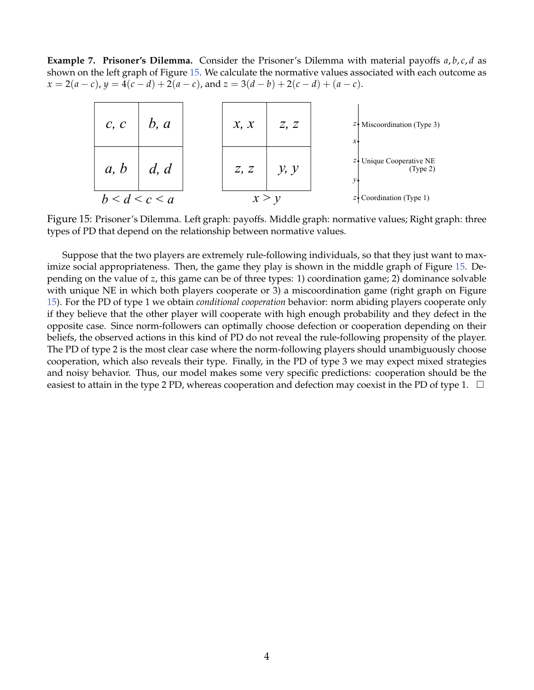<span id="page-43-0"></span>**Example 7. Prisoner's Dilemma.** Consider the Prisoner's Dilemma with material payoffs *a*, *b*, *c*, *d* as shown on the left graph of Figure [15.](#page-43-1) We calculate the normative values associated with each outcome as  $x = 2(a-c)$ ,  $y = 4(c-d) + 2(a-c)$ , and  $z = 3(d-b) + 2(c-d) + (a-c)$ .



<span id="page-43-1"></span>Figure 15: Prisoner's Dilemma. Left graph: payoffs. Middle graph: normative values; Right graph: three types of PD that depend on the relationship between normative values.

Suppose that the two players are extremely rule-following individuals, so that they just want to maximize social appropriateness. Then, the game they play is shown in the middle graph of Figure [15.](#page-43-1) Depending on the value of *z*, this game can be of three types: 1) coordination game; 2) dominance solvable with unique NE in which both players cooperate or 3) a miscoordination game (right graph on Figure [15\)](#page-43-1). For the PD of type 1 we obtain *conditional cooperation* behavior: norm abiding players cooperate only if they believe that the other player will cooperate with high enough probability and they defect in the opposite case. Since norm-followers can optimally choose defection or cooperation depending on their beliefs, the observed actions in this kind of PD do not reveal the rule-following propensity of the player. The PD of type 2 is the most clear case where the norm-following players should unambiguously choose cooperation, which also reveals their type. Finally, in the PD of type 3 we may expect mixed strategies and noisy behavior. Thus, our model makes some very specific predictions: cooperation should be the easiest to attain in the type 2 PD, whereas cooperation and defection may coexist in the PD of type 1.  $\Box$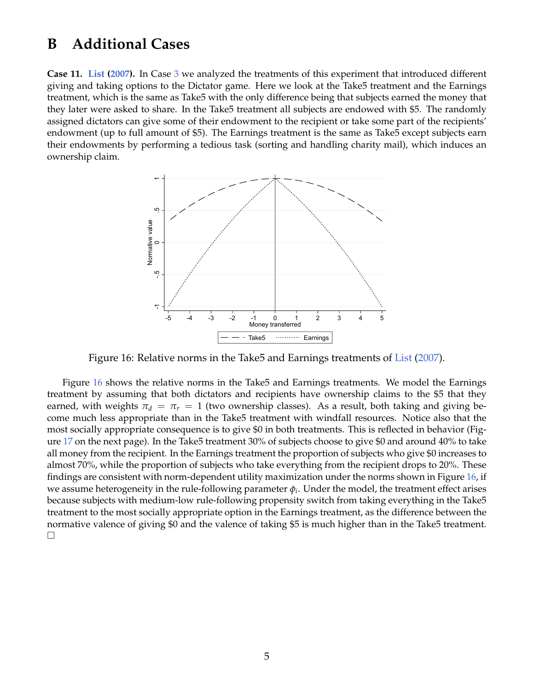## <span id="page-44-1"></span>**B Additional Cases**

<span id="page-44-0"></span>**Case 11. [List](#page-38-7) [\(2007\)](#page-38-7).** In Case [3](#page-19-1) we analyzed the treatments of this experiment that introduced different giving and taking options to the Dictator game. Here we look at the Take5 treatment and the Earnings treatment, which is the same as Take5 with the only difference being that subjects earned the money that they later were asked to share. In the Take5 treatment all subjects are endowed with \$5. The randomly assigned dictators can give some of their endowment to the recipient or take some part of the recipients' endowment (up to full amount of \$5). The Earnings treatment is the same as Take5 except subjects earn their endowments by performing a tedious task (sorting and handling charity mail), which induces an ownership claim.



<span id="page-44-2"></span>Figure 16: Relative norms in the Take5 and Earnings treatments of [List](#page-38-7) [\(2007\)](#page-38-7).

Figure [16](#page-44-2) shows the relative norms in the Take5 and Earnings treatments. We model the Earnings treatment by assuming that both dictators and recipients have ownership claims to the \$5 that they earned, with weights  $\pi_d = \pi_r = 1$  (two ownership classes). As a result, both taking and giving become much less appropriate than in the Take5 treatment with windfall resources. Notice also that the most socially appropriate consequence is to give \$0 in both treatments. This is reflected in behavior (Figure [17](#page-45-0) on the next page). In the Take5 treatment 30% of subjects choose to give \$0 and around 40% to take all money from the recipient. In the Earnings treatment the proportion of subjects who give \$0 increases to almost 70%, while the proportion of subjects who take everything from the recipient drops to 20%. These findings are consistent with norm-dependent utility maximization under the norms shown in Figure [16,](#page-44-2) if we assume heterogeneity in the rule-following parameter  $\phi_i.$  Under the model, the treatment effect arises because subjects with medium-low rule-following propensity switch from taking everything in the Take5 treatment to the most socially appropriate option in the Earnings treatment, as the difference between the normative valence of giving \$0 and the valence of taking \$5 is much higher than in the Take5 treatment.  $\Box$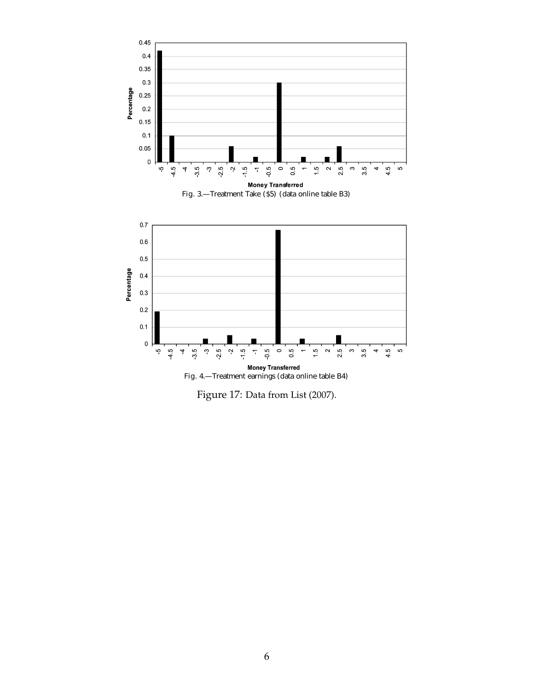

<span id="page-45-0"></span>Figure 17: Data from List (2007).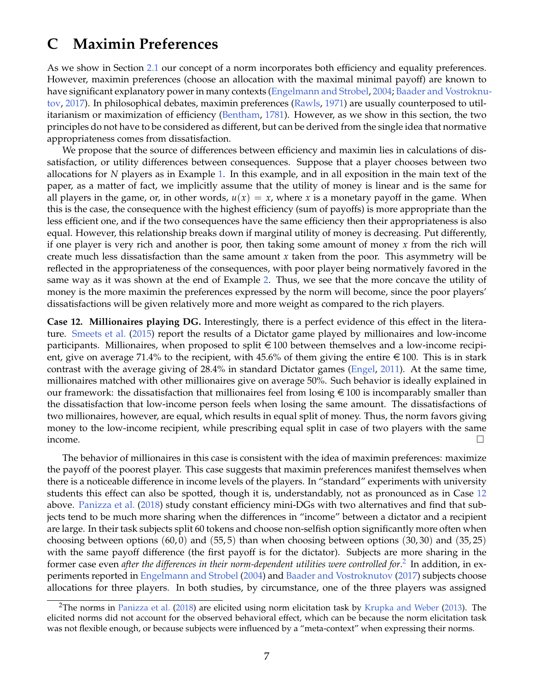## <span id="page-46-0"></span>**C Maximin Preferences**

As we show in Section [2.1](#page-5-2) our concept of a norm incorporates both efficiency and equality preferences. However, maximin preferences (choose an allocation with the maximal minimal payoff) are known to have significant explanatory power in many contexts [\(Engelmann and Strobel,](#page-37-0) [2004;](#page-37-0) [Baader and Vostroknu](#page-36-3)[tov,](#page-36-3) [2017\)](#page-36-3). In philosophical debates, maximin preferences [\(Rawls,](#page-39-5) [1971\)](#page-39-5) are usually counterposed to utilitarianism or maximization of efficiency [\(Bentham,](#page-56-1) [1781\)](#page-56-1). However, as we show in this section, the two principles do not have to be considered as different, but can be derived from the single idea that normative appropriateness comes from dissatisfaction.

We propose that the source of differences between efficiency and maximin lies in calculations of dissatisfaction, or utility differences between consequences. Suppose that a player chooses between two allocations for *N* players as in Example [1.](#page-7-0) In this example, and in all exposition in the main text of the paper, as a matter of fact, we implicitly assume that the utility of money is linear and is the same for all players in the game, or, in other words,  $u(x) = x$ , where x is a monetary payoff in the game. When this is the case, the consequence with the highest efficiency (sum of payoffs) is more appropriate than the less efficient one, and if the two consequences have the same efficiency then their appropriateness is also equal. However, this relationship breaks down if marginal utility of money is decreasing. Put differently, if one player is very rich and another is poor, then taking some amount of money *x* from the rich will create much less dissatisfaction than the same amount *x* taken from the poor. This asymmetry will be reflected in the appropriateness of the consequences, with poor player being normatively favored in the same way as it was shown at the end of Example [2.](#page-8-1) Thus, we see that the more concave the utility of money is the more maximin the preferences expressed by the norm will become, since the poor players' dissatisfactions will be given relatively more and more weight as compared to the rich players.

<span id="page-46-1"></span>**Case 12. Millionaires playing DG.** Interestingly, there is a perfect evidence of this effect in the literature. [Smeets et al.](#page-56-2) [\(2015\)](#page-56-2) report the results of a Dictator game played by millionaires and low-income participants. Millionaires, when proposed to split  $\epsilon$  100 between themselves and a low-income recipient, give on average 71.4% to the recipient, with 45.6% of them giving the entire  $\epsilon$  100. This is in stark contrast with the average giving of 28.4% in standard Dictator games [\(Engel,](#page-56-3) [2011\)](#page-56-3). At the same time, millionaires matched with other millionaires give on average 50%. Such behavior is ideally explained in our framework: the dissatisfaction that millionaires feel from losing  $\epsilon$  100 is incomparably smaller than the dissatisfaction that low-income person feels when losing the same amount. The dissatisfactions of two millionaires, however, are equal, which results in equal split of money. Thus, the norm favors giving money to the low-income recipient, while prescribing equal split in case of two players with the same income.  $\Box$ 

The behavior of millionaires in this case is consistent with the idea of maximin preferences: maximize the payoff of the poorest player. This case suggests that maximin preferences manifest themselves when there is a noticeable difference in income levels of the players. In "standard" experiments with university students this effect can also be spotted, though it is, understandably, not as pronounced as in Case [12](#page-46-1) above. [Panizza et al.](#page-56-4) [\(2018\)](#page-56-4) study constant efficiency mini-DGs with two alternatives and find that subjects tend to be much more sharing when the differences in "income" between a dictator and a recipient are large. In their task subjects split 60 tokens and choose non-selfish option significantly more often when choosing between options  $(60, 0)$  and  $(55, 5)$  than when choosing between options  $(30, 30)$  and  $(35, 25)$ with the same payoff difference (the first payoff is for the dictator). Subjects are more sharing in the former case even *after the differences in their norm-dependent utilities were controlled for*.<sup>[2](#page-46-2)</sup> In addition, in experiments reported in [Engelmann and Strobel](#page-37-0) [\(2004\)](#page-37-0) and [Baader and Vostroknutov](#page-36-3) [\(2017\)](#page-36-3) subjects choose allocations for three players. In both studies, by circumstance, one of the three players was assigned

<span id="page-46-2"></span><sup>&</sup>lt;sup>2</sup>The norms in [Panizza et al.](#page-56-4) [\(2018\)](#page-56-4) are elicited using norm elicitation task by [Krupka and Weber](#page-38-2) [\(2013\)](#page-38-2). The elicited norms did not account for the observed behavioral effect, which can be because the norm elicitation task was not flexible enough, or because subjects were influenced by a "meta-context" when expressing their norms.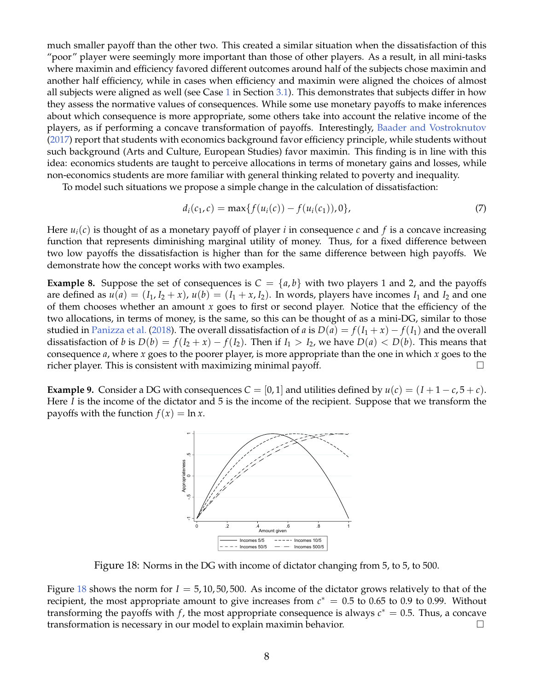much smaller payoff than the other two. This created a similar situation when the dissatisfaction of this "poor" player were seemingly more important than those of other players. As a result, in all mini-tasks where maximin and efficiency favored different outcomes around half of the subjects chose maximin and another half efficiency, while in cases when efficiency and maximin were aligned the choices of almost all subjects were aligned as well (see Case [1](#page-16-2) in Section [3.1\)](#page-16-0). This demonstrates that subjects differ in how they assess the normative values of consequences. While some use monetary payoffs to make inferences about which consequence is more appropriate, some others take into account the relative income of the players, as if performing a concave transformation of payoffs. Interestingly, [Baader and Vostroknutov](#page-36-3) [\(2017\)](#page-36-3) report that students with economics background favor efficiency principle, while students without such background (Arts and Culture, European Studies) favor maximin. This finding is in line with this idea: economics students are taught to perceive allocations in terms of monetary gains and losses, while non-economics students are more familiar with general thinking related to poverty and inequality.

To model such situations we propose a simple change in the calculation of dissatisfaction:

$$
d_i(c_1, c) = \max\{f(u_i(c)) - f(u_i(c_1)), 0\},\tag{7}
$$

Here  $u_i(c)$  is thought of as a monetary payoff of player *i* in consequence *c* and *f* is a concave increasing function that represents diminishing marginal utility of money. Thus, for a fixed difference between two low payoffs the dissatisfaction is higher than for the same difference between high payoffs. We demonstrate how the concept works with two examples.

**Example 8.** Suppose the set of consequences is  $C = \{a, b\}$  with two players 1 and 2, and the payoffs are defined as  $u(a) = (I_1, I_2 + x)$ ,  $u(b) = (I_1 + x, I_2)$ . In words, players have incomes  $I_1$  and  $I_2$  and one of them chooses whether an amount *x* goes to first or second player. Notice that the efficiency of the two allocations, in terms of money, is the same, so this can be thought of as a mini-DG, similar to those studied in [Panizza et al.](#page-56-4) [\(2018\)](#page-56-4). The overall dissatisfaction of *a* is  $D(a) = f(I_1 + x) - f(I_1)$  and the overall dissatisfaction of *b* is  $D(b) = f(I_2 + x) - f(I_2)$ . Then if  $I_1 > I_2$ , we have  $D(a) < D(b)$ . This means that consequence *a*, where *x* goes to the poorer player, is more appropriate than the one in which *x* goes to the richer player. This is consistent with maximizing minimal payoff.  $\Box$ 

**Example 9.** Consider a DG with consequences  $C = [0, 1]$  and utilities defined by  $u(c) = (I + 1 - c, 5 + c)$ . Here *I* is the income of the dictator and 5 is the income of the recipient. Suppose that we transform the payoffs with the function  $f(x) = \ln x$ .



<span id="page-47-0"></span>Figure 18: Norms in the DG with income of dictator changing from 5, to 5, to 500.

Figure [18](#page-47-0) shows the norm for *I* = 5, 10, 50, 500. As income of the dictator grows relatively to that of the recipient, the most appropriate amount to give increases from  $c^* = 0.5$  to 0.65 to 0.9 to 0.99. Without transforming the payoffs with  $f$ , the most appropriate consequence is always  $c^* = 0.5$ . Thus, a concave transformation is necessary in our model to explain maximin behavior.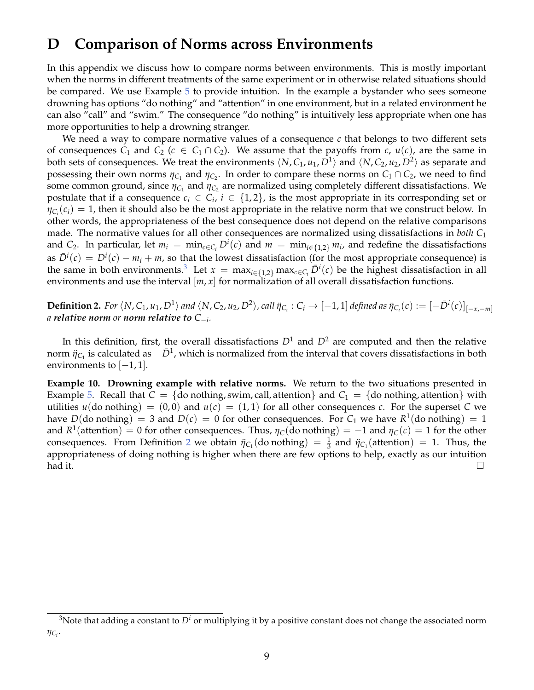## <span id="page-48-0"></span>**D Comparison of Norms across Environments**

In this appendix we discuss how to compare norms between environments. This is mostly important when the norms in different treatments of the same experiment or in otherwise related situations should be compared. We use Example [5](#page-41-0) to provide intuition. In the example a bystander who sees someone drowning has options "do nothing" and "attention" in one environment, but in a related environment he can also "call" and "swim." The consequence "do nothing" is intuitively less appropriate when one has more opportunities to help a drowning stranger.

We need a way to compare normative values of a consequence *c* that belongs to two different sets of consequences  $C_1$  and  $C_2$  ( $c \in C_1 \cap C_2$ ). We assume that the payoffs from *c*,  $u(c)$ , are the same in both sets of consequences. We treat the environments  $\langle N, C_1, u_1, D^1 \rangle$  and  $\langle N, C_2, u_2, D^2 \rangle$  as separate and possessing their own norms  $\eta_{C_1}$  and  $\eta_{C_2}$ . In order to compare these norms on  $C_1 \cap C_2$ , we need to find some common ground, since  $\eta_{\mathsf{C}_1}$  and  $\eta_{\mathsf{C}_2}$  are normalized using completely different dissatisfactions. We postulate that if a consequence  $c_i \in C_i$ ,  $i \in \{1,2\}$ , is the most appropriate in its corresponding set or  $\eta_{\mathcal{C}_i}(\mathcal{C}_i) = 1$ , then it should also be the most appropriate in the relative norm that we construct below. In other words, the appropriateness of the best consequence does not depend on the relative comparisons made. The normative values for all other consequences are normalized using dissatisfactions in *both C*<sup>1</sup> and  $C_2$ . In particular, let  $m_i = \min_{c \in C_i} D^i(c)$  and  $m = \min_{i \in \{1,2\}} m_i$ , and redefine the dissatisfactions as  $\bar{D}^i(c) = D^i(c) - m_i + m$ , so that the lowest dissatisfaction (for the most appropriate consequence) is the same in both environments.<sup>[3](#page-48-1)</sup> Let  $x = \max_{i \in \{1,2\}} \max_{c \in C_i} \bar{D}^i(c)$  be the highest dissatisfaction in all environments and use the interval  $[m, x]$  for normalization of all overall dissatisfaction functions.

<span id="page-48-2"></span>**Definition 2.** For  $\langle N,C_1,u_1,D^1\rangle$  and  $\langle N,C_2,u_2,D^2\rangle$ , call  $\eta_{C_i}:C_i\to[-1,1]$  defined as  $\eta_{C_i}(c):=[-\bar{D}^i(c)]_{[-x,-m]}$ *a relative norm or norm relative to C*−*<sup>i</sup> .*

In this definition, first, the overall dissatisfactions  $D^1$  and  $D^2$  are computed and then the relative norm  $\ddot{\eta}_{C_1}$  is calculated as  $-\bar{D}^1$ , which is normalized from the interval that covers dissatisfactions in both environments to  $[-1, 1]$ .

**Example 10. Drowning example with relative norms.** We return to the two situations presented in Example [5.](#page-41-0) Recall that  $C = \{$ do nothing, swim, call, attention $\}$  and  $C_1 = \{$ do nothing, attention $\}$  with utilities  $u$ (do nothing) =  $(0,0)$  and  $u(c) = (1,1)$  for all other consequences *c*. For the superset *C* we have  $D(\text{do nothing}) = 3$  and  $D(c) = 0$  for other consequences. For  $C_1$  we have  $R^1(\text{do nothing}) = 1$ and  $R^1$ (attention) = 0 for other consequences. Thus,  $\eta_C$ (do nothing) = -1 and  $\eta_C(c)$  = 1 for the other consequences. From Definition [2](#page-48-2) we obtain  $\ddot{\eta}_{C_1}$  (do nothing) =  $\frac{1}{3}$  and  $\ddot{\eta}_{C_1}$  (attention) = 1. Thus, the appropriateness of doing nothing is higher when there are few options to help, exactly as our intuition  $\Box$ 

<span id="page-48-1"></span> $3$ Note that adding a constant to  $D<sup>i</sup>$  or multiplying it by a positive constant does not change the associated norm *ηC<sup>i</sup>* .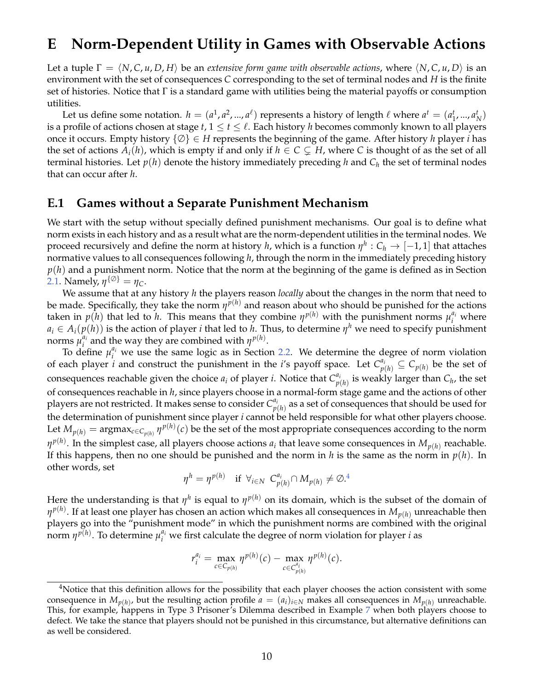### <span id="page-49-0"></span>**E Norm-Dependent Utility in Games with Observable Actions**

Let a tuple  $\Gamma = \langle N, C, u, D, H \rangle$  be an *extensive form game with observable actions*, where  $\langle N, C, u, D \rangle$  is an environment with the set of consequences *C* corresponding to the set of terminal nodes and *H* is the finite set of histories. Notice that  $\Gamma$  is a standard game with utilities being the material payoffs or consumption utilities.

Let us define some notation.  $h = (a^1, a^2, ..., a^\ell)$  represents a history of length  $\ell$  where  $a^t = (a_1^t, ..., a_N^t)$ is a profile of actions chosen at stage  $t$ ,  $1 \le t \le \ell$ . Each history *h* becomes commonly known to all players once it occurs. Empty history {∅} ∈ *H* represents the beginning of the game. After history *h* player *i* has the set of actions  $A_i(h)$ , which is empty if and only if  $h \in C \subsetneq H$ , where C is thought of as the set of all terminal histories. Let  $p(h)$  denote the history immediately preceding  $h$  and  $C_h$  the set of terminal nodes that can occur after *h*.

### **E.1 Games without a Separate Punishment Mechanism**

We start with the setup without specially defined punishment mechanisms. Our goal is to define what norm exists in each history and as a result what are the norm-dependent utilities in the terminal nodes. We proceed recursively and define the norm at history *h,* which is a function  $\eta^h: C_h \to [-1,1]$  that attaches normative values to all consequences following *h*, through the norm in the immediately preceding history *p*(*h*) and a punishment norm. Notice that the norm at the beginning of the game is defined as in Section [2.1.](#page-5-2) Namely,  $\eta^{\{\emptyset\}} = \eta_C$ .

We assume that at any history *h* the players reason *locally* about the changes in the norm that need to be made. Specifically, they take the norm  $\eta^{p(h)}$  and reason about who should be punished for the actions taken in  $p(h)$  that led to *h*. This means that they combine  $\eta^{p(h)}$  with the punishment norms  $\mu_i^{a_i}$  where  $a_i \in A_i(p(h))$  is the action of player *i* that led to *h*. Thus, to determine  $\eta^h$  we need to specify punishment norms  $\mu_i^{a_i}$ *i*<sup>*a*<sub>*i*</sub></sup> and the way they are combined with  $\eta^{p(h)}$ .

To define  $\mu_i^{a_i}$  we use the same logic as in Section [2.2.](#page-10-1) We determine the degree of norm violation of each player *i* and construct the punishment in the *i*'s payoff space. Let  $C_{p(h)}^{a_i} \subseteq C_{p(h)}$  be the set of consequences reachable given the choice  $a_i$  of player *i*. Notice that  $C_n^{a_i}$  $p(h)$  is weakly larger than  $C_h$ , the set of consequences reachable in *h*, since players choose in a normal-form stage game and the actions of other players are not restricted. It makes sense to consider  $C_n^{\mathfrak{a}_i}$  $p(h) \overline{p}(h)$  as a set of consequences that should be used for the determination of punishment since player *i* cannot be held responsible for what other players choose. Let  $M_{p(h)} = \text{argmax}_{c \in C_{p(h)}} \eta^{p(h)}(c)$  be the set of the most appropriate consequences according to the norm  $\eta^{p(h)}$ . In the simplest case, all players choose actions  $a_i$  that leave some consequences in  $M_{p(h)}$  reachable. If this happens, then no one should be punished and the norm in *h* is the same as the norm in *p*(*h*). In other words, set

$$
\eta^h = \eta^{p(h)} \quad \text{if } \forall_{i \in N} \ C^{a_i}_{p(h)} \cap M_{p(h)} \neq \emptyset.4
$$

Here the understanding is that  $\eta^h$  is equal to  $\eta^{p(h)}$  on its domain, which is the subset of the domain of *η p*(*h*) . If at least one player has chosen an action which makes all consequences in *Mp*(*h*) unreachable then players go into the "punishment mode" in which the punishment norms are combined with the original norm  $\eta^{p(h)}$ . To determine  $\mu_i^{a_i}$  we first calculate the degree of norm violation for player *i* as

$$
r_i^{a_i} = \max_{c \in C_{p(h)}} \eta^{p(h)}(c) - \max_{c \in C_{p(h)}^{a_i}} \eta^{p(h)}(c).
$$

<span id="page-49-1"></span><sup>&</sup>lt;sup>4</sup>Notice that this definition allows for the possibility that each player chooses the action consistent with some consequence in  $M_{p(h)}$ , but the resulting action profile  $a = (a_i)_{i \in N}$  makes all consequences in  $M_{p(h)}$  unreachable. This, for example, happens in Type 3 Prisoner's Dilemma described in Example [7](#page-43-0) when both players choose to defect. We take the stance that players should not be punished in this circumstance, but alternative definitions can as well be considered.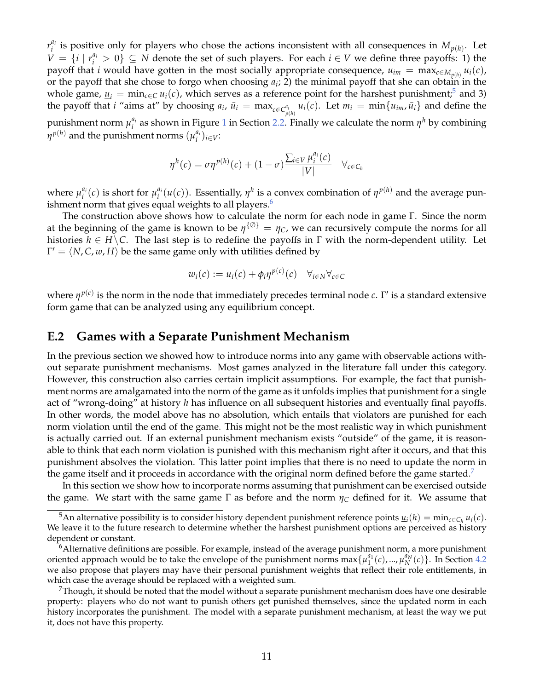*r ai*  $i$ <sup>*i*</sup> is positive only for players who chose the actions inconsistent with all consequences in  $M_{p(h)}$ . Let *V* = {*i* |  $r_i^{a_i}$  > 0} ⊆ *N* denote the set of such players. For each *i* ∈ *V* we define three payoffs: 1) the payoff that *i* would have gotten in the most socially appropriate consequence,  $u_{im} = \max_{c \in M_{p(h)}} u_i(c)$ , or the payoff that she chose to forgo when choosing *a<sup>i</sup>* ; 2) the minimal payoff that she can obtain in the whole game,  $\underline{u}_i = \min_{c \in C} u_i(c)$ , which serves as a reference point for the harshest punishment;<sup>[5](#page-50-0)</sup> and 3) the payoff that *i* "aims at" by choosing  $a_i$ ,  $\bar{u}_i = \max_{c \in C_{p(h)}^{a_i}} u_i(c)$ . Let  $m_i = \min\{u_{im}, \bar{u}_i\}$  and define the punishment norm  $\mu_i^{a_i}$  $a_i$  as shown in Figure [1](#page-12-2) in Section [2.2.](#page-10-1) Finally we calculate the norm  $\eta^h$  by combining  $\eta^{p(h)}$  and the punishment norms  $(\mu^{a_i}_i)$  $_{i}^{a_{i}})_{i\in V}$ :

$$
\eta^h(c) = \sigma \eta^{p(h)}(c) + (1 - \sigma) \frac{\sum_{i \in V} \mu_i^{a_i}(c)}{|V|} \quad \forall_{c \in C_h}
$$

where  $\mu_i^{a_i}$  $\mu_i^{a_i}(c)$  is short for  $\mu_i^{a_i}$  $\int_a^{a_i} (u(c))$ . Essentially,  $\eta^h$  is a convex combination of  $\eta^{p(h)}$  and the average punishment norm that gives equal weights to all players. $6$ 

The construction above shows how to calculate the norm for each node in game Γ. Since the norm at the beginning of the game is known to be  $\eta^{\{\emptyset\}} = \eta_C$ , we can recursively compute the norms for all histories  $h \in H \backslash C$ . The last step is to redefine the payoffs in  $\Gamma$  with the norm-dependent utility. Let  $\Gamma' = \langle N, C, w, H \rangle$  be the same game only with utilities defined by

$$
w_i(c) := u_i(c) + \phi_i \eta^{p(c)}(c) \quad \forall_{i \in N} \forall_{c \in C}
$$

where  $\eta^{p(c)}$  is the norm in the node that immediately precedes terminal node  $c$ . Γ' is a standard extensive form game that can be analyzed using any equilibrium concept.

#### **E.2 Games with a Separate Punishment Mechanism**

In the previous section we showed how to introduce norms into any game with observable actions without separate punishment mechanisms. Most games analyzed in the literature fall under this category. However, this construction also carries certain implicit assumptions. For example, the fact that punishment norms are amalgamated into the norm of the game as it unfolds implies that punishment for a single act of "wrong-doing" at history *h* has influence on all subsequent histories and eventually final payoffs. In other words, the model above has no absolution, which entails that violators are punished for each norm violation until the end of the game. This might not be the most realistic way in which punishment is actually carried out. If an external punishment mechanism exists "outside" of the game, it is reasonable to think that each norm violation is punished with this mechanism right after it occurs, and that this punishment absolves the violation. This latter point implies that there is no need to update the norm in the game itself and it proceeds in accordance with the original norm defined before the game started.<sup>[7](#page-50-2)</sup>

In this section we show how to incorporate norms assuming that punishment can be exercised outside the game. We start with the same game  $\Gamma$  as before and the norm  $\eta_C$  defined for it. We assume that

<span id="page-50-0"></span> $^5$ An alternative possibility is to consider history dependent punishment reference points  $\underline{u}_i(h) = \min_{c \in C_h} u_i(c)$ . We leave it to the future research to determine whether the harshest punishment options are perceived as history dependent or constant.

<span id="page-50-1"></span><sup>6</sup>Alternative definitions are possible. For example, instead of the average punishment norm, a more punishment oriented approach would be to take the envelope of the punishment norms  $\max\{\mu_1^{a_1}(c),...,\mu_N^{a_N}(c)\}\.$  In Section [4.2](#page-29-0) we also propose that players may have their personal punishment weights that reflect their role entitlements, in which case the average should be replaced with a weighted sum.

<span id="page-50-2"></span>Though, it should be noted that the model without a separate punishment mechanism does have one desirable property: players who do not want to punish others get punished themselves, since the updated norm in each history incorporates the punishment. The model with a separate punishment mechanism, at least the way we put it, does not have this property.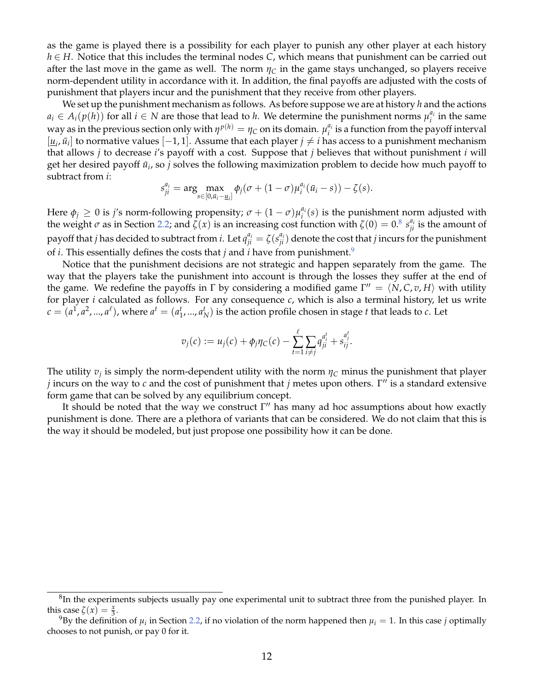as the game is played there is a possibility for each player to punish any other player at each history *h* ∈ *H*. Notice that this includes the terminal nodes *C*, which means that punishment can be carried out after the last move in the game as well. The norm  $\eta_C$  in the game stays unchanged, so players receive norm-dependent utility in accordance with it. In addition, the final payoffs are adjusted with the costs of punishment that players incur and the punishment that they receive from other players.

We set up the punishment mechanism as follows. As before suppose we are at history *h* and the actions  $a_i \in A_i(p(h))$  for all  $i \in N$  are those that lead to *h*. We determine the punishment norms  $\mu_i^{a_i}$  $i$ <sup> $u_i$ </sup> in the same way as in the previous section only with  $\eta^{p(h)} = \eta_C$  on its domain.  $\mu_i^{a_i}$  $i_i^{u_i}$  is a function from the payoff interval  $[\underline{u}_i, \bar{u}_i]$  to normative values [−1, 1]. Assume that each player *j*  $\neq$  *i* has access to a punishment mechanism that allows *j* to decrease *i*'s payoff with a cost. Suppose that *j* believes that without punishment *i* will get her desired payoff  $\bar{u}_i$ , so  $j$  solves the following maximization problem to decide how much payoff to subtract from *i*:

$$
s_{ji}^{a_i} = \arg\max_{s \in [0,\bar{a}_i - \underline{u}_i]} \phi_j(\sigma + (1-\sigma)\mu_i^{a_i}(\bar{u}_i - s)) - \zeta(s).
$$

Here  $\phi_j \geq 0$  is *j's* norm-following propensity;  $\sigma + (1 - \sigma)\mu_i^{a_i}$  $a_i(s)$  is the punishment norm adjusted with the weight  $\sigma$  as in Section [2.2;](#page-10-1) and  $\zeta(x)$  is an increasing cost function with  $\zeta(0) = 0.8 s_{ji}^{a_i}$  $\zeta(0) = 0.8 s_{ji}^{a_i}$  $\zeta(0) = 0.8 s_{ji}^{a_i}$  is the amount of payoff that *j* has decided to subtract from *i*. Let  $q_{ji}^{a_i} = \zeta(s_{ji}^{a_i})$  denote the cost that *j* incurs for the punishment of *i*. This essentially defines the costs that *j* and *i* have from punishment.[9](#page-51-1)

Notice that the punishment decisions are not strategic and happen separately from the game. The way that the players take the punishment into account is through the losses they suffer at the end of the game. We redefine the payoffs in  $\Gamma$  by considering a modified game  $\Gamma'' = \langle N, C, v, H \rangle$  with utility for player *i* calculated as follows. For any consequence *c*, which is also a terminal history, let us write  $c = (a^1, a^2, ..., a^\ell)$ , where  $a^t = (a_1^t, ..., a_N^t)$  is the action profile chosen in stage *t* that leads to *c*. Let

$$
v_j(c) := u_j(c) + \phi_j \eta_C(c) - \sum_{t=1}^{\ell} \sum_{i \neq j} q_{ji}^{a_i^t} + s_{ij}^{a_j^t}.
$$

The utility  $v_j$  is simply the norm-dependent utility with the norm  $\eta_C$  minus the punishment that player *j* incurs on the way to *c* and the cost of punishment that *j* metes upon others. Γ'' is a standard extensive form game that can be solved by any equilibrium concept.

It should be noted that the way we construct  $\Gamma''$  has many ad hoc assumptions about how exactly punishment is done. There are a plethora of variants that can be considered. We do not claim that this is the way it should be modeled, but just propose one possibility how it can be done.

<span id="page-51-0"></span> ${}^{8}$ In the experiments subjects usually pay one experimental unit to subtract three from the punished player. In this case  $\zeta(x) = \frac{x}{3}$ .

<span id="page-51-1"></span> $^{9}$ By the definition of  $\mu_i$  in Section [2.2,](#page-10-1) if no violation of the norm happened then  $\mu_i = 1$ . In this case *j* optimally chooses to not punish, or pay 0 for it.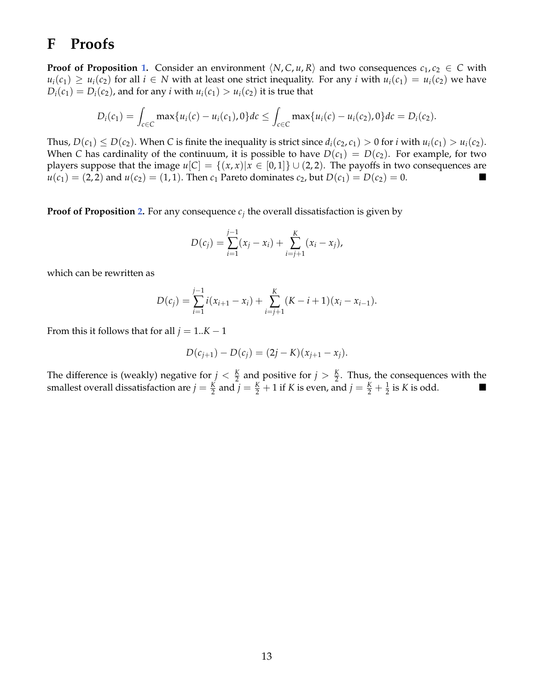## <span id="page-52-0"></span>**F Proofs**

**Proof of Proposition [1.](#page-8-0)** Consider an environment  $\langle N, C, u, R \rangle$  and two consequences  $c_1, c_2 \in C$  with  $u_i(c_1) \geq u_i(c_2)$  for all  $i \in N$  with at least one strict inequality. For any *i* with  $u_i(c_1) = u_i(c_2)$  we have  $D_i(c_1) = D_i(c_2)$ , and for any *i* with  $u_i(c_1) > u_i(c_2)$  it is true that

$$
D_i(c_1) = \int_{c \in C} \max\{u_i(c) - u_i(c_1), 0\} dc \leq \int_{c \in C} \max\{u_i(c) - u_i(c_2), 0\} dc = D_i(c_2).
$$

Thus,  $D(c_1) \leq D(c_2)$ . When *C* is finite the inequality is strict since  $d_i(c_2, c_1) > 0$  for *i* with  $u_i(c_1) > u_i(c_2)$ . When *C* has cardinality of the continuum, it is possible to have  $D(c_1) = D(c_2)$ . For example, for two players suppose that the image  $u[C] = \{(x, x) | x \in [0, 1]\} \cup (2, 2)$ . The payoffs in two consequences are  $u(c_1) = (2, 2)$  and  $u(c_2) = (1, 1)$ . Then  $c_1$  Pareto dominates  $c_2$ , but  $D(c_1) = D(c_2) = 0$ .

**Proof of Proposition [2.](#page-9-0)** For any consequence  $c_j$  the overall dissatisfaction is given by

$$
D(c_j) = \sum_{i=1}^{j-1} (x_j - x_i) + \sum_{i=j+1}^{K} (x_i - x_j),
$$

which can be rewritten as

$$
D(c_j) = \sum_{i=1}^{j-1} i(x_{i+1} - x_i) + \sum_{i=j+1}^{K} (K - i + 1)(x_i - x_{i-1}).
$$

From this it follows that for all  $j = 1..K - 1$ 

$$
D(c_{j+1}) - D(c_j) = (2j - K)(x_{j+1} - x_j).
$$

The difference is (weakly) negative for  $j < \frac{K}{2}$  and positive for  $j > \frac{K}{2}$ . Thus, the consequences with the smallest overall dissatisfaction are  $j = \frac{K}{2}$  and  $j = \frac{K}{2} + 1$  if *K* is even, and  $j = \frac{K}{2} + \frac{1}{2}$  is *K* is odd.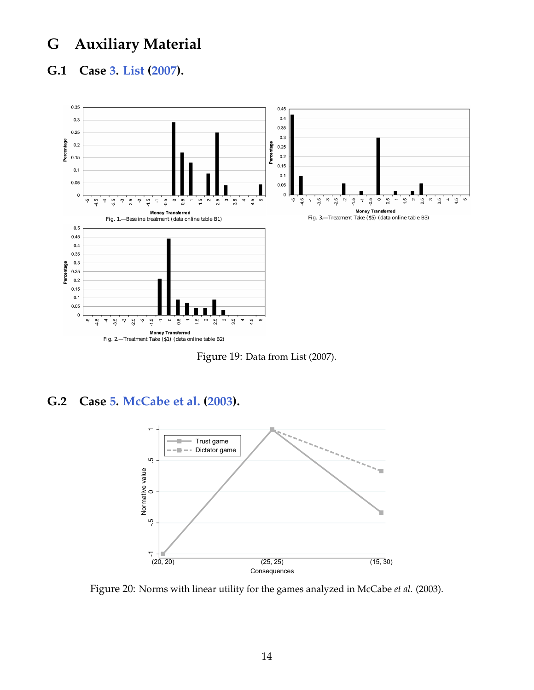# **G Auxiliary Material**

### <span id="page-53-1"></span>**G.1 Case [3.](#page-19-1) [List](#page-38-7) [\(2007\)](#page-38-7).**



<span id="page-53-0"></span>Figure 19: Data from List (2007).

### <span id="page-53-3"></span>**G.2 Case [5.](#page-22-1) [McCabe et al.](#page-38-8) [\(2003\)](#page-38-8).**



<span id="page-53-2"></span>Figure 20: Norms with linear utility for the games analyzed in McCabe *et al.* (2003).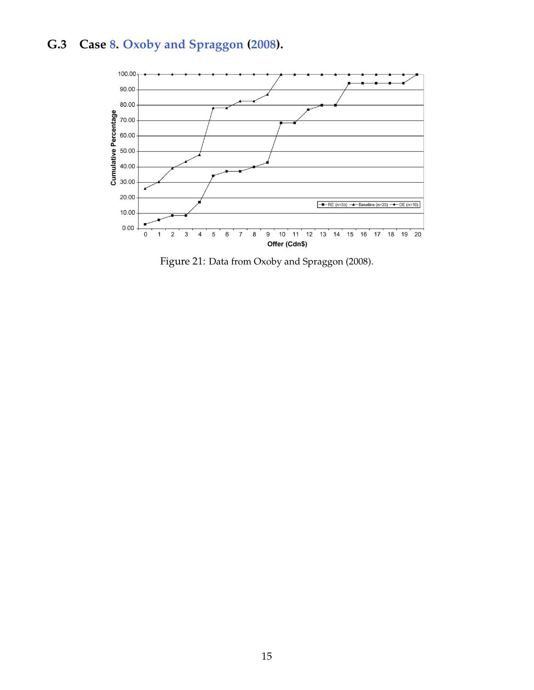# <span id="page-54-1"></span>**G.3 Case [8.](#page-28-2) [Oxoby and Spraggon](#page-39-8) [\(2008\)](#page-39-8).**



<span id="page-54-0"></span>Figure 21: Data from Oxoby and Spraggon (2008).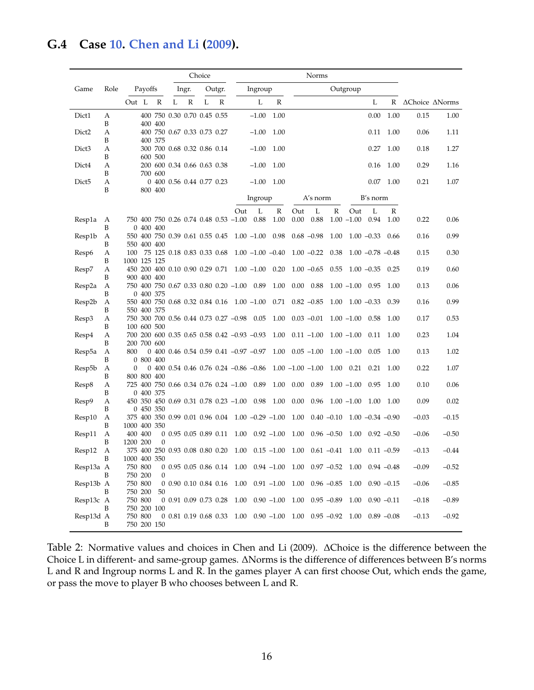## <span id="page-55-1"></span>**G.4 Case [10.](#page-33-1) [Chen and Li](#page-36-12) [\(2009\)](#page-36-12).**

|                   |        |                                                                |                             | Choice            |                                           |              |                          |                                                                       |                    |           |         |                |
|-------------------|--------|----------------------------------------------------------------|-----------------------------|-------------------|-------------------------------------------|--------------|--------------------------|-----------------------------------------------------------------------|--------------------|-----------|---------|----------------|
| Game              | Role   | Payoffs                                                        | Outgr.<br>lngr.             |                   | Ingroup                                   |              |                          | Outgroup                                                              |                    |           |         |                |
|                   |        | Out L<br>R                                                     | L<br>$\mathbb R$            | L<br>$\mathbb{R}$ | L                                         | $\mathbb{R}$ |                          |                                                                       | L                  | R         |         | AChoice ANorms |
| Dict1             | А      |                                                                | 400 750 0.30 0.70 0.45 0.55 |                   | $-1.00$                                   | 1.00         |                          |                                                                       | 0.00               | 1.00      | 0.15    | 1.00           |
| Dict <sub>2</sub> | B<br>А | 400 400                                                        | 400 750 0.67 0.33 0.73 0.27 |                   | $-1.00$                                   | 1.00         |                          |                                                                       | 0.11               | 1.00      | 0.06    | 1.11           |
|                   | B      | 400 375                                                        |                             |                   |                                           |              |                          |                                                                       |                    |           |         |                |
| Dict <sub>3</sub> | А<br>B | 600 500                                                        | 300 700 0.68 0.32 0.86 0.14 |                   | $-1.00$                                   | 1.00         |                          |                                                                       | 0.27               | 1.00      | 0.18    | 1.27           |
| Dict4             | А      |                                                                | 200 600 0.34 0.66 0.63 0.38 |                   | $-1.00$                                   | 1.00         |                          |                                                                       | 0.16               | 1.00      | 0.29    | 1.16           |
| Dict <sub>5</sub> | B<br>A | 700 600                                                        | 0 400 0.56 0.44 0.77 0.23   |                   | $-1.00$                                   | 1.00         |                          |                                                                       | 0.07               | 1.00      | 0.21    | 1.07           |
|                   | B      | 800 400                                                        |                             |                   |                                           |              |                          |                                                                       |                    |           |         |                |
|                   |        |                                                                |                             |                   | Ingroup                                   |              | A's norm                 |                                                                       | B's norm           |           |         |                |
| Resp1a            | A      | 750 400 750 0.26 0.74 0.48 0.53 -1.00                          |                             |                   | L<br>Out<br>0.88                          | R<br>1.00    | L<br>Out<br>0.00<br>0.88 | R<br>Out<br>$1.00 - 1.00$                                             | L<br>0.94          | R<br>1.00 | 0.22    | 0.06           |
|                   | B      | 0 400 400                                                      |                             |                   |                                           |              |                          |                                                                       |                    |           |         |                |
| Resp1b            | A<br>B | 550 400 750 0.39 0.61 0.55 0.45 1.00 -1.00 0.98<br>550 400 400 |                             |                   |                                           |              | $0.68 - 0.98$            | 1.00                                                                  | $1.00 - 0.33$      | 0.66      | 0.16    | 0.99           |
| Resp6             | A      | 100 75 125 0.18 0.83 0.33 0.68                                 |                             |                   | $1.00 - 1.00 - 0.40$                      |              | $1.00 - 0.22$            | 0.38                                                                  | $1.00 -0.78 -0.48$ |           | 0.15    | 0.30           |
| Resp7             | B<br>A | 1000 125 125<br>450 200 400 0.10 0.90 0.29 0.71                |                             |                   | $1.00 - 1.00$                             | 0.20         | $1.00 -0.65$             | 0.55                                                                  | $1.00 - 0.35$      | 0.25      | 0.19    | 0.60           |
|                   | B      | 900 400 400                                                    |                             |                   |                                           |              |                          |                                                                       |                    |           |         |                |
| Resp2a            | A<br>B | 750 400 750 0.67 0.33 0.80 0.20 -1.00 0.89<br>0 400 375        |                             |                   |                                           | 1.00         | 0.00<br>0.88             | $1.00 - 1.00$                                                         | 0.95               | 1.00      | 0.13    | 0.06           |
| Resp2b            | A      | 550 400 750 0.68 0.32 0.84 0.16 1.00 -1.00                     |                             |                   |                                           | 0.71         | $0.82 - 0.85$            | 1.00                                                                  | $1.00 - 0.33$      | 0.39      | 0.16    | 0.99           |
| Resp3             | B<br>A | 550 400 375<br>750 300 700 0.56 0.44 0.73 0.27 -0.98 0.05      |                             |                   |                                           | 1.00         | $0.03 - 0.01$            | $1.00 - 1.00$                                                         | 0.58               | 1.00      | 0.17    | 0.53           |
|                   | B      | 100 600 500                                                    |                             |                   |                                           |              |                          |                                                                       |                    |           |         |                |
| Resp4             | A<br>B | 700 200 600 0.35 0.65 0.58 0.42 -0.93 -0.93<br>200 700 600     |                             |                   |                                           | 1.00         | $0.11 - 1.00$            | $1.00 - 1.00$                                                         | 0.11               | 1.00      | 0.23    | 1.04           |
| Resp5a            | A      | 800                                                            |                             |                   | $0$ 400 0.46 0.54 0.59 0.41 -0.97 -0.97   | 1.00         | $0.05 - 1.00$            | $1.00 - 1.00$                                                         | 0.05               | 1.00      | 0.13    | 1.02           |
| Resp5b            | B<br>A | 0 800 400<br>$\theta$                                          |                             |                   | 0 400 0.54 0.46 0.76 0.24 $-0.86$ $-0.86$ |              | $1.00 - 1.00 - 1.00$     | 1.00<br>0.21                                                          | 0.21               | 1.00      | 0.22    | 1.07           |
|                   | B      | 800 800 400                                                    |                             |                   |                                           |              |                          |                                                                       |                    |           |         |                |
| Resp8             | A<br>B | 725 400 750 0.66 0.34 0.76 0.24 -1.00 0.89<br>0 400 375        |                             |                   |                                           | 1.00         | 0.00<br>0.89             | $1.00 - 1.00$                                                         | 0.95               | 1.00      | 0.10    | 0.06           |
| Resp9             | A      | 450 350 450 0.69 0.31 0.78 0.23 -1.00 0.98                     |                             |                   |                                           | 1.00         | 0.00<br>0.96             | $1.00 - 1.00$                                                         | 1.00               | 1.00      | 0.09    | 0.02           |
| Resp10            | B<br>A | 0 450 350<br>375 400 350 0.99 0.01 0.96 0.04 1.00 -0.29 -1.00  |                             |                   |                                           |              | 1.00                     | $0.40 - 0.10$                                                         | $1.00 -0.34 -0.90$ |           | $-0.03$ | $-0.15$        |
|                   | B      | 1000 400 350                                                   |                             |                   |                                           |              |                          |                                                                       |                    |           |         |                |
| Resp11            | A<br>B | 400 400<br>1200 200<br>$\theta$                                | 0 0.95 0.05 0.89 0.11       |                   | $1.00 \quad 0.92 \quad -1.00$             |              | 1.00                     | $0.96 - 0.50$<br>1.00                                                 | $0.92 - 0.50$      |           | $-0.06$ | $-0.50$        |
| Resp12            | A      | 375 400 250 0.93 0.08 0.80 0.20                                |                             |                   | $1.00$ $0.15 -1.00$                       |              | 1.00                     | $0.61 - 0.41$ 1.00                                                    | $0.11 - 0.59$      |           | $-0.13$ | $-0.44$        |
| Resp13a A         | B      | 1000 400 350<br>750 800                                        |                             |                   |                                           |              |                          | 0 0.95 0.05 0.86 0.14 1.00 0.94 -1.00 1.00 0.97 -0.52 1.00 0.94 -0.48 |                    |           | $-0.09$ | $-0.52$        |
|                   | B      | 750 200<br>0                                                   |                             |                   |                                           |              |                          |                                                                       |                    |           |         |                |
| Resp13b A         | B      | 750 800<br>750 200<br>50                                       |                             |                   |                                           |              |                          | 0 0.90 0.10 0.84 0.16 1.00 0.91 -1.00 1.00 0.96 -0.85 1.00            | $0.90 - 0.15$      |           | $-0.06$ | $-0.85$        |
| Resp13c A         |        | 750 800                                                        |                             |                   |                                           |              |                          | 0 0.91 0.09 0.73 0.28 1.00 0.90 $-1.00$ 1.00 0.95 $-0.89$ 1.00        | $0.90 - 0.11$      |           | $-0.18$ | $-0.89$        |
| Resp13d A         | B      | 750 200 100<br>750 800                                         |                             |                   |                                           |              |                          | $0$ 0.81 0.19 0.68 0.33 1.00 0.90 -1.00 1.00 0.95 -0.92 1.00          | $0.89 - 0.08$      |           | $-0.13$ | $-0.92$        |
|                   | B      | 750 200 150                                                    |                             |                   |                                           |              |                          |                                                                       |                    |           |         |                |

<span id="page-55-0"></span>Table 2: Normative values and choices in Chen and Li (2009). ∆Choice is the difference between the Choice L in different- and same-group games. ∆Norms is the difference of differences between B's norms L and R and Ingroup norms L and R. In the games player A can first choose Out, which ends the game, or pass the move to player B who chooses between L and R.